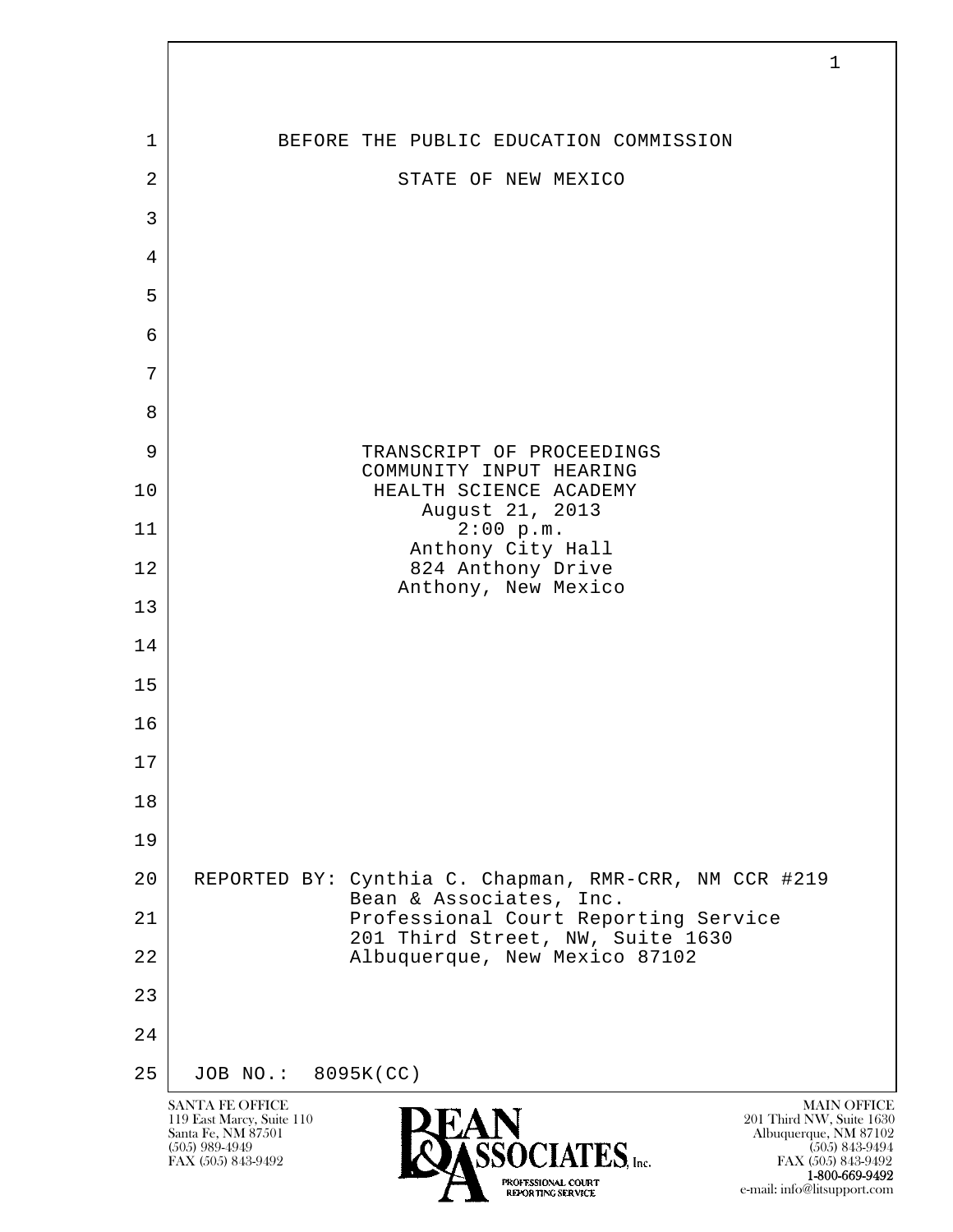| 1              | BEFORE THE PUBLIC EDUCATION COMMISSION                                           |
|----------------|----------------------------------------------------------------------------------|
| $\overline{2}$ | STATE OF NEW MEXICO                                                              |
| 3              |                                                                                  |
| 4              |                                                                                  |
| 5              |                                                                                  |
| 6              |                                                                                  |
| 7              |                                                                                  |
| 8              |                                                                                  |
| 9              | TRANSCRIPT OF PROCEEDINGS<br>COMMUNITY INPUT HEARING                             |
| 10             | HEALTH SCIENCE ACADEMY<br>August 21, 2013                                        |
| 11             | 2:00 p.m.<br>Anthony City Hall                                                   |
| 12             | 824 Anthony Drive<br>Anthony, New Mexico                                         |
| 13             |                                                                                  |
| 14             |                                                                                  |
| 15             |                                                                                  |
| 16             |                                                                                  |
| $17$           |                                                                                  |
| 18             |                                                                                  |
| 19             |                                                                                  |
| 20             | REPORTED BY: Cynthia C. Chapman, RMR-CRR, NM CCR #219<br>Bean & Associates, Inc. |
| 21             | Professional Court Reporting Service<br>201 Third Street, NW, Suite 1630         |
| 22             | Albuquerque, New Mexico 87102                                                    |
| 23             |                                                                                  |
| 24             |                                                                                  |
| 25             | JOB NO.: 8095K(CC)                                                               |

 $\overline{\phantom{a}}$ 

**1-800-669-9492**<br> **EXALTERIONAL CN BT** e-mail: info@litsupport.com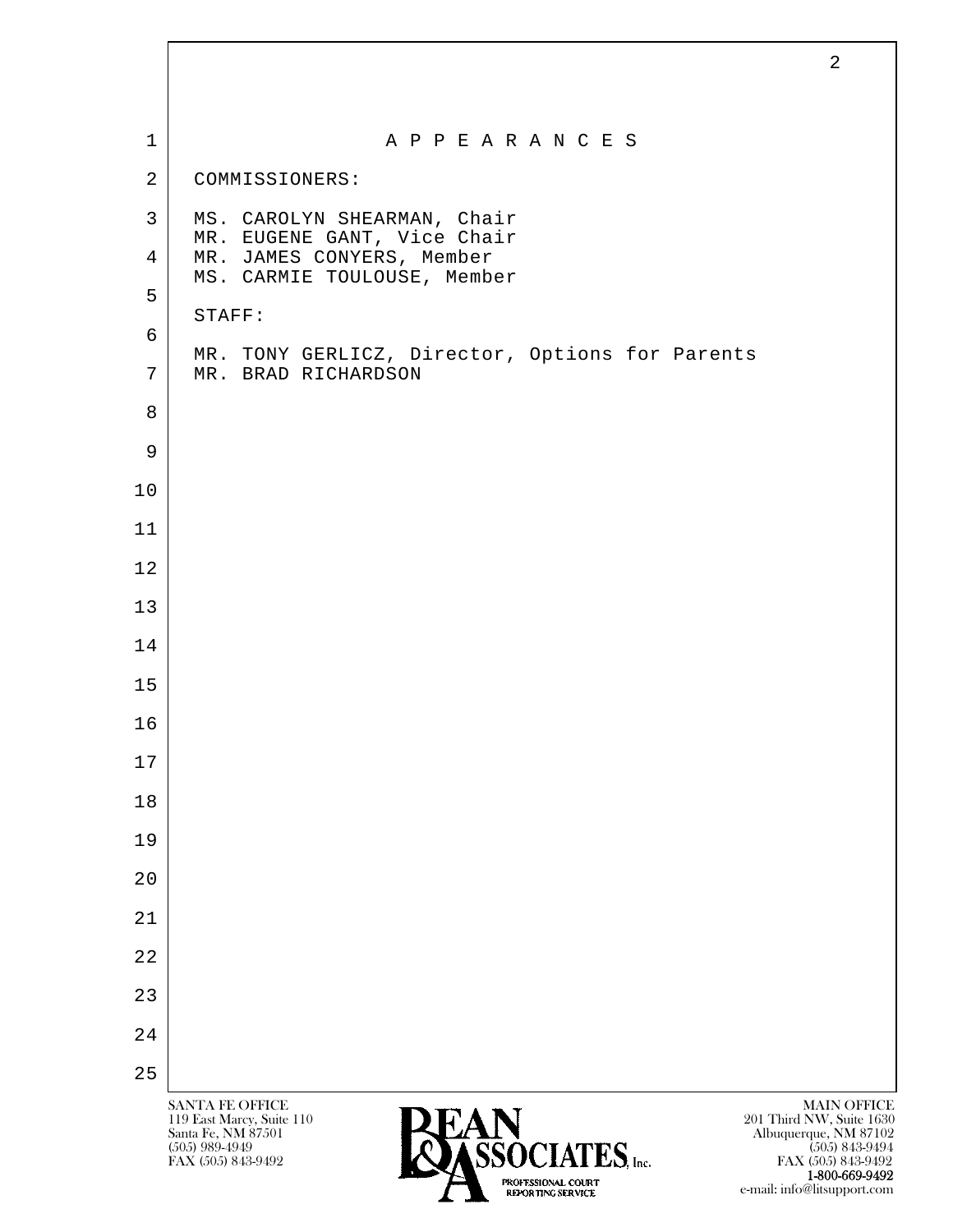|                | $\overline{2}$                                                                                                                                               |
|----------------|--------------------------------------------------------------------------------------------------------------------------------------------------------------|
|                |                                                                                                                                                              |
| $\mathbf 1$    | A P P E A R A N C E S                                                                                                                                        |
| $\overline{a}$ | COMMISSIONERS:                                                                                                                                               |
| $\mathsf{3}$   | MS. CAROLYN SHEARMAN, Chair<br>MR. EUGENE GANT, Vice Chair                                                                                                   |
| 4              | MR. JAMES CONYERS, Member<br>MS. CARMIE TOULOUSE, Member                                                                                                     |
| 5              | STAFF:                                                                                                                                                       |
| 6              | MR. TONY GERLICZ, Director, Options for Parents                                                                                                              |
| 7              | MR. BRAD RICHARDSON                                                                                                                                          |
| 8              |                                                                                                                                                              |
| 9              |                                                                                                                                                              |
| 10             |                                                                                                                                                              |
| 11             |                                                                                                                                                              |
| 12             |                                                                                                                                                              |
| 13             |                                                                                                                                                              |
| 14             |                                                                                                                                                              |
| 15             |                                                                                                                                                              |
| 16             |                                                                                                                                                              |
| 17             |                                                                                                                                                              |
| $18$           |                                                                                                                                                              |
| 19             |                                                                                                                                                              |
| 20             |                                                                                                                                                              |
| 21             |                                                                                                                                                              |
| 22             |                                                                                                                                                              |
| 23             |                                                                                                                                                              |
| 24             |                                                                                                                                                              |
| 25             |                                                                                                                                                              |
|                | SANTA FE OFFICE<br><b>MAIN OFFICE</b><br><b>PEAN</b><br>119 East Marcy, Suite 110<br>201 Third NW, Suite 1630<br>Santa Fe, NM 87501<br>Albuquerque, NM 87102 |

 $\mathbf{I}$ 

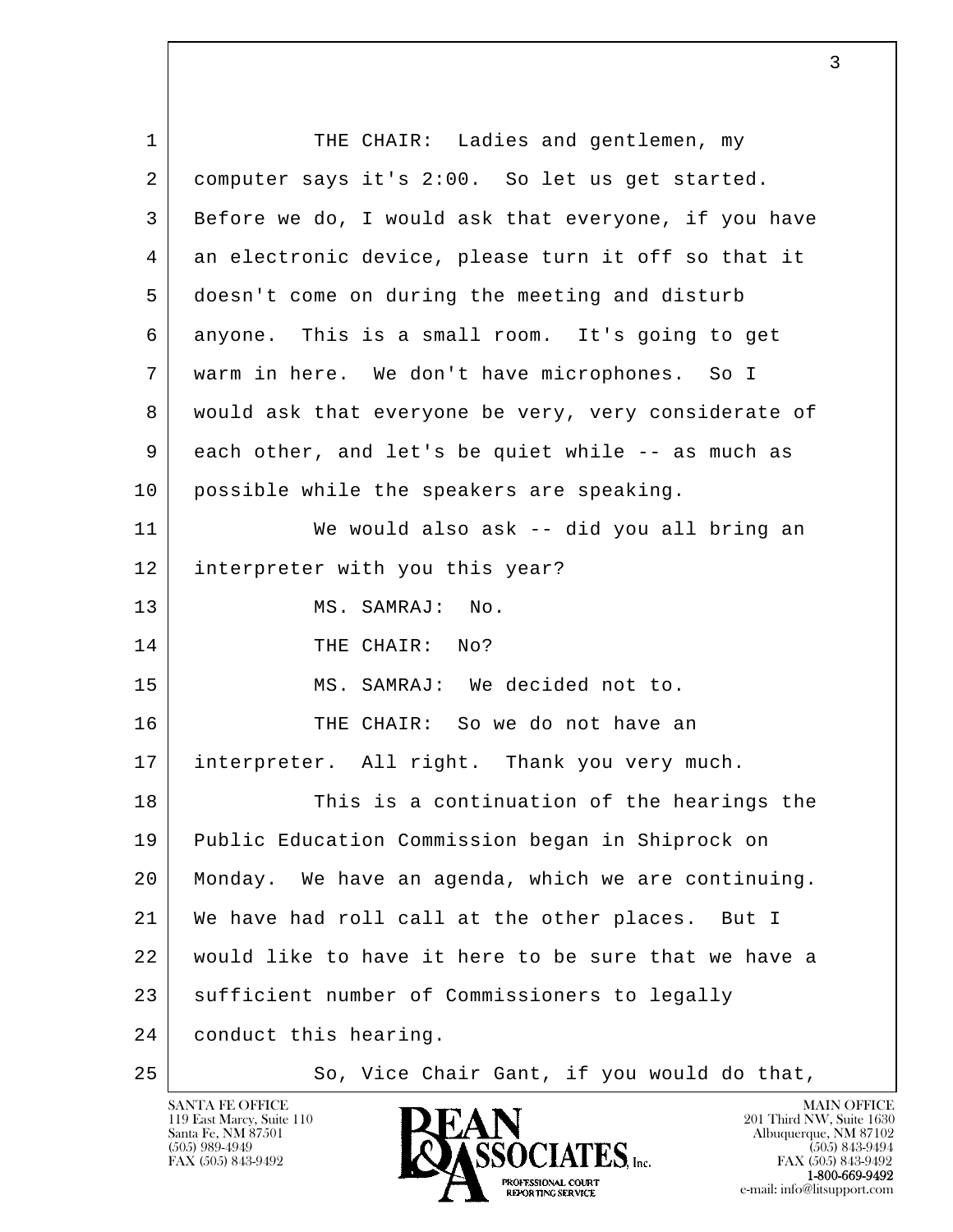| $\mathbf 1$ | THE CHAIR: Ladies and gentlemen, my                  |
|-------------|------------------------------------------------------|
| 2           | computer says it's 2:00. So let us get started.      |
| 3           | Before we do, I would ask that everyone, if you have |
| 4           | an electronic device, please turn it off so that it  |
| 5           | doesn't come on during the meeting and disturb       |
| 6           | anyone. This is a small room. It's going to get      |
| 7           | warm in here. We don't have microphones. So I        |
| 8           | would ask that everyone be very, very considerate of |
| 9           | each other, and let's be quiet while -- as much as   |
| 10          | possible while the speakers are speaking.            |
| 11          | We would also ask -- did you all bring an            |
| 12          | interpreter with you this year?                      |
| 13          | MS. SAMRAJ:<br>No.                                   |
| 14          | THE CHAIR: No?                                       |
| 15          | MS. SAMRAJ: We decided not to.                       |
| 16          | THE CHAIR: So we do not have an                      |
| 17          | interpreter. All right. Thank you very much.         |
| 18          | This is a continuation of the hearings the           |
| 19          | Public Education Commission began in Shiprock on     |
| 20          | Monday. We have an agenda, which we are continuing.  |
| 21          | We have had roll call at the other places.<br>But I  |
| 22          | would like to have it here to be sure that we have a |
| 23          | sufficient number of Commissioners to legally        |
| 24          | conduct this hearing.                                |
| 25          | So, Vice Chair Gant, if you would do that,           |

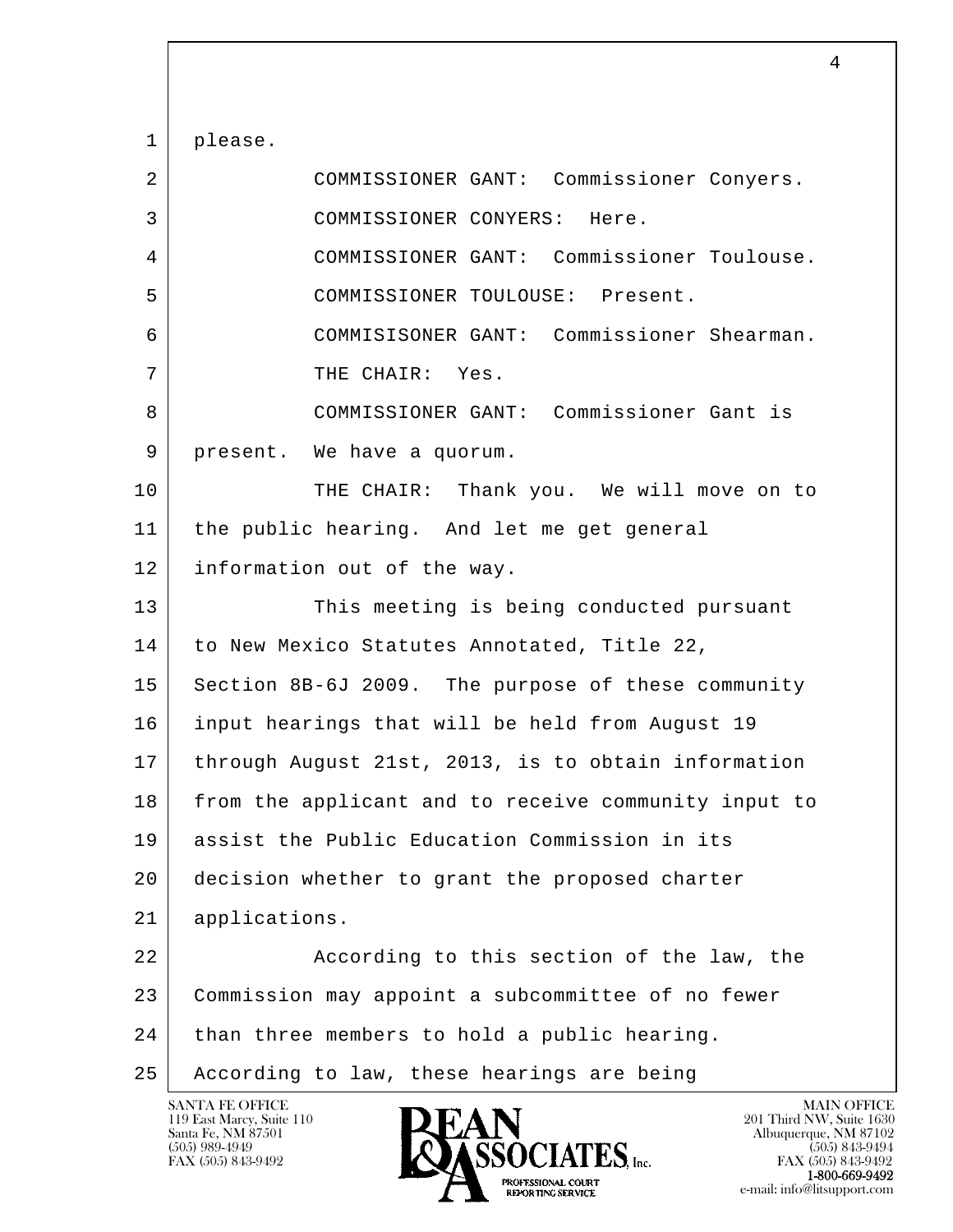l  $\overline{\phantom{a}}$  1 please. 2 COMMISSIONER GANT: Commissioner Conyers. 3 COMMISSIONER CONYERS: Here. 4 COMMISSIONER GANT: Commissioner Toulouse. 5 COMMISSIONER TOULOUSE: Present. 6 COMMISISONER GANT: Commissioner Shearman. 7 | THE CHAIR: Yes. 8 COMMISSIONER GANT: Commissioner Gant is 9 present. We have a quorum. 10 THE CHAIR: Thank you. We will move on to 11 the public hearing. And let me get general 12 information out of the way. 13 This meeting is being conducted pursuant 14 to New Mexico Statutes Annotated, Title 22, 15 Section 8B-6J 2009. The purpose of these community 16 input hearings that will be held from August 19 17 through August 21st, 2013, is to obtain information 18 from the applicant and to receive community input to 19 assist the Public Education Commission in its 20 decision whether to grant the proposed charter 21 applications. 22 | Recording to this section of the law, the 23 | Commission may appoint a subcommittee of no fewer  $24$  than three members to hold a public hearing. 25 According to law, these hearings are being

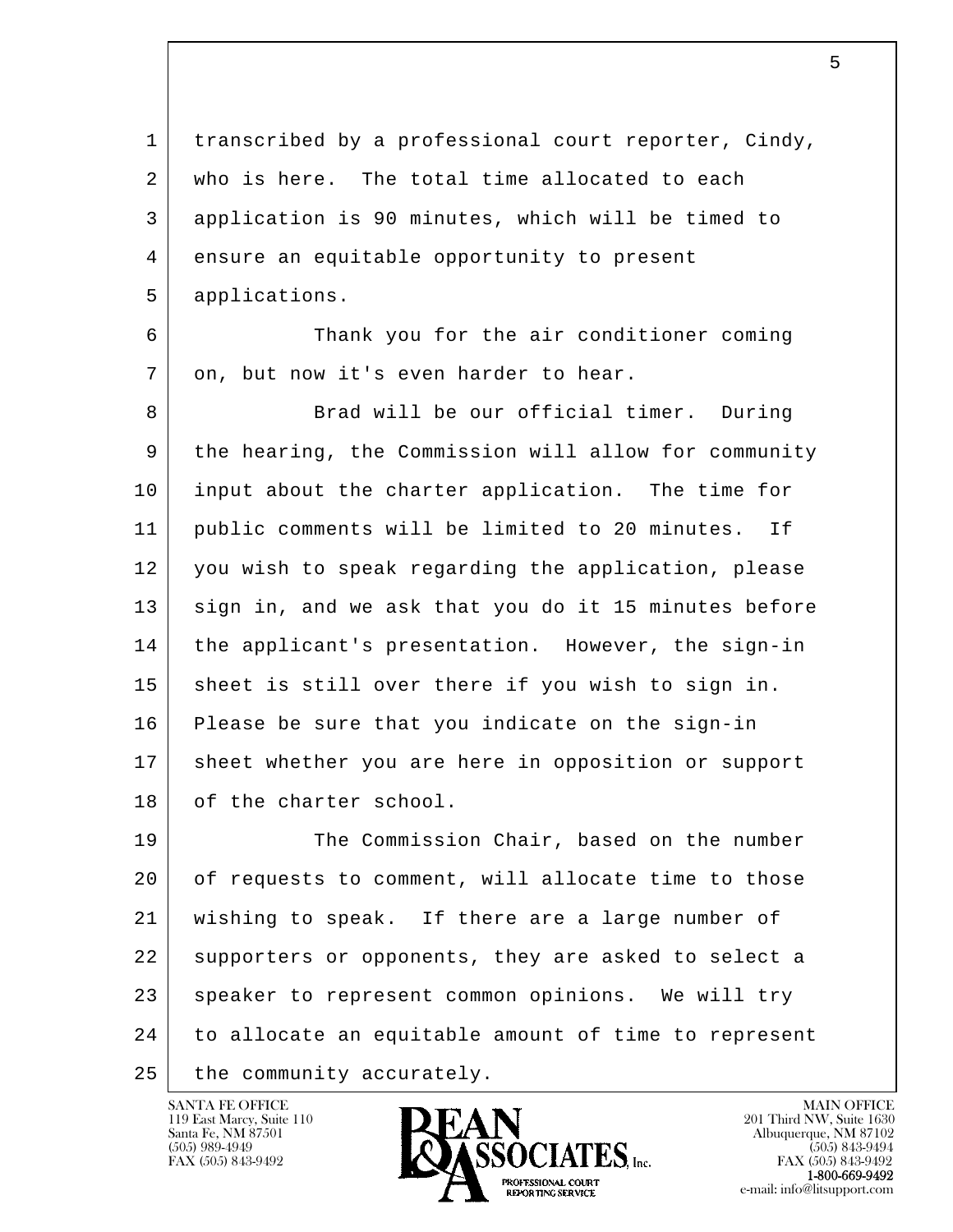1 transcribed by a professional court reporter, Cindy, 2 who is here. The total time allocated to each 3 application is 90 minutes, which will be timed to 4 ensure an equitable opportunity to present 5 applications.

 6 Thank you for the air conditioner coming 7 | on, but now it's even harder to hear.

8 Brad will be our official timer. During 9 the hearing, the Commission will allow for community 10 input about the charter application. The time for 11 public comments will be limited to 20 minutes. If 12 you wish to speak regarding the application, please 13 sign in, and we ask that you do it 15 minutes before 14 the applicant's presentation. However, the sign-in 15 sheet is still over there if you wish to sign in. 16 Please be sure that you indicate on the sign-in 17 sheet whether you are here in opposition or support 18 of the charter school.

l  $\overline{\phantom{a}}$ 19 The Commission Chair, based on the number 20 of requests to comment, will allocate time to those 21 wishing to speak. If there are a large number of 22 supporters or opponents, they are asked to select a 23 speaker to represent common opinions. We will try 24 to allocate an equitable amount of time to represent 25 the community accurately.

119 East Marcy, Suite 110<br>Santa Fe, NM 87501

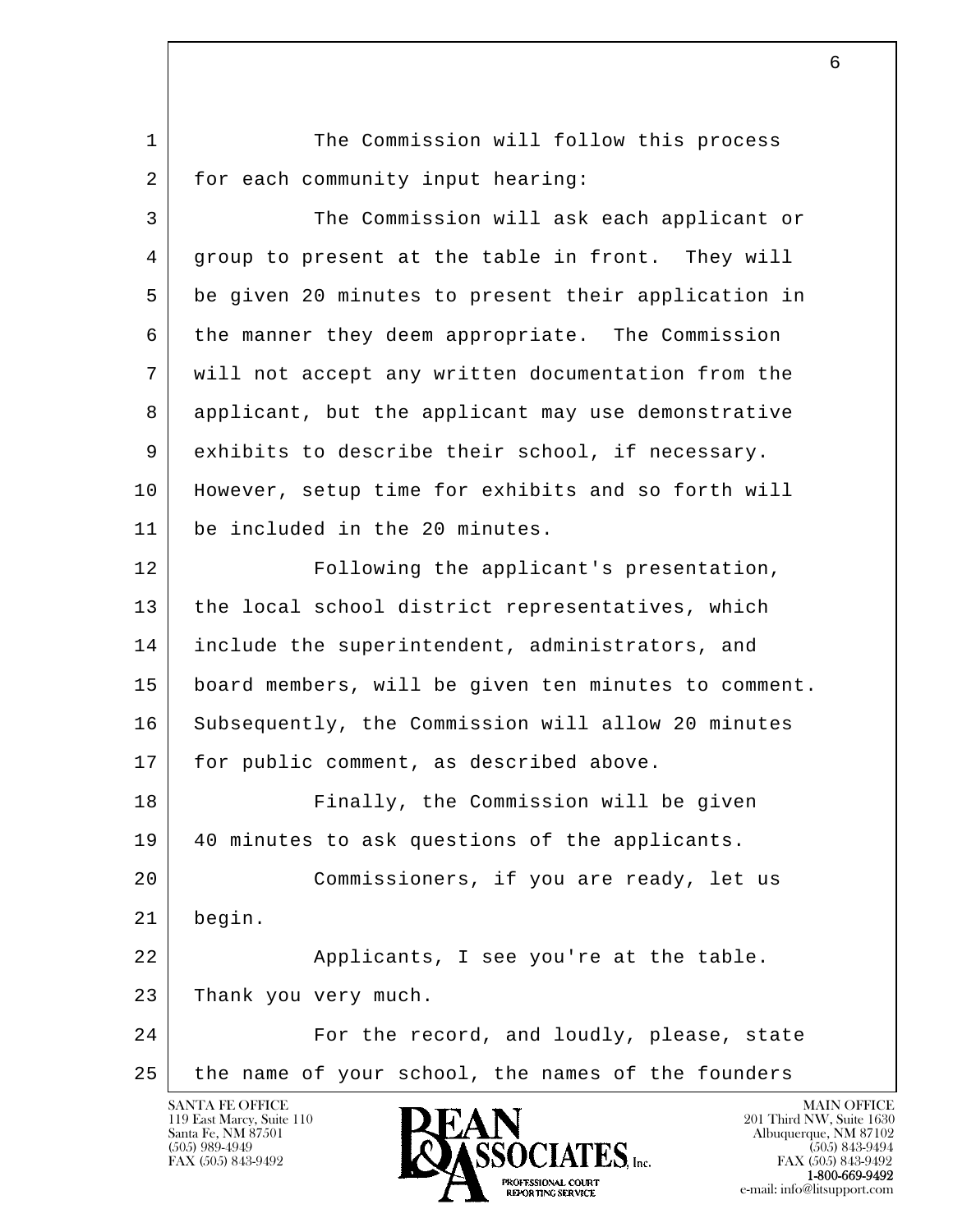l  $\overline{\phantom{a}}$ 1 The Commission will follow this process 2 for each community input hearing: 3 The Commission will ask each applicant or 4 group to present at the table in front. They will 5 be given 20 minutes to present their application in 6 the manner they deem appropriate. The Commission 7 will not accept any written documentation from the 8 applicant, but the applicant may use demonstrative 9 exhibits to describe their school, if necessary. 10 However, setup time for exhibits and so forth will 11 be included in the 20 minutes. 12 Following the applicant's presentation, 13 the local school district representatives, which 14 include the superintendent, administrators, and 15 board members, will be given ten minutes to comment. 16 Subsequently, the Commission will allow 20 minutes 17 for public comment, as described above. 18 Finally, the Commission will be given 19 40 minutes to ask questions of the applicants. 20 Commissioners, if you are ready, let us 21 begin. 22 | Replicants, I see you're at the table. 23 Thank you very much. 24 For the record, and loudly, please, state 25 the name of your school, the names of the founders

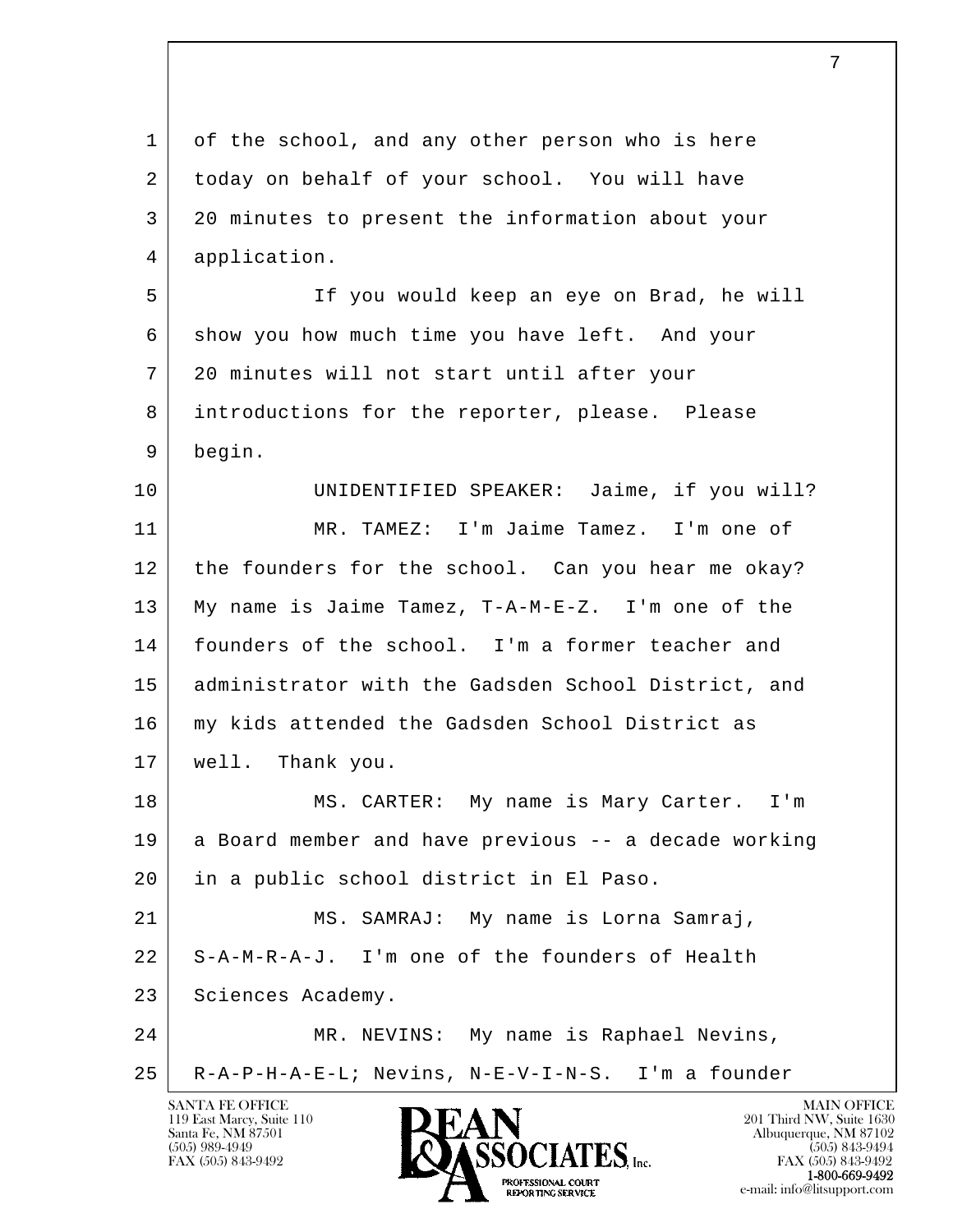l  $\overline{\phantom{a}}$ SANTA FE OFFICE MAIN OFFICE MAIN OFFICE MAIN OFFICE MAIN OFFICE 119 East Marcy, Suite 110<br>
Santa Fe, NM 87501<br>
201 Third NW, Suite 1630<br>
201 Third NW, Suite 1630 1 of the school, and any other person who is here 2 today on behalf of your school. You will have 3 20 minutes to present the information about your 4 application. 5 If you would keep an eye on Brad, he will 6 show you how much time you have left. And your 7 20 minutes will not start until after your 8 introductions for the reporter, please. Please 9 begin. 10 UNIDENTIFIED SPEAKER: Jaime, if you will? 11 MR. TAMEZ: I'm Jaime Tamez. I'm one of 12 the founders for the school. Can you hear me okay? 13 My name is Jaime Tamez, T-A-M-E-Z. I'm one of the 14 founders of the school. I'm a former teacher and 15 administrator with the Gadsden School District, and 16 my kids attended the Gadsden School District as 17 well. Thank you. 18 | MS. CARTER: My name is Mary Carter. I'm 19 a Board member and have previous -- a decade working 20 in a public school district in El Paso. 21 MS. SAMRAJ: My name is Lorna Samraj, 22 S-A-M-R-A-J. I'm one of the founders of Health 23 | Sciences Academy. 24 MR. NEVINS: My name is Raphael Nevins, 25 R-A-P-H-A-E-L; Nevins, N-E-V-I-N-S. I'm a founder

Santa Fe, NM 87501 Albuquerque, NM 87102  $\bullet$  (505) 989-4949 (505) 843-9494 FAX (505) 843-9492 FAX (505) 843-9492 FAX (505) 843-9492 **1-800-669-9492**<br> **EXALTERIONAL CN BT**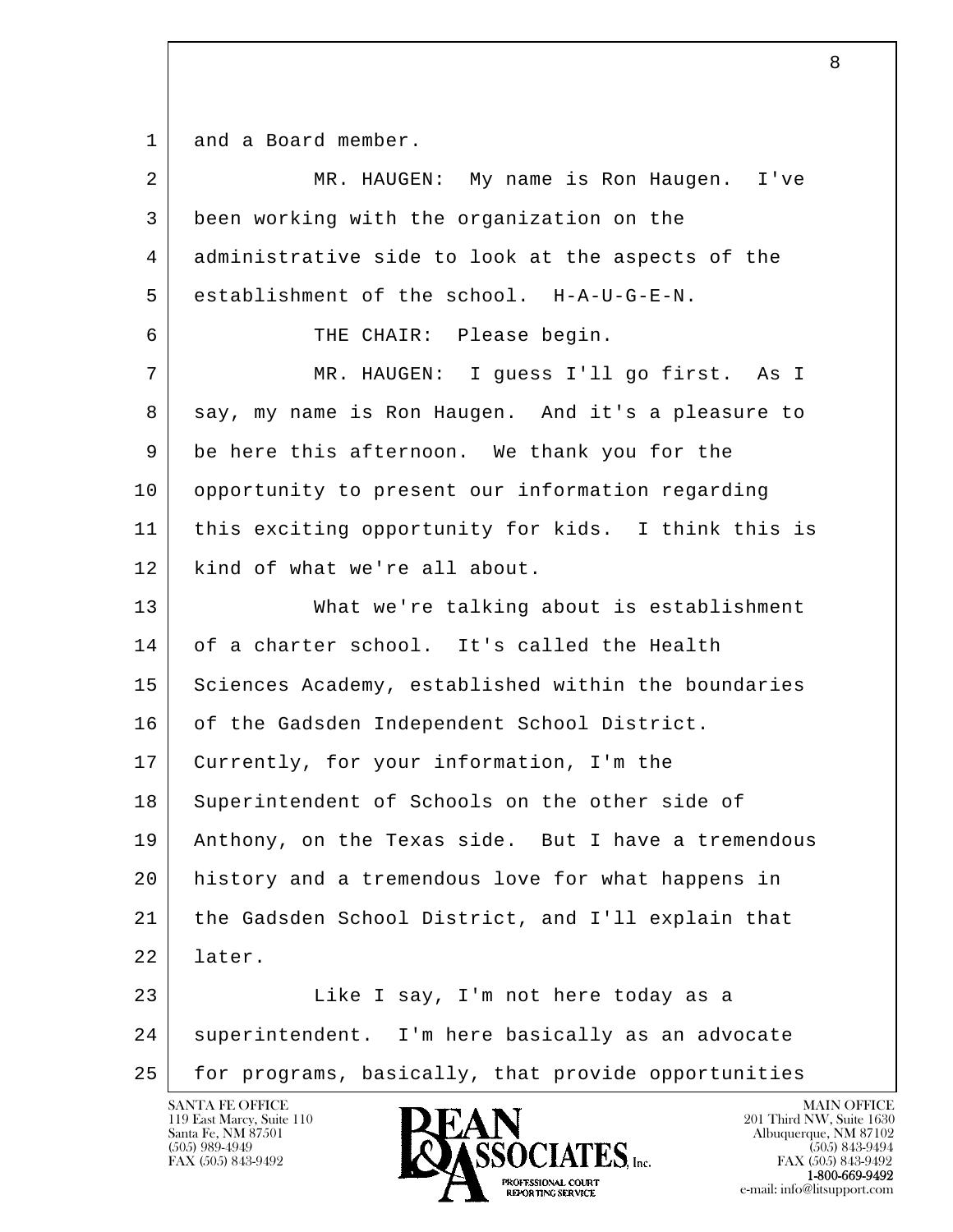1 and a Board member.

| $\overline{2}$ | MR. HAUGEN: My name is Ron Haugen. I've             |
|----------------|-----------------------------------------------------|
| 3              | been working with the organization on the           |
| 4              | administrative side to look at the aspects of the   |
| 5              | establishment of the school. H-A-U-G-E-N.           |
| 6              | THE CHAIR: Please begin.                            |
| 7              | MR. HAUGEN: I guess I'll go first. As I             |
| 8              | say, my name is Ron Haugen. And it's a pleasure to  |
| 9              | be here this afternoon. We thank you for the        |
| 10             | opportunity to present our information regarding    |
| 11             | this exciting opportunity for kids. I think this is |
| 12             | kind of what we're all about.                       |
| 13             | What we're talking about is establishment           |
| 14             | of a charter school. It's called the Health         |
| 15             | Sciences Academy, established within the boundaries |
| 16             | of the Gadsden Independent School District.         |
| 17             | Currently, for your information, I'm the            |
| 18             | Superintendent of Schools on the other side of      |
| 19             | Anthony, on the Texas side. But I have a tremendous |
| 20             | history and a tremendous love for what happens in   |
| 21             | the Gadsden School District, and I'll explain that  |
| 22             | later.                                              |
| 23             | Like I say, I'm not here today as a                 |
| 24             | superintendent. I'm here basically as an advocate   |
| 25             | for programs, basically, that provide opportunities |

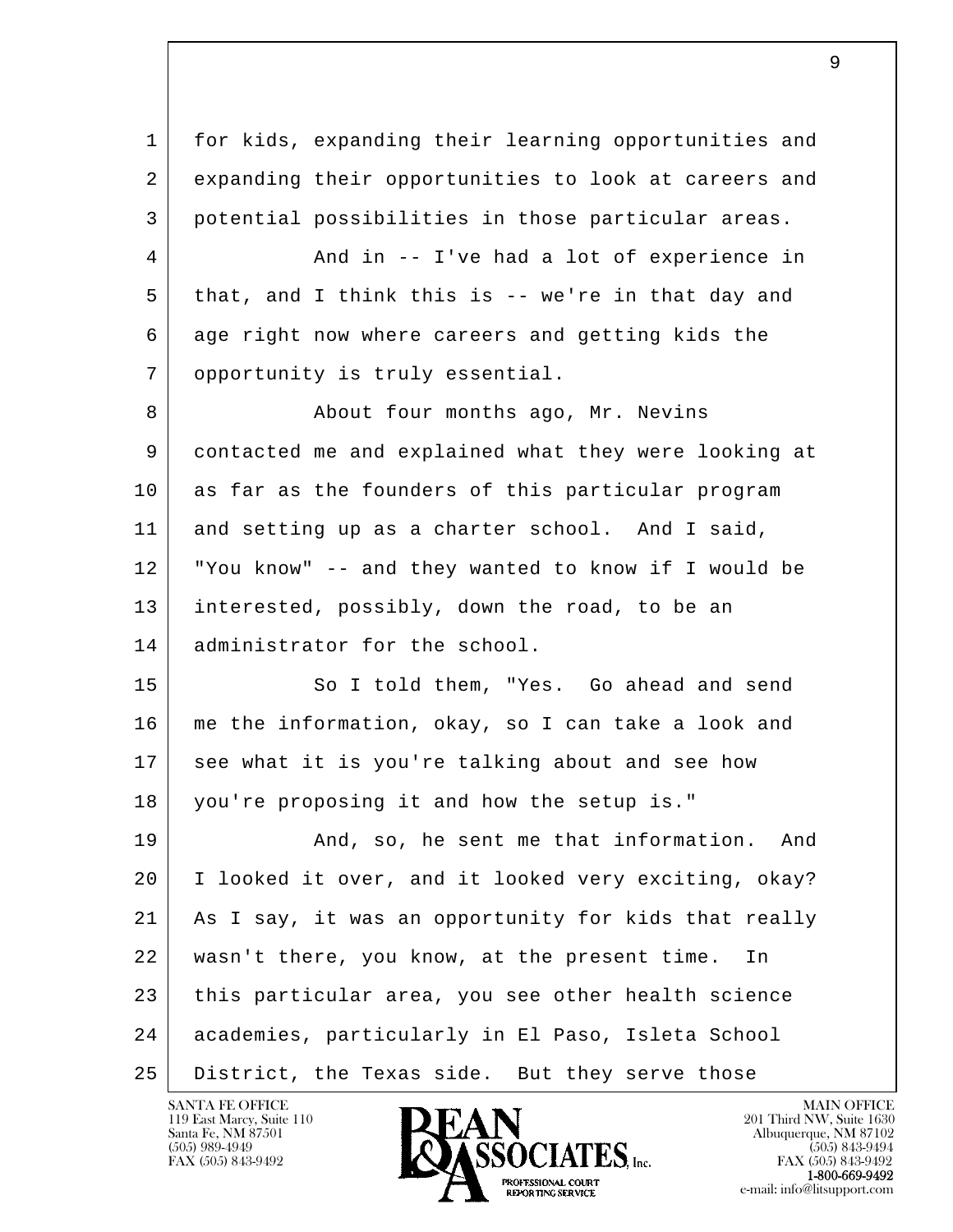| 1  | for kids, expanding their learning opportunities and |
|----|------------------------------------------------------|
| 2  | expanding their opportunities to look at careers and |
| 3  | potential possibilities in those particular areas.   |
| 4  | And in -- I've had a lot of experience in            |
| 5  | that, and I think this is -- we're in that day and   |
| 6  | age right now where careers and getting kids the     |
| 7  | opportunity is truly essential.                      |
| 8  | About four months ago, Mr. Nevins                    |
| 9  | contacted me and explained what they were looking at |
| 10 | as far as the founders of this particular program    |
| 11 | and setting up as a charter school. And I said,      |
| 12 | "You know" -- and they wanted to know if I would be  |
| 13 | interested, possibly, down the road, to be an        |
| 14 | administrator for the school.                        |
| 15 | So I told them, "Yes. Go ahead and send              |
| 16 | me the information, okay, so I can take a look and   |
| 17 | see what it is you're talking about and see how      |
| 18 | you're proposing it and how the setup is."           |
| 19 | And, so, he sent me that information.<br>And         |
| 20 | I looked it over, and it looked very exciting, okay? |
| 21 | As I say, it was an opportunity for kids that really |
| 22 | wasn't there, you know, at the present time.<br>In   |
| 23 | this particular area, you see other health science   |
| 24 | academies, particularly in El Paso, Isleta School    |
| 25 | District, the Texas side. But they serve those       |

е произведение в произведении с произведении в соответстве в действия в достаточность в действия в действия в д<br>В действия в действия в действия в действия в действия в действия в действия в действия в действия в действия

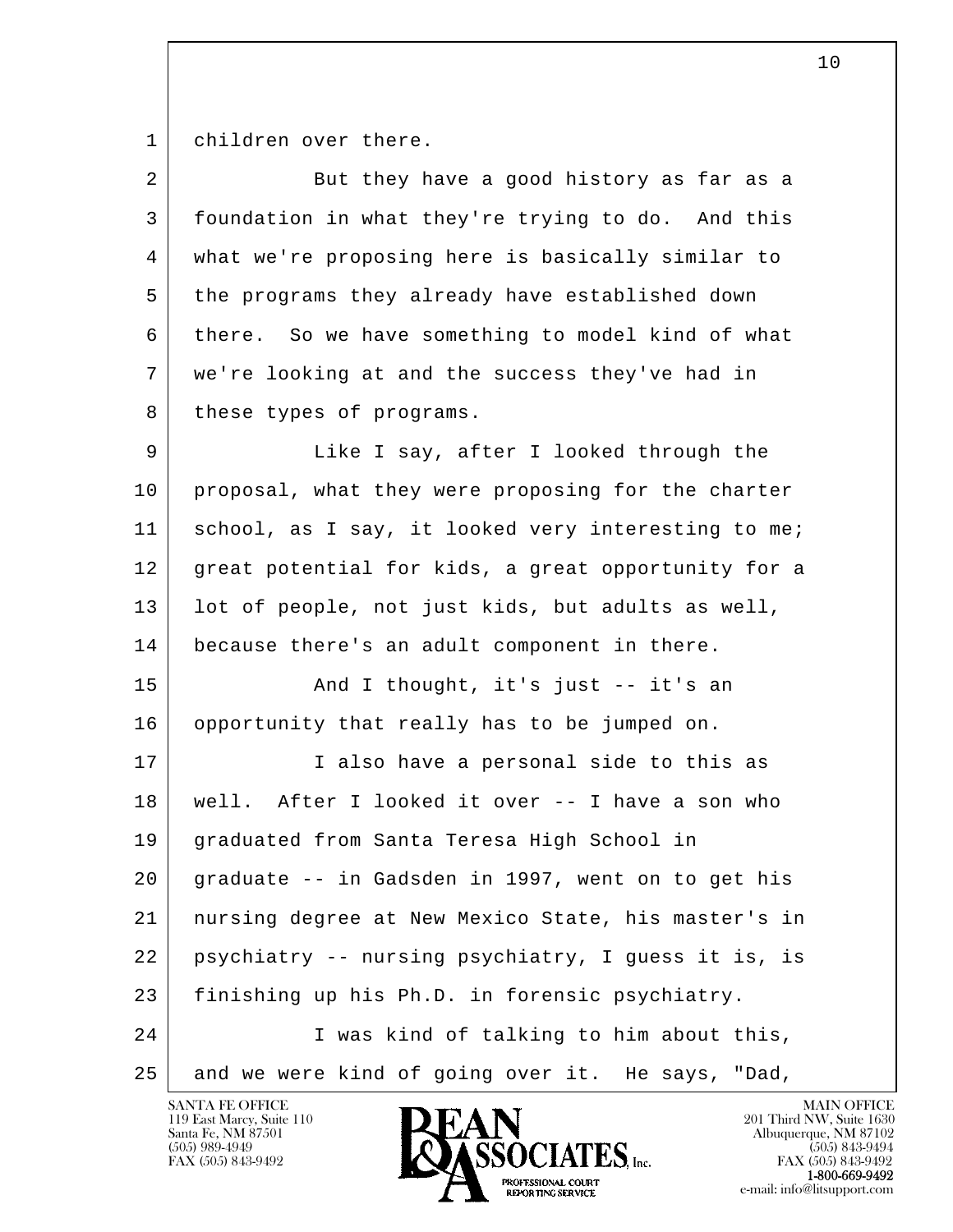1 children over there.

| $\overline{a}$ | But they have a good history as far as a            |
|----------------|-----------------------------------------------------|
| 3              | foundation in what they're trying to do. And this   |
| 4              | what we're proposing here is basically similar to   |
| 5              | the programs they already have established down     |
| 6              | there. So we have something to model kind of what   |
| 7              | we're looking at and the success they've had in     |
| 8              | these types of programs.                            |
| 9              | Like I say, after I looked through the              |
| 10             | proposal, what they were proposing for the charter  |
| 11             | school, as I say, it looked very interesting to me; |
| 12             | great potential for kids, a great opportunity for a |
| 13             | lot of people, not just kids, but adults as well,   |
| 14             | because there's an adult component in there.        |
| 15             | And I thought, it's just -- it's an                 |
| 16             | opportunity that really has to be jumped on.        |
| 17             | I also have a personal side to this as              |
| 18             | well. After I looked it over -- I have a son who    |
| 19             | graduated from Santa Teresa High School in          |
| 20             | graduate -- in Gadsden in 1997, went on to get his  |
| 21             | nursing degree at New Mexico State, his master's in |
| 22             | psychiatry -- nursing psychiatry, I guess it is, is |
| 23             | finishing up his Ph.D. in forensic psychiatry.      |
| 24             | I was kind of talking to him about this,            |
| 25             | and we were kind of going over it. He says, "Dad,   |

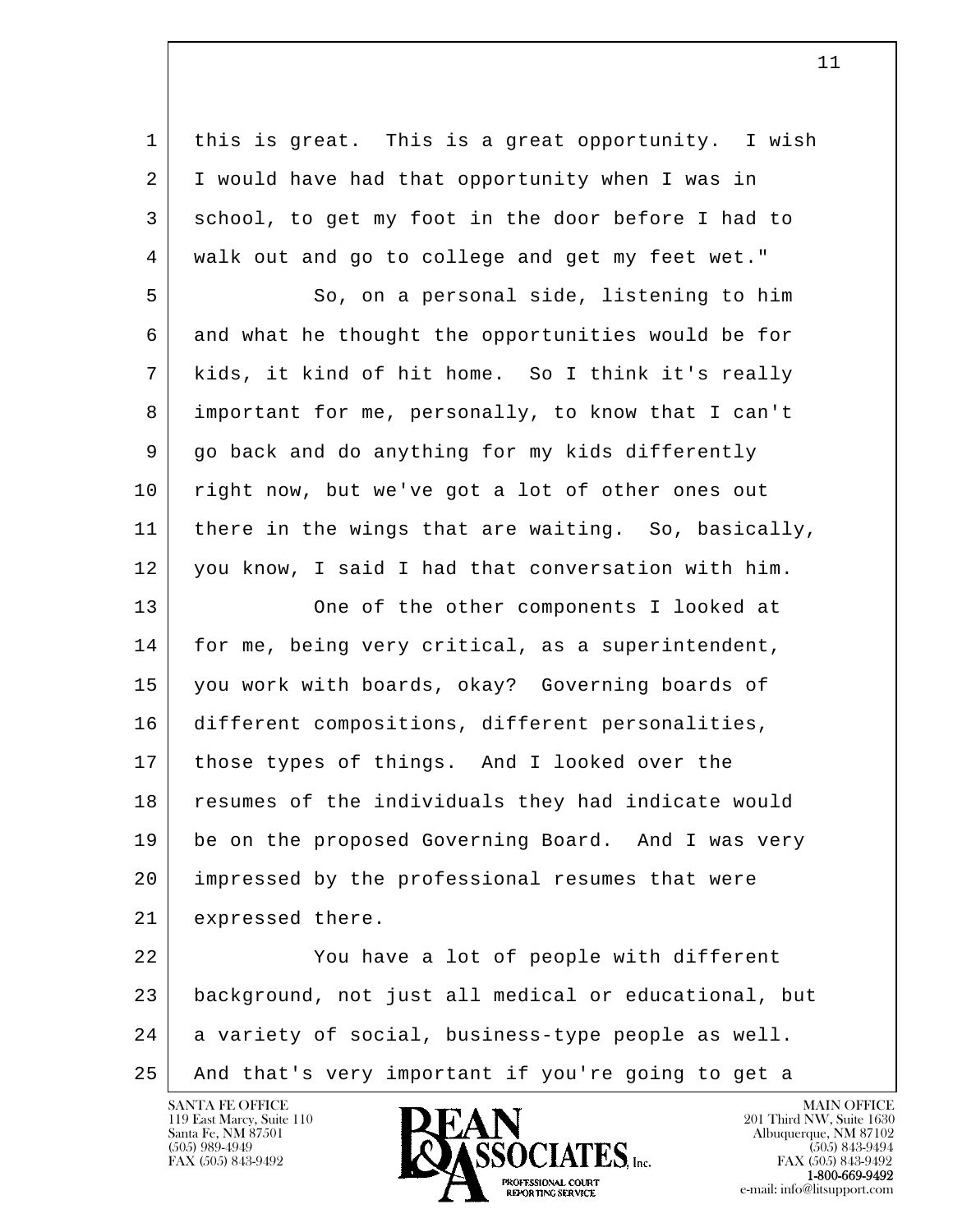1 this is great. This is a great opportunity. I wish 2 I would have had that opportunity when I was in 3 school, to get my foot in the door before I had to 4 walk out and go to college and get my feet wet."

5 So, on a personal side, listening to him 6 and what he thought the opportunities would be for 7 kids, it kind of hit home. So I think it's really 8 important for me, personally, to know that I can't 9 go back and do anything for my kids differently 10 right now, but we've got a lot of other ones out 11 | there in the wings that are waiting. So, basically, 12 you know, I said I had that conversation with him.

13 One of the other components I looked at 14 | for me, being very critical, as a superintendent, 15 you work with boards, okay? Governing boards of 16 different compositions, different personalities, 17 those types of things. And I looked over the 18 resumes of the individuals they had indicate would 19 be on the proposed Governing Board. And I was very 20 impressed by the professional resumes that were 21 expressed there.

l  $\overline{\phantom{a}}$ 22 You have a lot of people with different 23 background, not just all medical or educational, but  $24$  a variety of social, business-type people as well. 25 And that's very important if you're going to get a

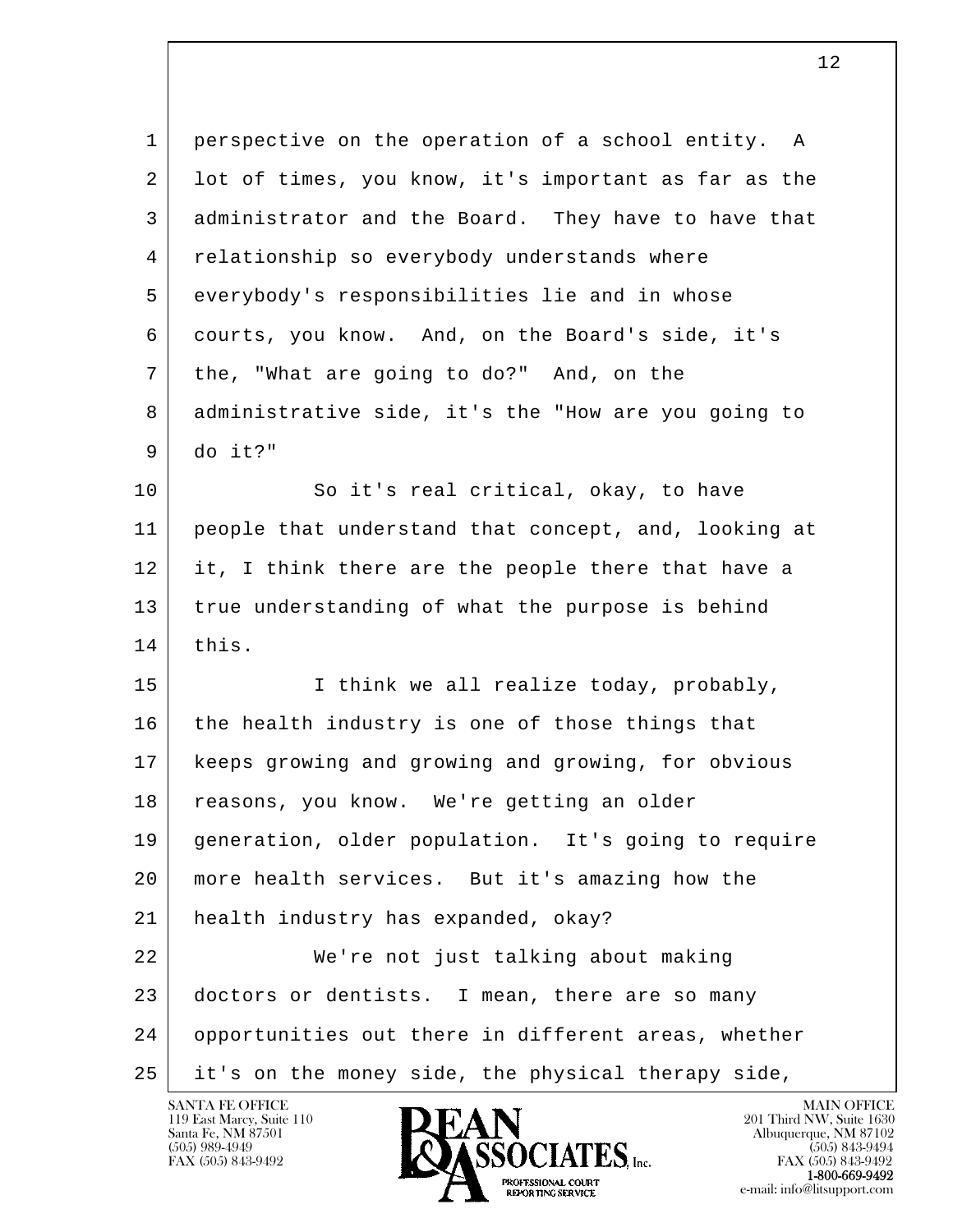l  $\overline{\phantom{a}}$  1 perspective on the operation of a school entity. A 2 lot of times, you know, it's important as far as the 3 administrator and the Board. They have to have that 4 relationship so everybody understands where 5 everybody's responsibilities lie and in whose 6 courts, you know. And, on the Board's side, it's 7 the, "What are going to do?" And, on the 8 administrative side, it's the "How are you going to 9 do it?" 10 So it's real critical, okay, to have 11 people that understand that concept, and, looking at 12 it, I think there are the people there that have a 13 true understanding of what the purpose is behind 14 this. 15 | Think we all realize today, probably, 16 the health industry is one of those things that 17 keeps growing and growing and growing, for obvious 18 reasons, you know. We're getting an older 19 generation, older population. It's going to require 20 more health services. But it's amazing how the 21 health industry has expanded, okay? 22 We're not just talking about making 23 doctors or dentists. I mean, there are so many 24 opportunities out there in different areas, whether 25 it's on the money side, the physical therapy side,

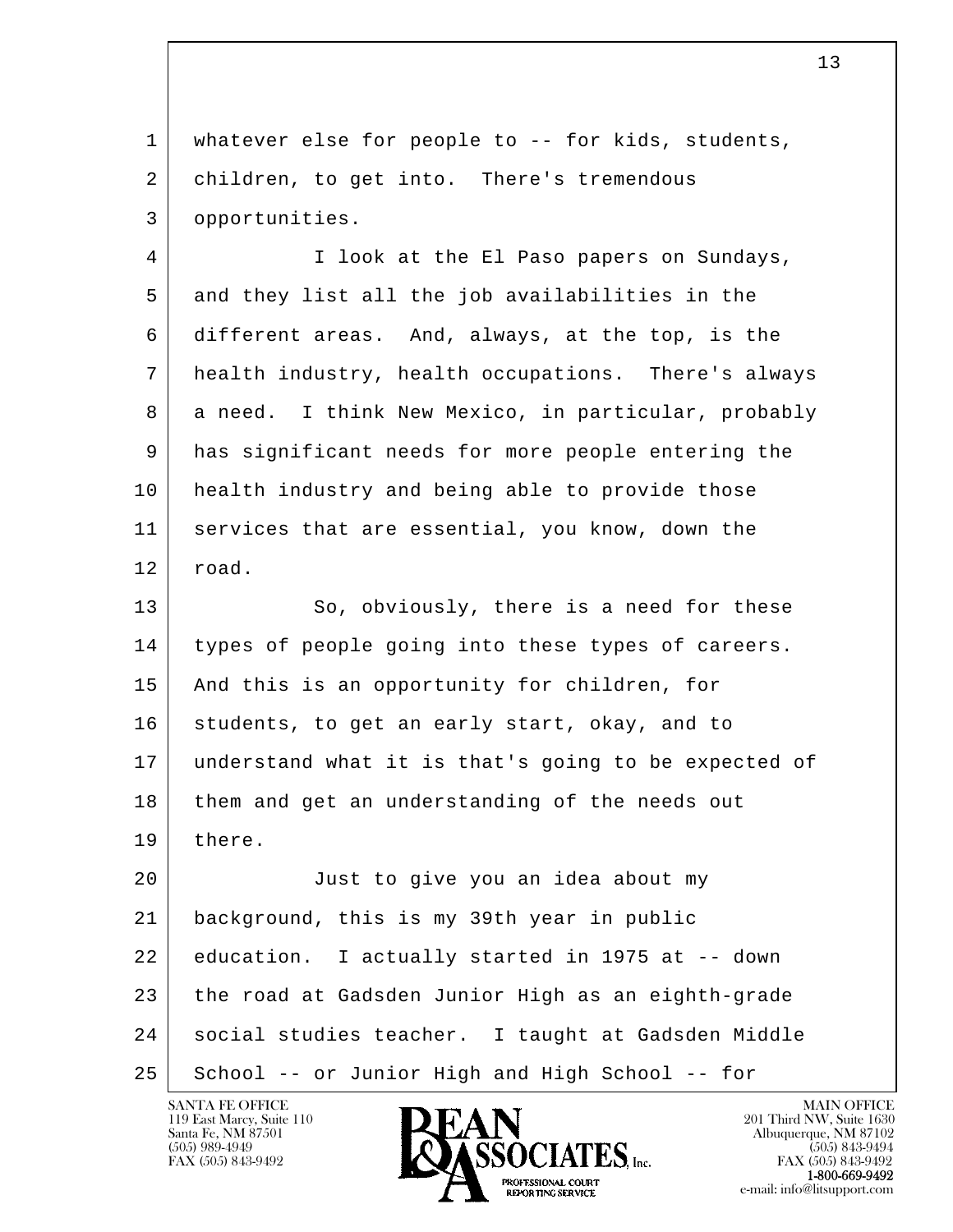1 | whatever else for people to -- for kids, students, 2 children, to get into. There's tremendous 3 opportunities. 4 I look at the El Paso papers on Sundays,

 5 and they list all the job availabilities in the 6 different areas. And, always, at the top, is the 7 health industry, health occupations. There's always 8 a need. I think New Mexico, in particular, probably 9 has significant needs for more people entering the 10 health industry and being able to provide those 11 services that are essential, you know, down the 12 road.

13 So, obviously, there is a need for these 14 types of people going into these types of careers. 15 And this is an opportunity for children, for 16 students, to get an early start, okay, and to 17 understand what it is that's going to be expected of 18 them and get an understanding of the needs out 19 | there.

l  $\overline{\phantom{a}}$  20 Just to give you an idea about my 21 background, this is my 39th year in public 22 education. I actually started in 1975 at -- down 23 the road at Gadsden Junior High as an eighth-grade 24 social studies teacher. I taught at Gadsden Middle 25 | School -- or Junior High and High School -- for

119 East Marcy, Suite 110<br>Santa Fe, NM 87501



**EXECUTE EXECUTE:**<br>REPORTING SERVICE e-mail: info@litsupport.com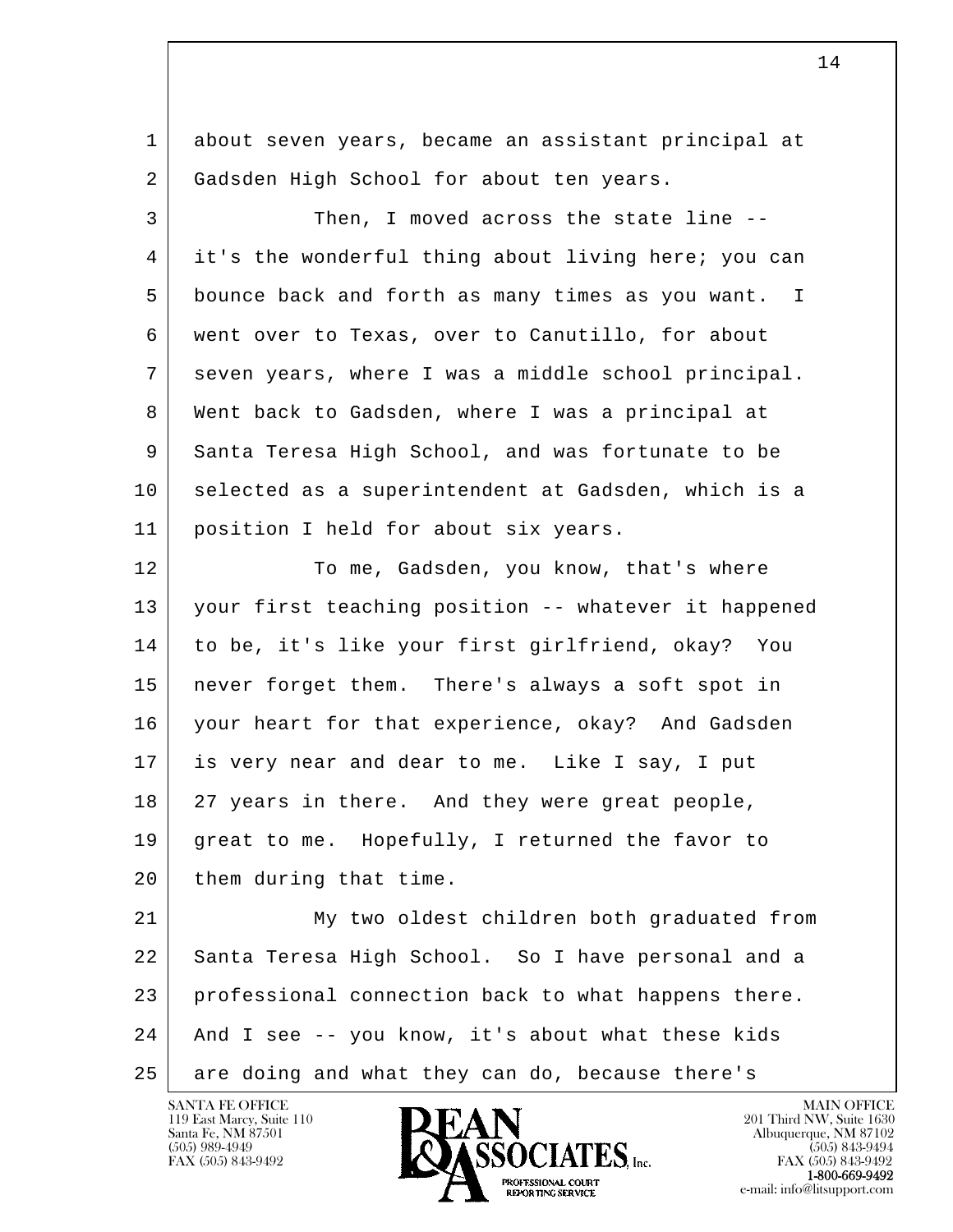l  $\overline{\phantom{a}}$  1 about seven years, became an assistant principal at 2 Gadsden High School for about ten years. 3 Then, I moved across the state line -- 4 it's the wonderful thing about living here; you can 5 bounce back and forth as many times as you want. I 6 went over to Texas, over to Canutillo, for about 7 seven years, where I was a middle school principal. 8 Went back to Gadsden, where I was a principal at 9 Santa Teresa High School, and was fortunate to be 10 selected as a superintendent at Gadsden, which is a 11 position I held for about six years. 12 To me, Gadsden, you know, that's where 13 your first teaching position -- whatever it happened 14 to be, it's like your first girlfriend, okay? You 15 never forget them. There's always a soft spot in 16 your heart for that experience, okay? And Gadsden 17 is very near and dear to me. Like I say, I put 18 27 years in there. And they were great people, 19 great to me. Hopefully, I returned the favor to 20 | them during that time. 21 My two oldest children both graduated from 22 Santa Teresa High School. So I have personal and a 23 professional connection back to what happens there. 24 And I see -- you know, it's about what these kids 25 are doing and what they can do, because there's

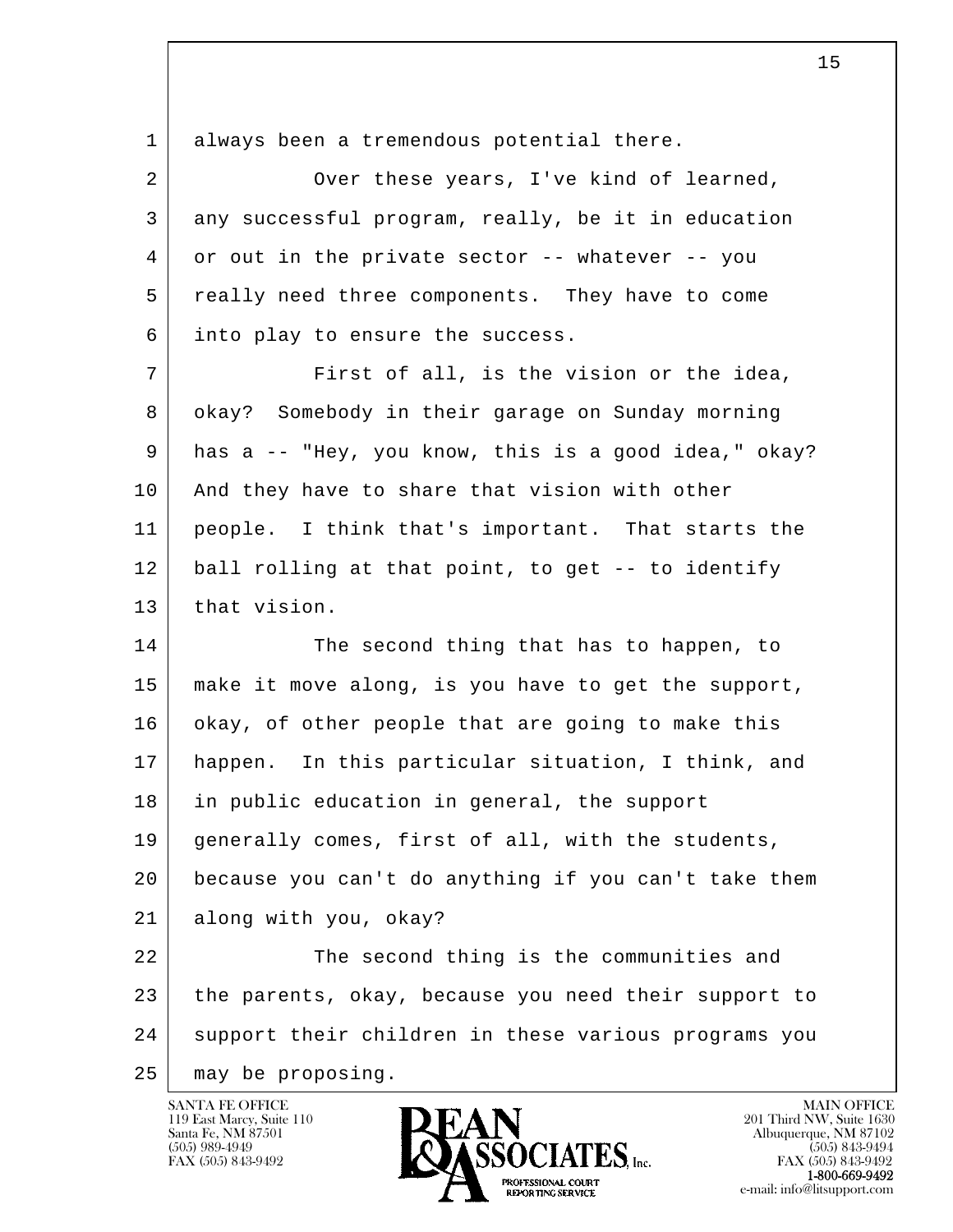| 1  | always been a tremendous potential there.             |
|----|-------------------------------------------------------|
| 2  | Over these years, I've kind of learned,               |
| 3  | any successful program, really, be it in education    |
| 4  | or out in the private sector -- whatever -- you       |
| 5  | really need three components. They have to come       |
| 6  | into play to ensure the success.                      |
| 7  | First of all, is the vision or the idea,              |
| 8  | okay? Somebody in their garage on Sunday morning      |
| 9  | has a -- "Hey, you know, this is a good idea," okay?  |
| 10 | And they have to share that vision with other         |
| 11 | people. I think that's important. That starts the     |
| 12 | ball rolling at that point, to get -- to identify     |
| 13 | that vision.                                          |
| 14 | The second thing that has to happen, to               |
| 15 | make it move along, is you have to get the support,   |
| 16 | okay, of other people that are going to make this     |
| 17 | In this particular situation, I think, and<br>happen. |
| 18 | in public education in general, the support           |
| 19 | generally comes, first of all, with the students,     |
| 20 | because you can't do anything if you can't take them  |
| 21 | along with you, okay?                                 |
| 22 | The second thing is the communities and               |
| 23 | the parents, okay, because you need their support to  |
| 24 | support their children in these various programs you  |
| 25 | may be proposing.                                     |

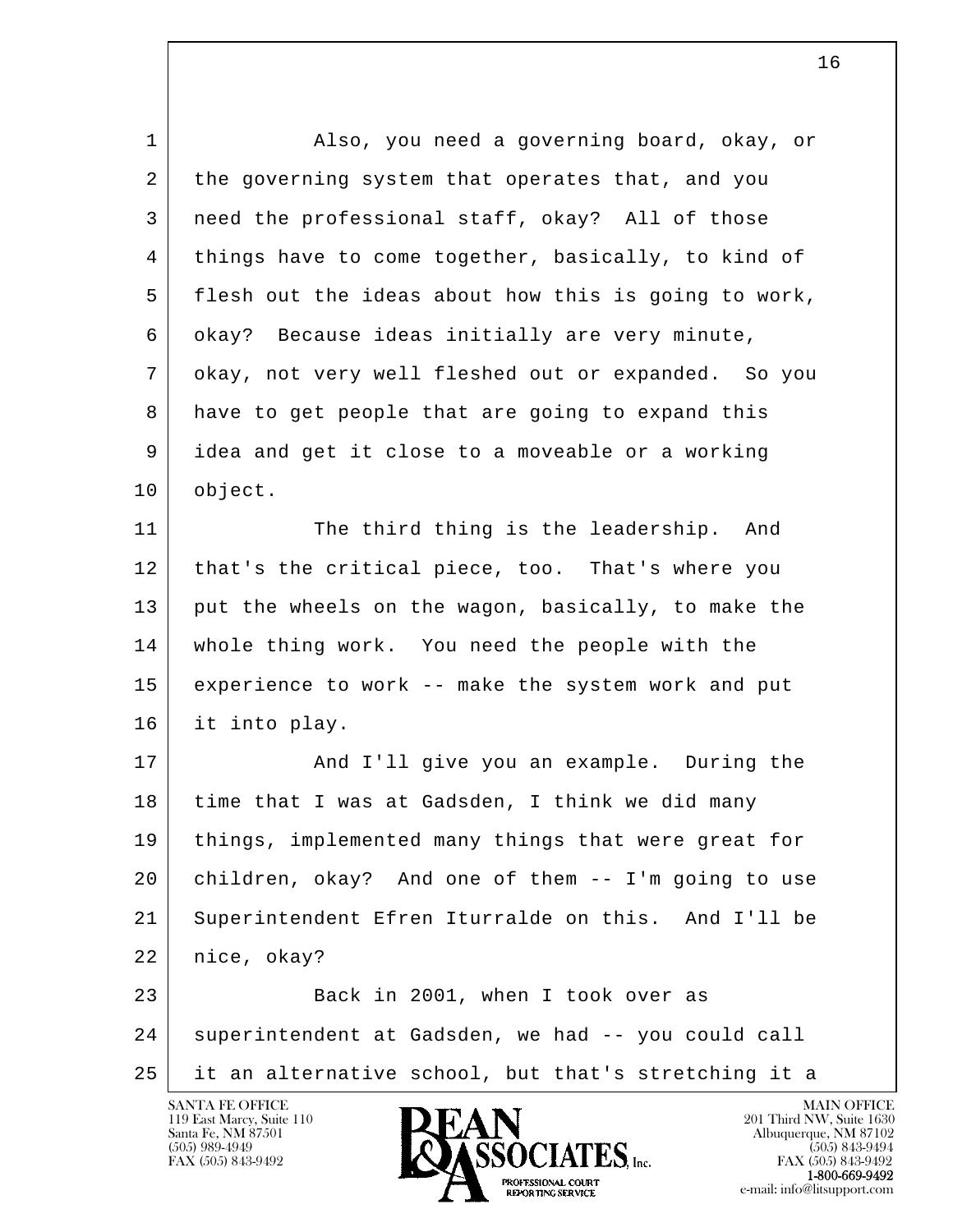| $\mathbf 1$    | Also, you need a governing board, okay, or           |
|----------------|------------------------------------------------------|
| $\overline{2}$ | the governing system that operates that, and you     |
| 3              | need the professional staff, okay? All of those      |
| 4              | things have to come together, basically, to kind of  |
| 5              | flesh out the ideas about how this is going to work, |
| 6              | okay? Because ideas initially are very minute,       |
| 7              | okay, not very well fleshed out or expanded. So you  |
| 8              | have to get people that are going to expand this     |
| 9              | idea and get it close to a moveable or a working     |
| 10             | object.                                              |
| 11             | The third thing is the leadership. And               |
| 12             | that's the critical piece, too. That's where you     |
| 13             | put the wheels on the wagon, basically, to make the  |
| 14             | whole thing work. You need the people with the       |
| 15             | experience to work -- make the system work and put   |
| 16             | it into play.                                        |
| 17             | And I'll give you an example. During the             |
| 18             | time that I was at Gadsden, I think we did many      |
| 19             | things, implemented many things that were great for  |
| 20             | children, okay? And one of them -- I'm going to use  |
| 21             | Superintendent Efren Iturralde on this. And I'll be  |
| 22             | nice, okay?                                          |
| 23             | Back in 2001, when I took over as                    |
| 24             | superintendent at Gadsden, we had -- you could call  |
| 25             | it an alternative school, but that's stretching it a |
|                | SANTA FE OFFICE<br><b>MAIN OFFICE</b>                |

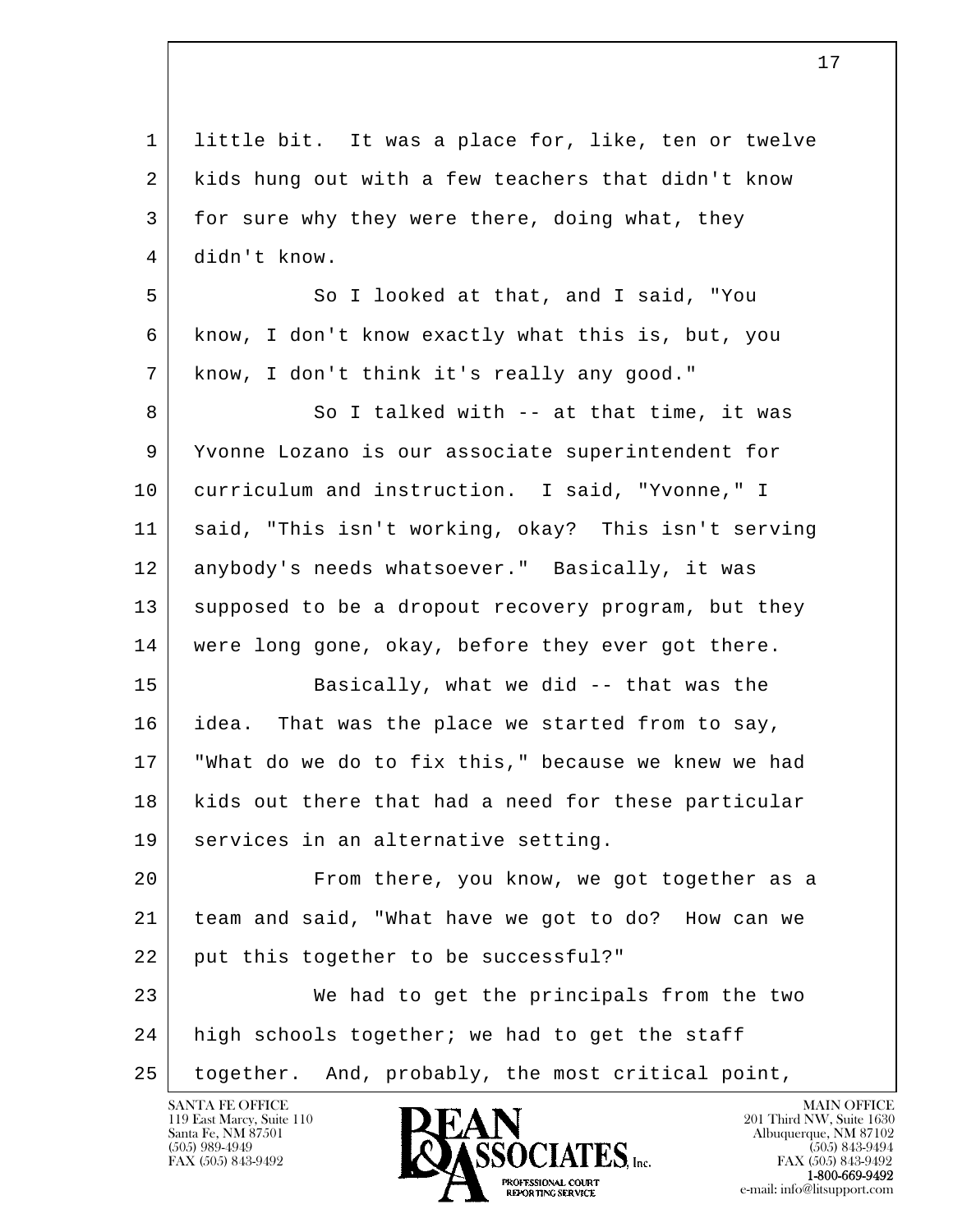| $\mathbf{1}$   | little bit. It was a place for, like, ten or twelve |
|----------------|-----------------------------------------------------|
| $\overline{2}$ | kids hung out with a few teachers that didn't know  |
| 3              | for sure why they were there, doing what, they      |
| 4              | didn't know.                                        |
| 5              | So I looked at that, and I said, "You               |
| 6              | know, I don't know exactly what this is, but, you   |
| 7              | know, I don't think it's really any good."          |
| 8              | So I talked with -- at that time, it was            |
| 9              | Yvonne Lozano is our associate superintendent for   |
| 10             | curriculum and instruction. I said, "Yvonne," I     |
| 11             | said, "This isn't working, okay? This isn't serving |
| 12             | anybody's needs whatsoever." Basically, it was      |
| 13             | supposed to be a dropout recovery program, but they |
| 14             | were long gone, okay, before they ever got there.   |
| 15             | Basically, what we did -- that was the              |
| 16             | idea. That was the place we started from to say,    |
| 17             | "What do we do to fix this," because we knew we had |
| 18             | kids out there that had a need for these particular |
| 19             | services in an alternative setting.                 |
| 20             | From there, you know, we got together as a          |
| 21             | team and said, "What have we got to do? How can we  |
| 22             | put this together to be successful?"                |
| 23             | We had to get the principals from the two           |
| 24             | high schools together; we had to get the staff      |
| 25             | together. And, probably, the most critical point,   |
|                |                                                     |

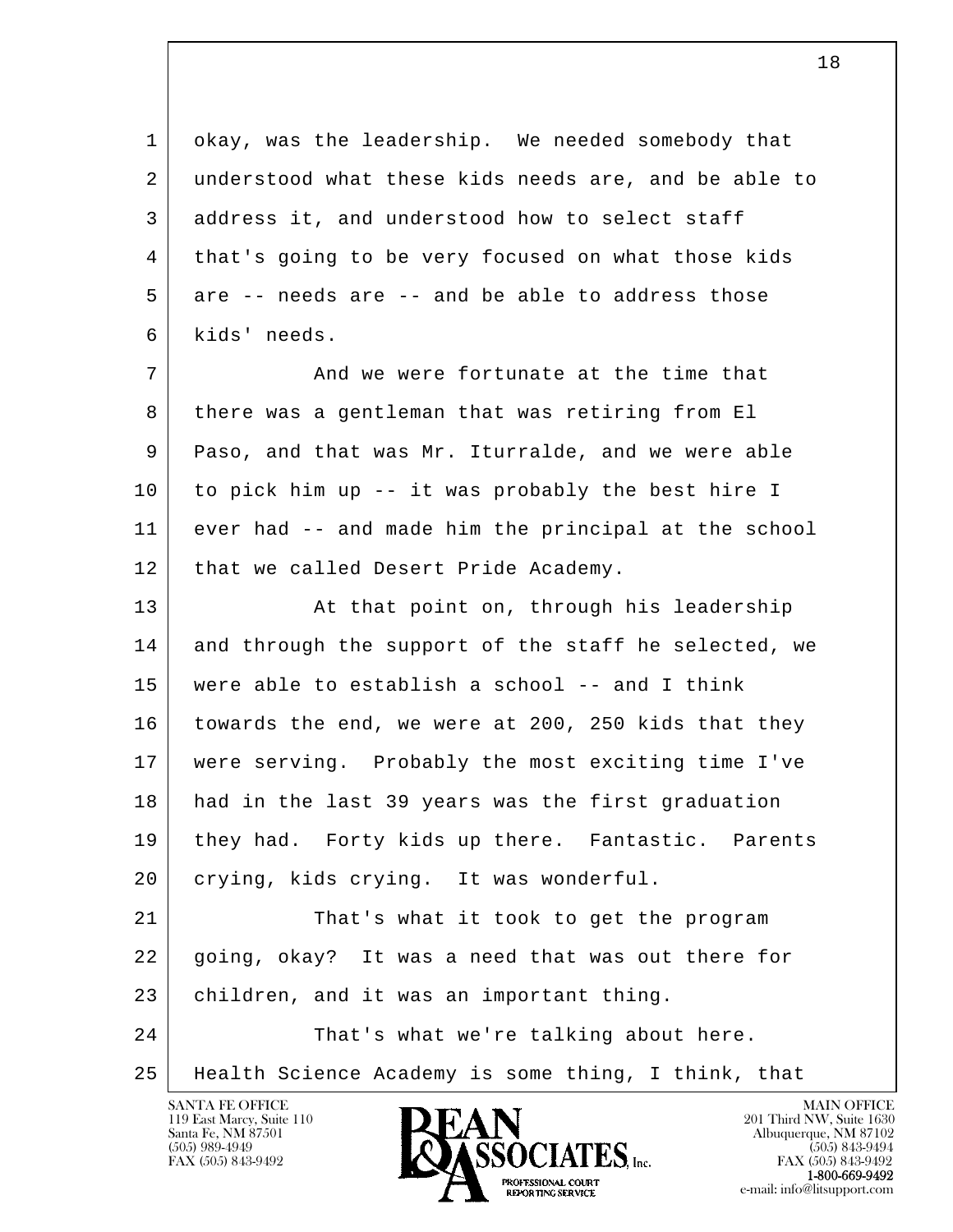| okay, was the leadership. We needed somebody that<br>1<br>understood what these kids needs are, and be able to<br>2<br>3<br>address it, and understood how to select staff<br>that's going to be very focused on what those kids<br>4<br>5<br>are -- needs are -- and be able to address those |  |
|------------------------------------------------------------------------------------------------------------------------------------------------------------------------------------------------------------------------------------------------------------------------------------------------|--|
|                                                                                                                                                                                                                                                                                                |  |
|                                                                                                                                                                                                                                                                                                |  |
|                                                                                                                                                                                                                                                                                                |  |
|                                                                                                                                                                                                                                                                                                |  |
|                                                                                                                                                                                                                                                                                                |  |
| kids' needs.<br>6                                                                                                                                                                                                                                                                              |  |
| 7<br>And we were fortunate at the time that                                                                                                                                                                                                                                                    |  |
| there was a gentleman that was retiring from El<br>8                                                                                                                                                                                                                                           |  |
| 9<br>Paso, and that was Mr. Iturralde, and we were able                                                                                                                                                                                                                                        |  |
| to pick him up -- it was probably the best hire I<br>10                                                                                                                                                                                                                                        |  |
| 11<br>ever had -- and made him the principal at the school                                                                                                                                                                                                                                     |  |
| 12<br>that we called Desert Pride Academy.                                                                                                                                                                                                                                                     |  |
| 13<br>At that point on, through his leadership                                                                                                                                                                                                                                                 |  |
| 14<br>and through the support of the staff he selected, we                                                                                                                                                                                                                                     |  |
| 15<br>were able to establish a school -- and I think                                                                                                                                                                                                                                           |  |
| towards the end, we were at 200, 250 kids that they<br>16                                                                                                                                                                                                                                      |  |
| were serving. Probably the most exciting time I've<br>17                                                                                                                                                                                                                                       |  |
| had in the last 39 years was the first graduation<br>18                                                                                                                                                                                                                                        |  |
| 19<br>they had. Forty kids up there. Fantastic. Parents                                                                                                                                                                                                                                        |  |
| crying, kids crying. It was wonderful.<br>20                                                                                                                                                                                                                                                   |  |
| 21<br>That's what it took to get the program                                                                                                                                                                                                                                                   |  |
| 22<br>going, okay? It was a need that was out there for                                                                                                                                                                                                                                        |  |
| 23<br>children, and it was an important thing.                                                                                                                                                                                                                                                 |  |
| 24<br>That's what we're talking about here.                                                                                                                                                                                                                                                    |  |
| Health Science Academy is some thing, I think, that<br>25                                                                                                                                                                                                                                      |  |

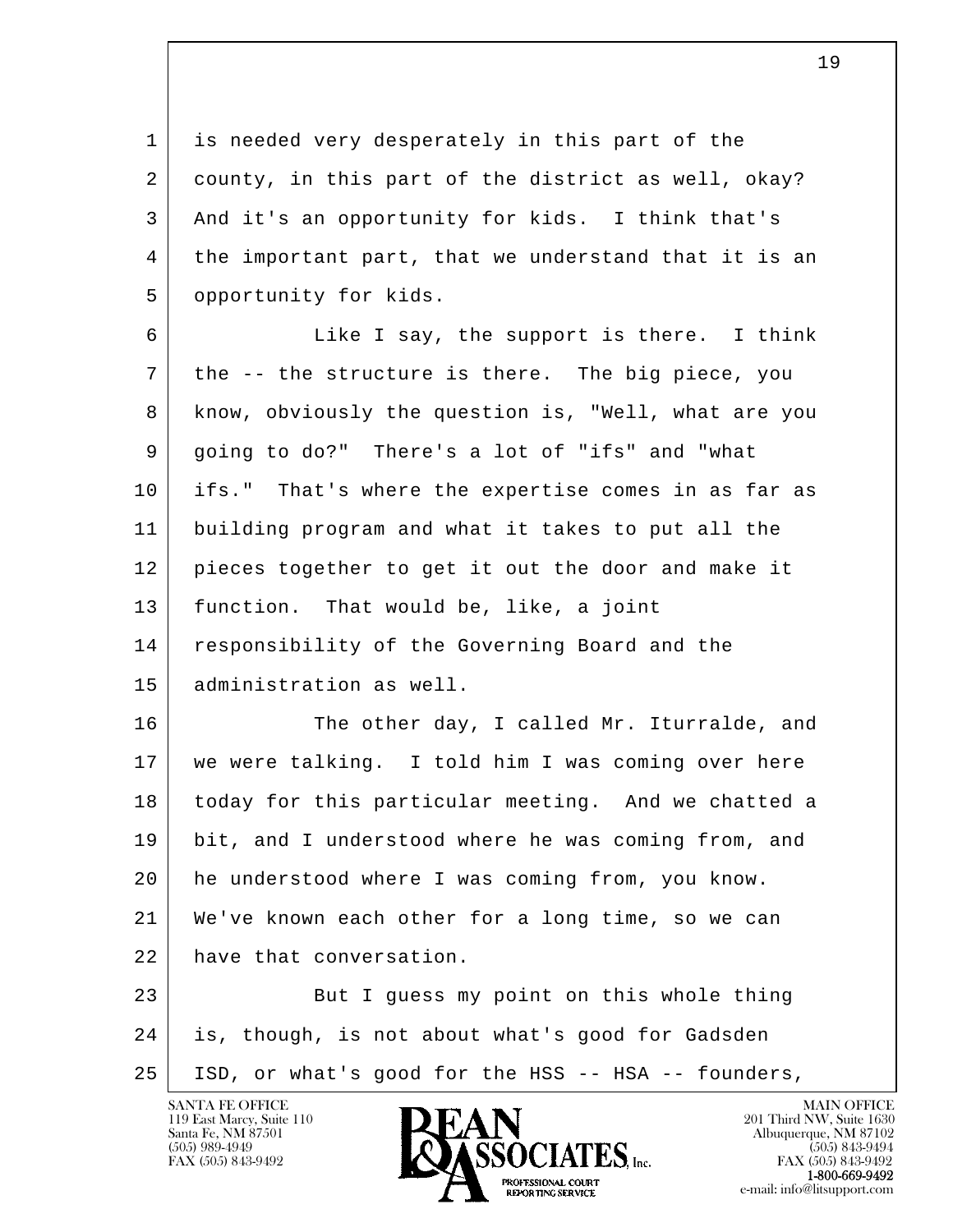1 is needed very desperately in this part of the 2 county, in this part of the district as well, okay? 3 And it's an opportunity for kids. I think that's 4 the important part, that we understand that it is an 5 | opportunity for kids.

6 Like I say, the support is there. I think 7 the -- the structure is there. The big piece, you 8 know, obviously the question is, "Well, what are you 9 going to do?" There's a lot of "ifs" and "what 10 ifs." That's where the expertise comes in as far as 11 building program and what it takes to put all the 12 pieces together to get it out the door and make it 13 function. That would be, like, a joint 14 responsibility of the Governing Board and the 15 administration as well.

16 The other day, I called Mr. Iturralde, and 17 we were talking. I told him I was coming over here 18 today for this particular meeting. And we chatted a 19 bit, and I understood where he was coming from, and 20 he understood where I was coming from, you know. 21 We've known each other for a long time, so we can 22 have that conversation.

l  $\overline{\phantom{a}}$ 23 But I quess my point on this whole thing 24 is, though, is not about what's good for Gadsden 25 ISD, or what's good for the HSS -- HSA -- founders,



FAX (505) 843-9492<br>**1-800-669-9492**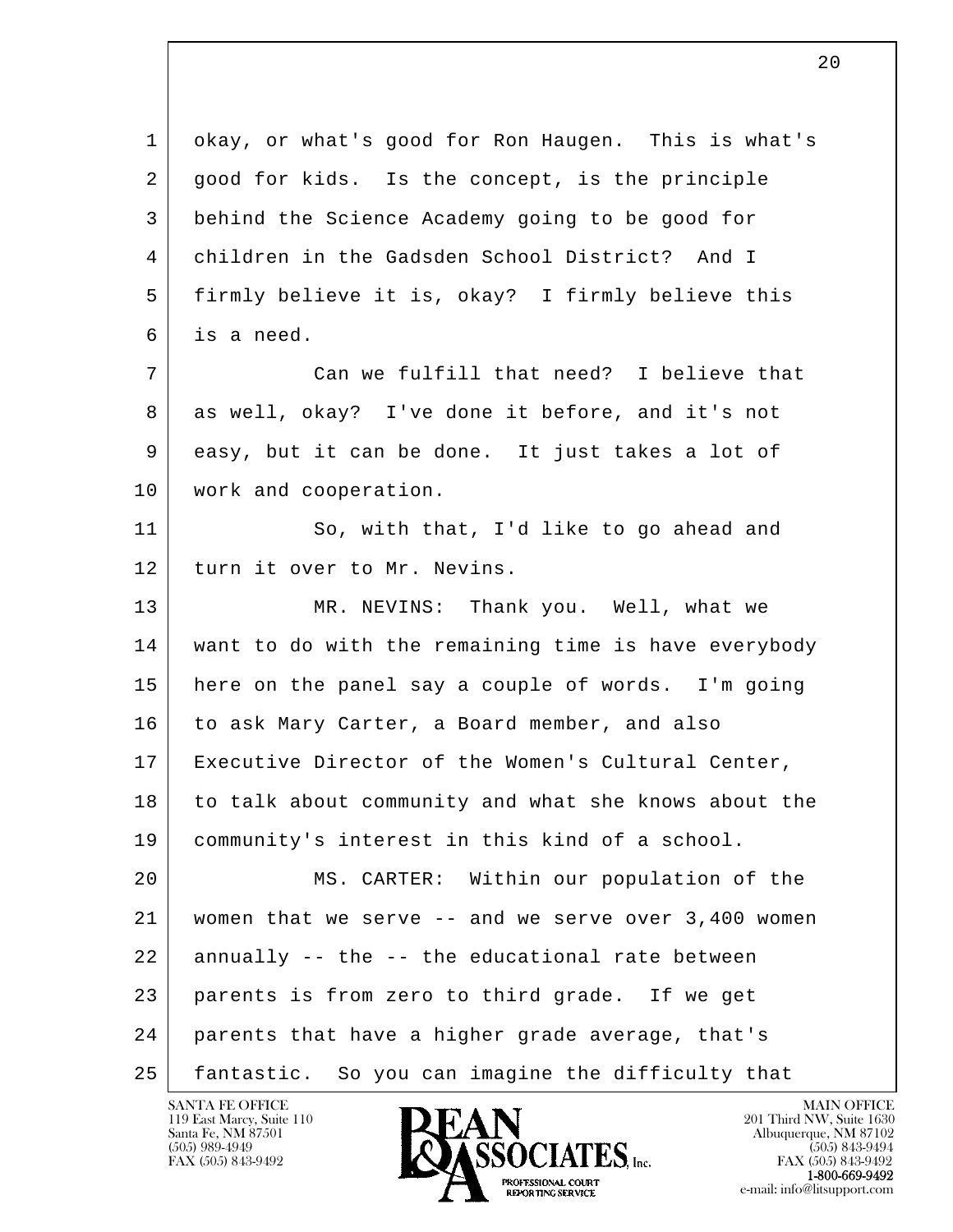l  $\overline{\phantom{a}}$  1 okay, or what's good for Ron Haugen. This is what's 2 | good for kids. Is the concept, is the principle 3 behind the Science Academy going to be good for 4 children in the Gadsden School District? And I 5 firmly believe it is, okay? I firmly believe this 6 is a need. 7 Can we fulfill that need? I believe that 8 as well, okay? I've done it before, and it's not 9 easy, but it can be done. It just takes a lot of 10 | work and cooperation. 11 So, with that, I'd like to go ahead and 12 turn it over to Mr. Nevins. 13 MR. NEVINS: Thank you. Well, what we 14 want to do with the remaining time is have everybody 15 here on the panel say a couple of words. I'm going 16 to ask Mary Carter, a Board member, and also 17 Executive Director of the Women's Cultural Center, 18 to talk about community and what she knows about the 19 community's interest in this kind of a school. 20 MS. CARTER: Within our population of the 21 women that we serve -- and we serve over 3,400 women 22 annually -- the -- the educational rate between 23 parents is from zero to third grade. If we get 24 parents that have a higher grade average, that's 25 fantastic. So you can imagine the difficulty that



FAX (505) 843-9492<br>**1-800-669-9492** e-mail: info@litsupport.com<br>REPORTING SERVICE e-mail: info@litsupport.com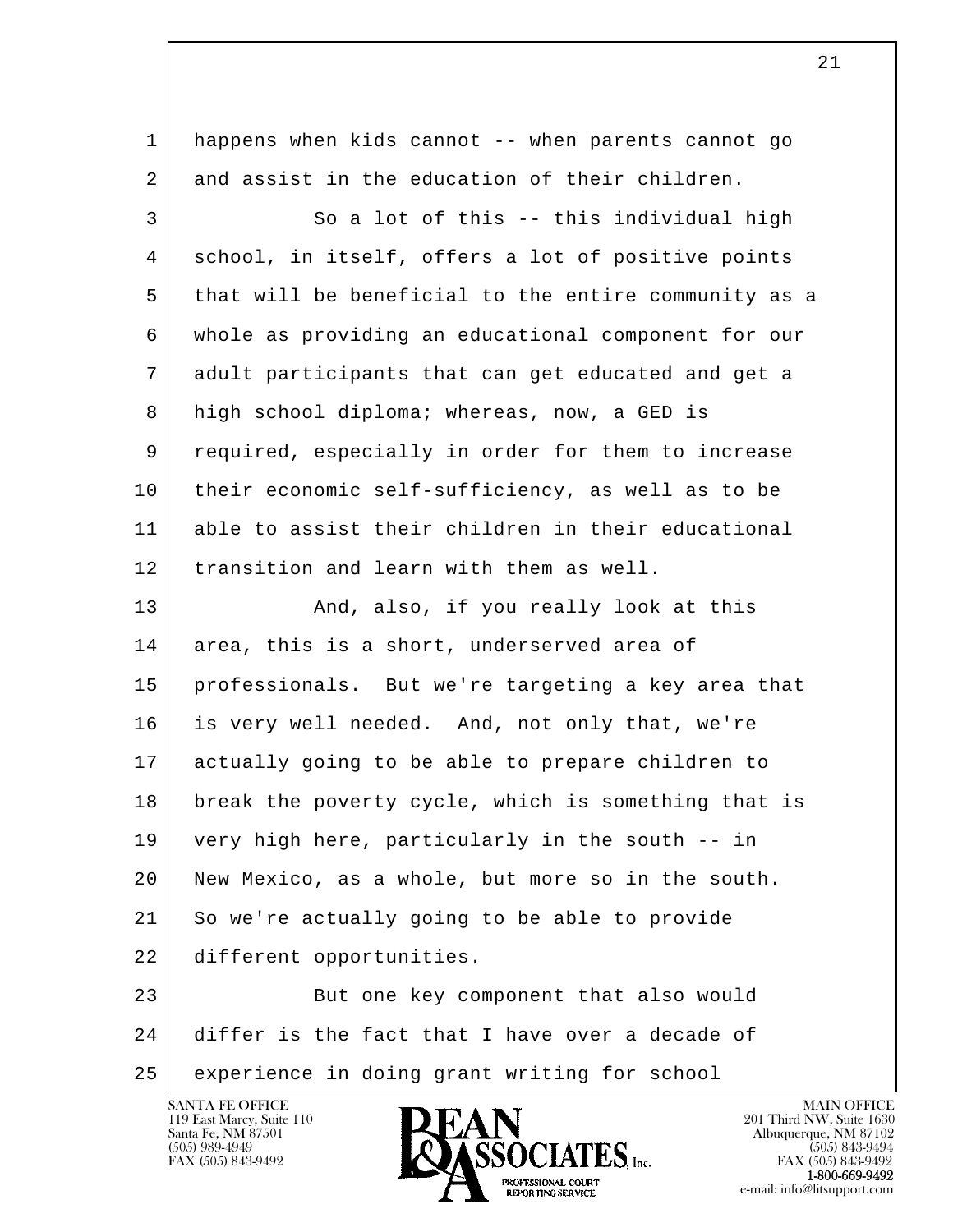| 1  | happens when kids cannot -- when parents cannot go   |
|----|------------------------------------------------------|
| 2  | and assist in the education of their children.       |
| 3  | So a lot of this -- this individual high             |
| 4  | school, in itself, offers a lot of positive points   |
| 5  | that will be beneficial to the entire community as a |
| 6  | whole as providing an educational component for our  |
| 7  | adult participants that can get educated and get a   |
| 8  | high school diploma; whereas, now, a GED is          |
| 9  | required, especially in order for them to increase   |
| 10 | their economic self-sufficiency, as well as to be    |
| 11 | able to assist their children in their educational   |
| 12 | transition and learn with them as well.              |
| 13 | And, also, if you really look at this                |
| 14 | area, this is a short, underserved area of           |
| 15 | professionals. But we're targeting a key area that   |
| 16 | is very well needed. And, not only that, we're       |
| 17 | actually going to be able to prepare children to     |
| 18 | break the poverty cycle, which is something that is  |
| 19 | very high here, particularly in the south -- in      |
| 20 | New Mexico, as a whole, but more so in the south.    |
| 21 | So we're actually going to be able to provide        |
| 22 | different opportunities.                             |
| 23 | But one key component that also would                |
| 24 | differ is the fact that I have over a decade of      |
| 25 | experience in doing grant writing for school         |

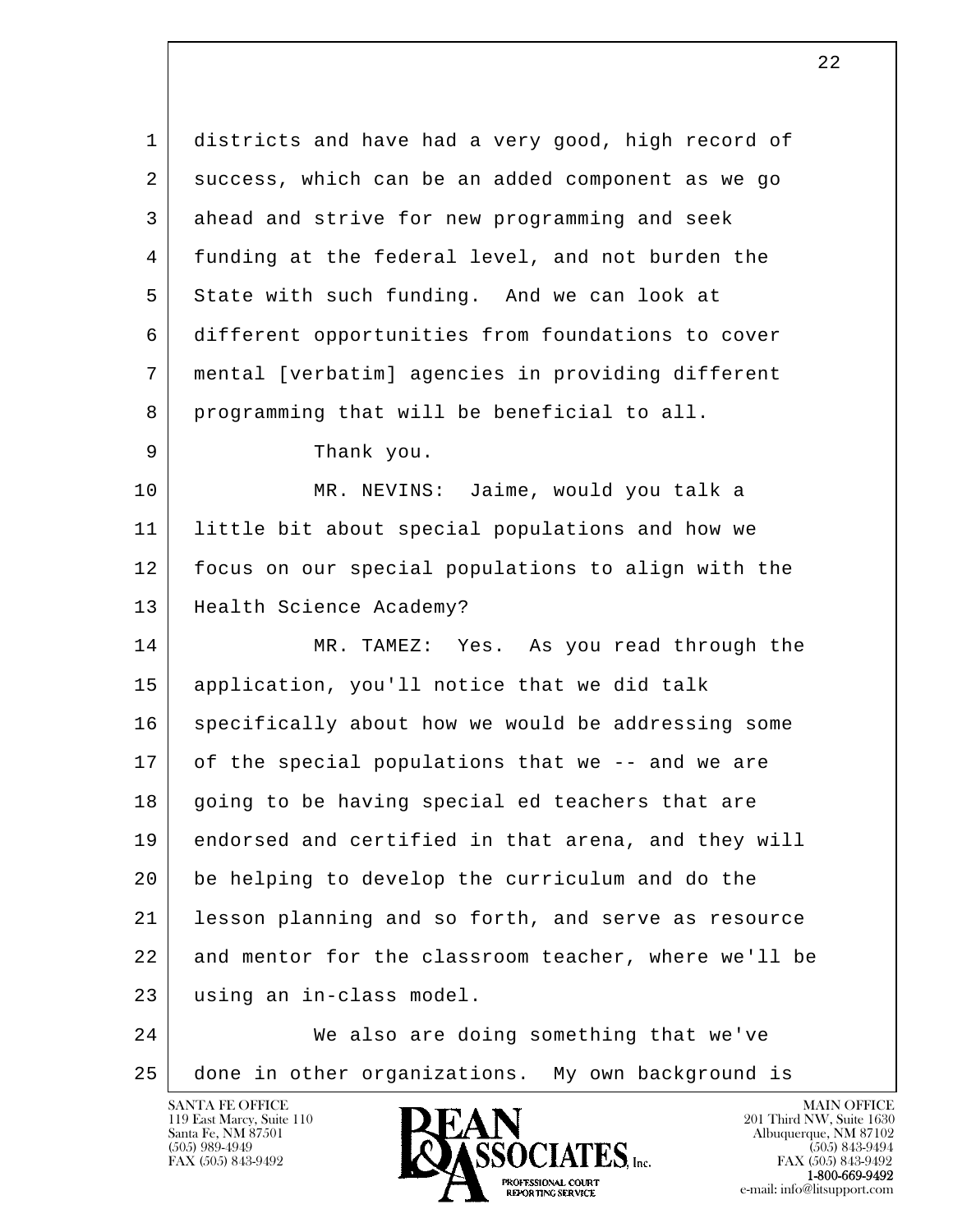l  $\overline{\phantom{a}}$  1 districts and have had a very good, high record of 2 success, which can be an added component as we go 3 ahead and strive for new programming and seek 4 funding at the federal level, and not burden the 5 State with such funding. And we can look at 6 different opportunities from foundations to cover 7 mental [verbatim] agencies in providing different 8 programming that will be beneficial to all. 9 Thank you. 10 MR. NEVINS: Jaime, would you talk a 11 little bit about special populations and how we 12 focus on our special populations to align with the 13 | Health Science Academy? 14 MR. TAMEZ: Yes. As you read through the 15 application, you'll notice that we did talk 16 specifically about how we would be addressing some 17 of the special populations that we -- and we are 18 going to be having special ed teachers that are 19 endorsed and certified in that arena, and they will 20 be helping to develop the curriculum and do the 21 lesson planning and so forth, and serve as resource 22 and mentor for the classroom teacher, where we'll be 23 using an in-class model. 24 We also are doing something that we've 25 done in other organizations. My own background is

119 East Marcy, Suite 110<br>Santa Fe, NM 87501

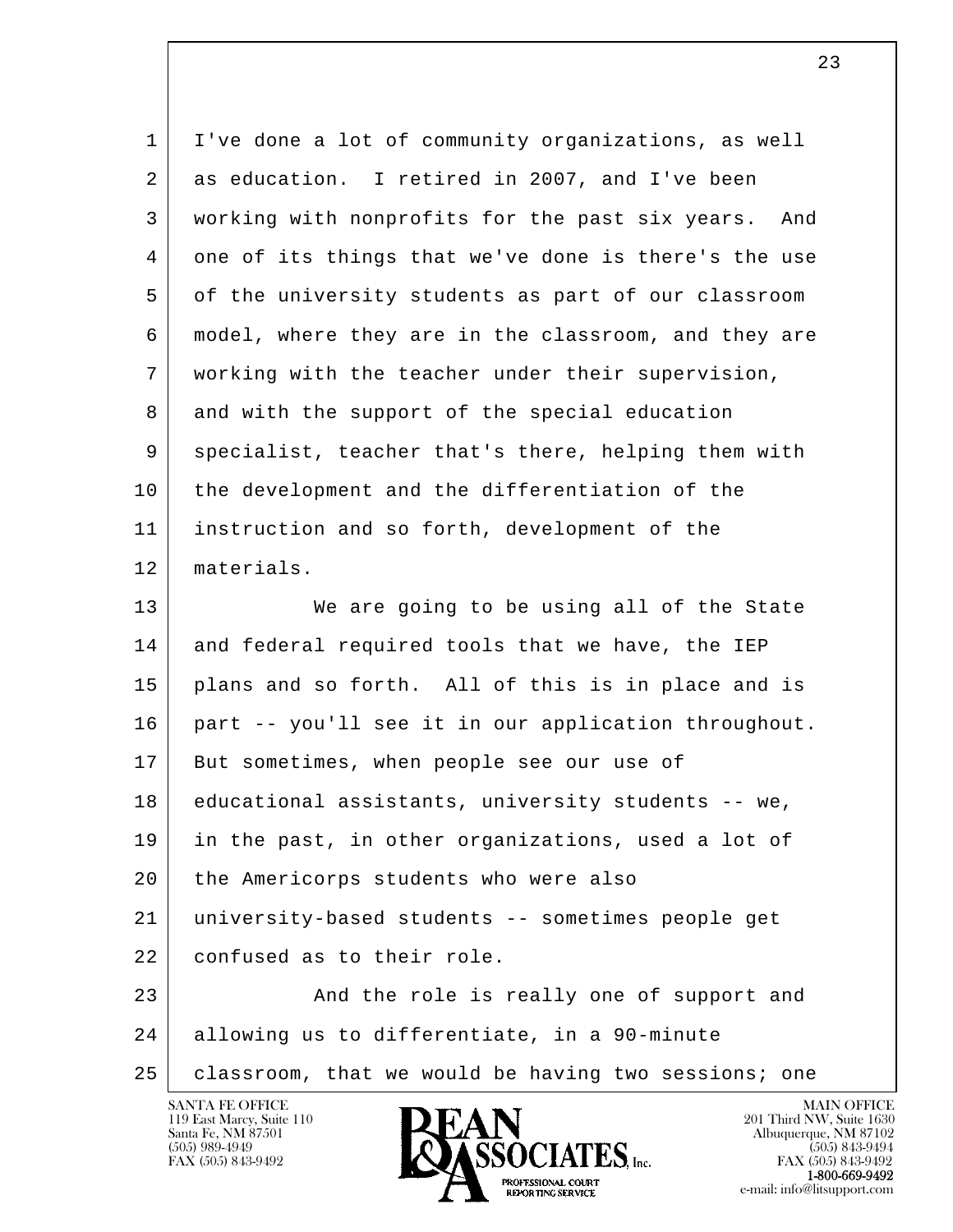| $\mathbf{1}$ | I've done a lot of community organizations, as well    |
|--------------|--------------------------------------------------------|
| 2            | as education. I retired in 2007, and I've been         |
|              |                                                        |
| 3            | working with nonprofits for the past six years.<br>And |
| 4            | one of its things that we've done is there's the use   |
| 5            | of the university students as part of our classroom    |
| 6            | model, where they are in the classroom, and they are   |
| 7            | working with the teacher under their supervision,      |
| 8            | and with the support of the special education          |
| 9            | specialist, teacher that's there, helping them with    |
| 10           | the development and the differentiation of the         |
| 11           | instruction and so forth, development of the           |
| 12           | materials.                                             |
| 13           | We are going to be using all of the State              |
| 14           | and federal required tools that we have, the IEP       |
| 15           | plans and so forth. All of this is in place and is     |
| 16           | part -- you'll see it in our application throughout.   |
| 17           | But sometimes, when people see our use of              |
| 18           | educational assistants, university students -- we,     |
| 19           | in the past, in other organizations, used a lot of     |
| 20           | the Americorps students who were also                  |
| 21           | university-based students -- sometimes people get      |
| 22           | confused as to their role.                             |
| 23           | And the role is really one of support and              |
| 24           | allowing us to differentiate, in a 90-minute           |
| 25           | classroom, that we would be having two sessions; one   |

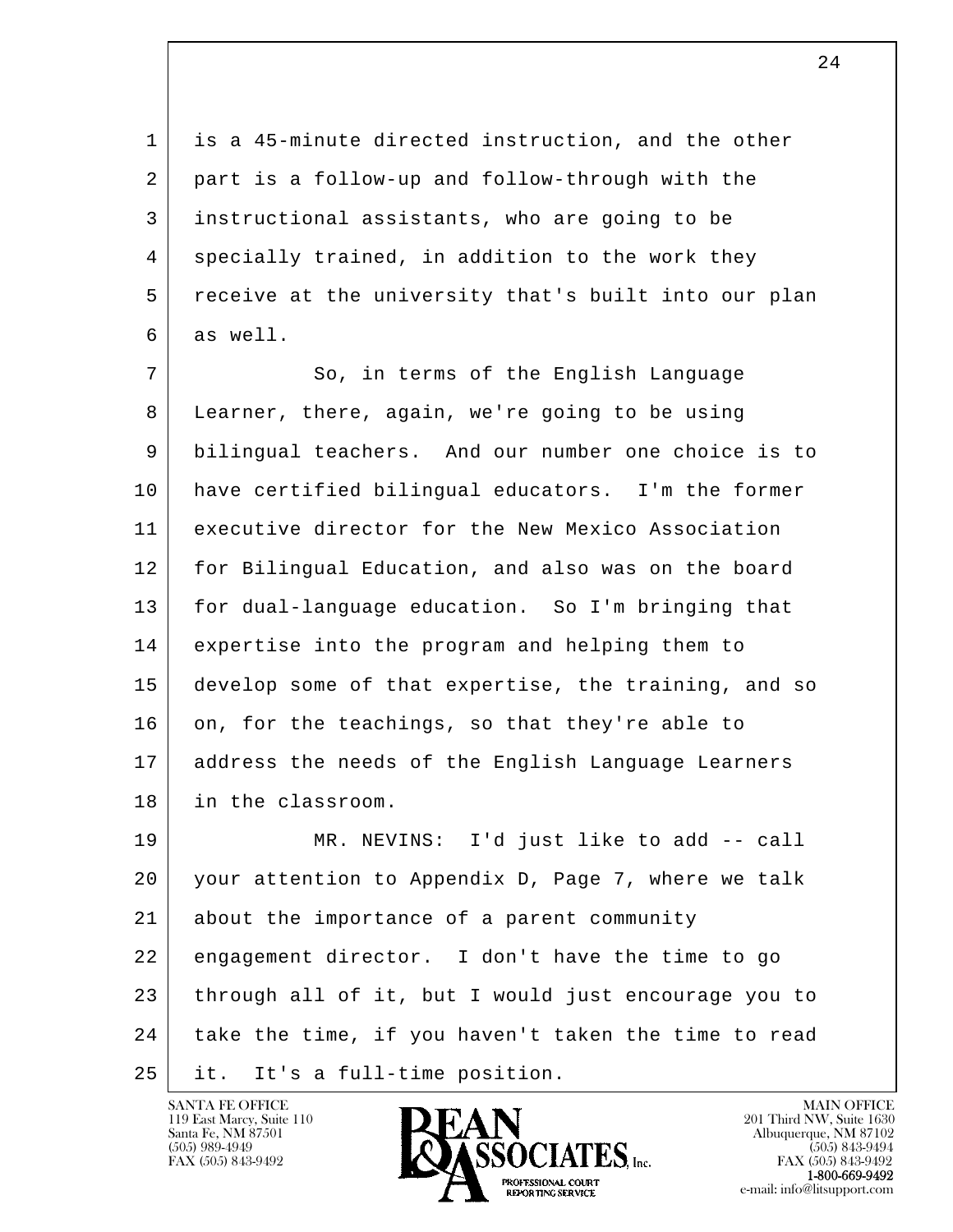1 is a 45-minute directed instruction, and the other 2 part is a follow-up and follow-through with the 3 instructional assistants, who are going to be 4 specially trained, in addition to the work they 5 receive at the university that's built into our plan 6 as well.

7 So, in terms of the English Language 8 Learner, there, again, we're going to be using 9 bilingual teachers. And our number one choice is to 10 have certified bilingual educators. I'm the former 11 executive director for the New Mexico Association 12 for Bilingual Education, and also was on the board 13 | for dual-language education. So I'm bringing that 14 expertise into the program and helping them to 15 develop some of that expertise, the training, and so 16 on, for the teachings, so that they're able to 17 address the needs of the English Language Learners 18 in the classroom.

l  $\overline{\phantom{a}}$  19 MR. NEVINS: I'd just like to add -- call 20 your attention to Appendix D, Page 7, where we talk 21 about the importance of a parent community 22 engagement director. I don't have the time to go 23 through all of it, but I would just encourage you to  $24$  take the time, if you haven't taken the time to read 25 it. It's a full-time position.

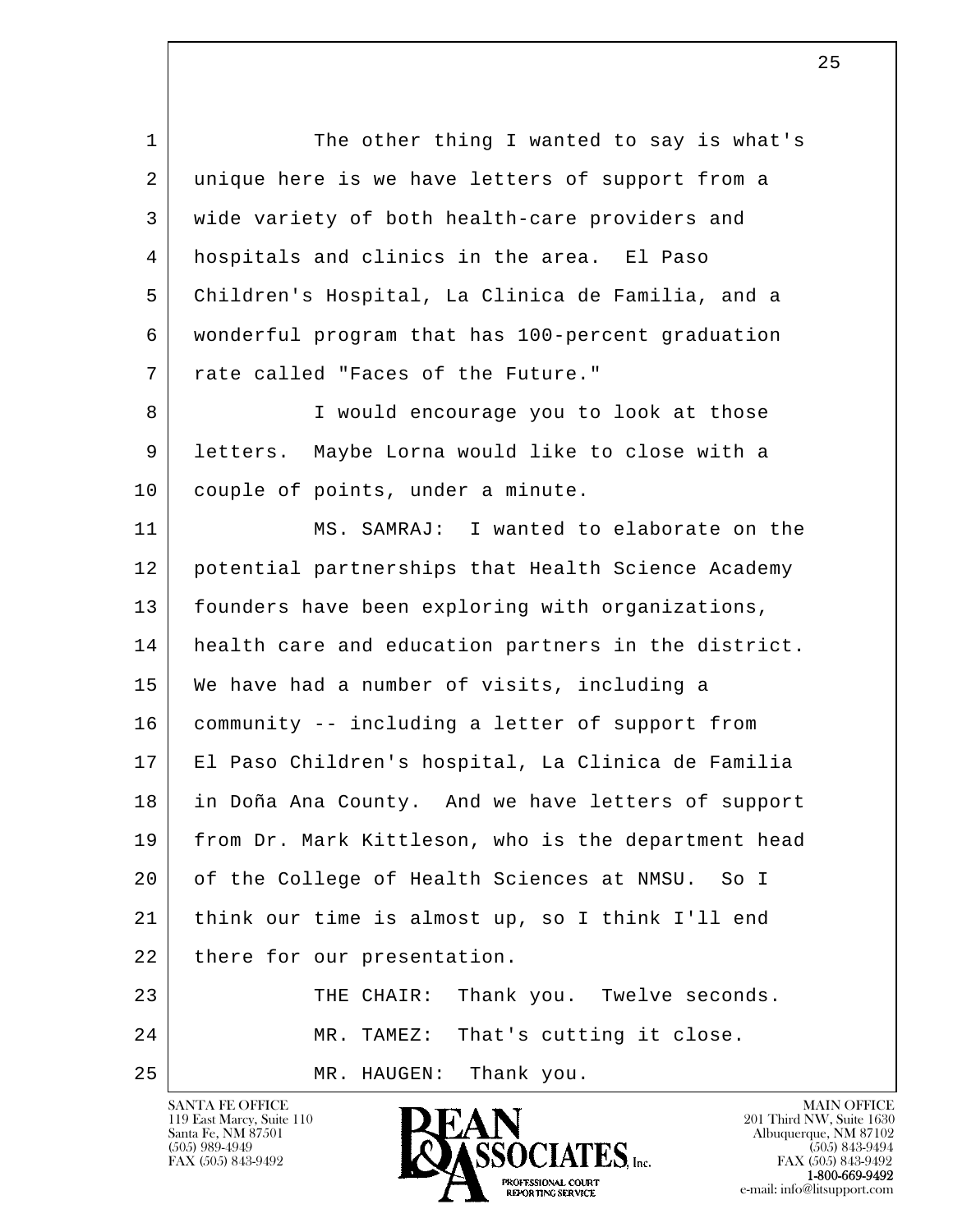l  $\overline{\phantom{a}}$ 1 The other thing I wanted to say is what's 2 unique here is we have letters of support from a 3 wide variety of both health-care providers and 4 hospitals and clinics in the area. El Paso 5 Children's Hospital, La Clinica de Familia, and a 6 wonderful program that has 100-percent graduation 7 rate called "Faces of the Future." 8 I would encourage you to look at those 9 letters. Maybe Lorna would like to close with a 10 couple of points, under a minute. 11 MS. SAMRAJ: I wanted to elaborate on the 12 potential partnerships that Health Science Academy 13 | founders have been exploring with organizations, 14 health care and education partners in the district. 15 We have had a number of visits, including a 16 community -- including a letter of support from 17 El Paso Children's hospital, La Clinica de Familia 18 in Doña Ana County. And we have letters of support 19 from Dr. Mark Kittleson, who is the department head 20 of the College of Health Sciences at NMSU. So I 21 think our time is almost up, so I think I'll end 22 | there for our presentation. 23 THE CHAIR: Thank you. Twelve seconds. 24 MR. TAMEZ: That's cutting it close. 25 MR. HAUGEN: Thank you.

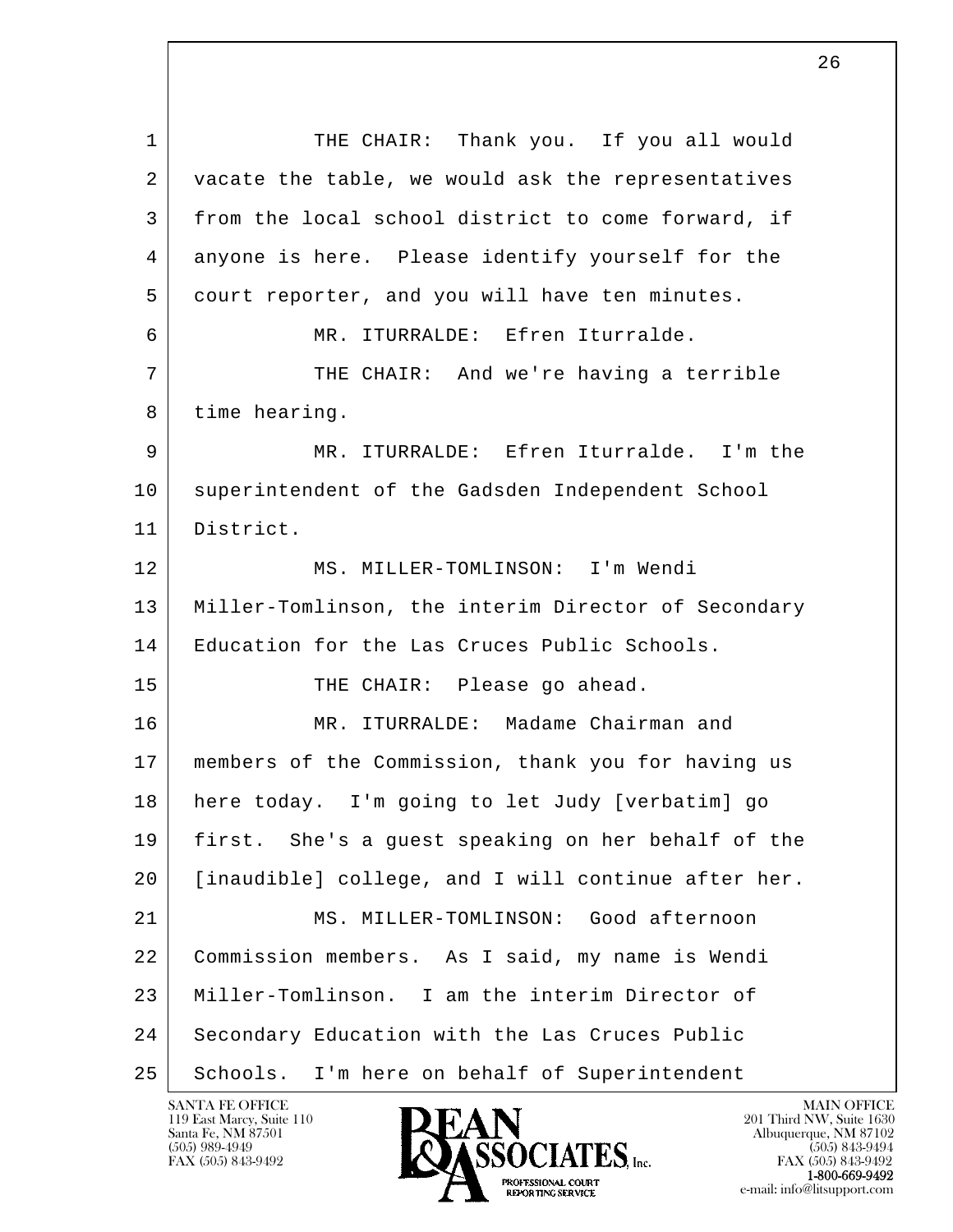l  $\overline{\phantom{a}}$ 1 THE CHAIR: Thank you. If you all would 2 vacate the table, we would ask the representatives 3 from the local school district to come forward, if 4 anyone is here. Please identify yourself for the 5 court reporter, and you will have ten minutes. 6 MR. ITURRALDE: Efren Iturralde. 7 | THE CHAIR: And we're having a terrible 8 time hearing. 9 MR. ITURRALDE: Efren Iturralde. I'm the 10 superintendent of the Gadsden Independent School 11 District. 12 MS. MILLER-TOMLINSON: I'm Wendi 13 Miller-Tomlinson, the interim Director of Secondary 14 Education for the Las Cruces Public Schools. 15 THE CHAIR: Please go ahead. 16 MR. ITURRALDE: Madame Chairman and 17 members of the Commission, thank you for having us 18 here today. I'm going to let Judy [verbatim] go 19 first. She's a guest speaking on her behalf of the 20 [inaudible] college, and I will continue after her. 21 MS. MILLER-TOMLINSON: Good afternoon 22 Commission members. As I said, my name is Wendi 23 Miller-Tomlinson. I am the interim Director of 24 Secondary Education with the Las Cruces Public 25 | Schools. I'm here on behalf of Superintendent

119 East Marcy, Suite 110<br>Santa Fe, NM 87501

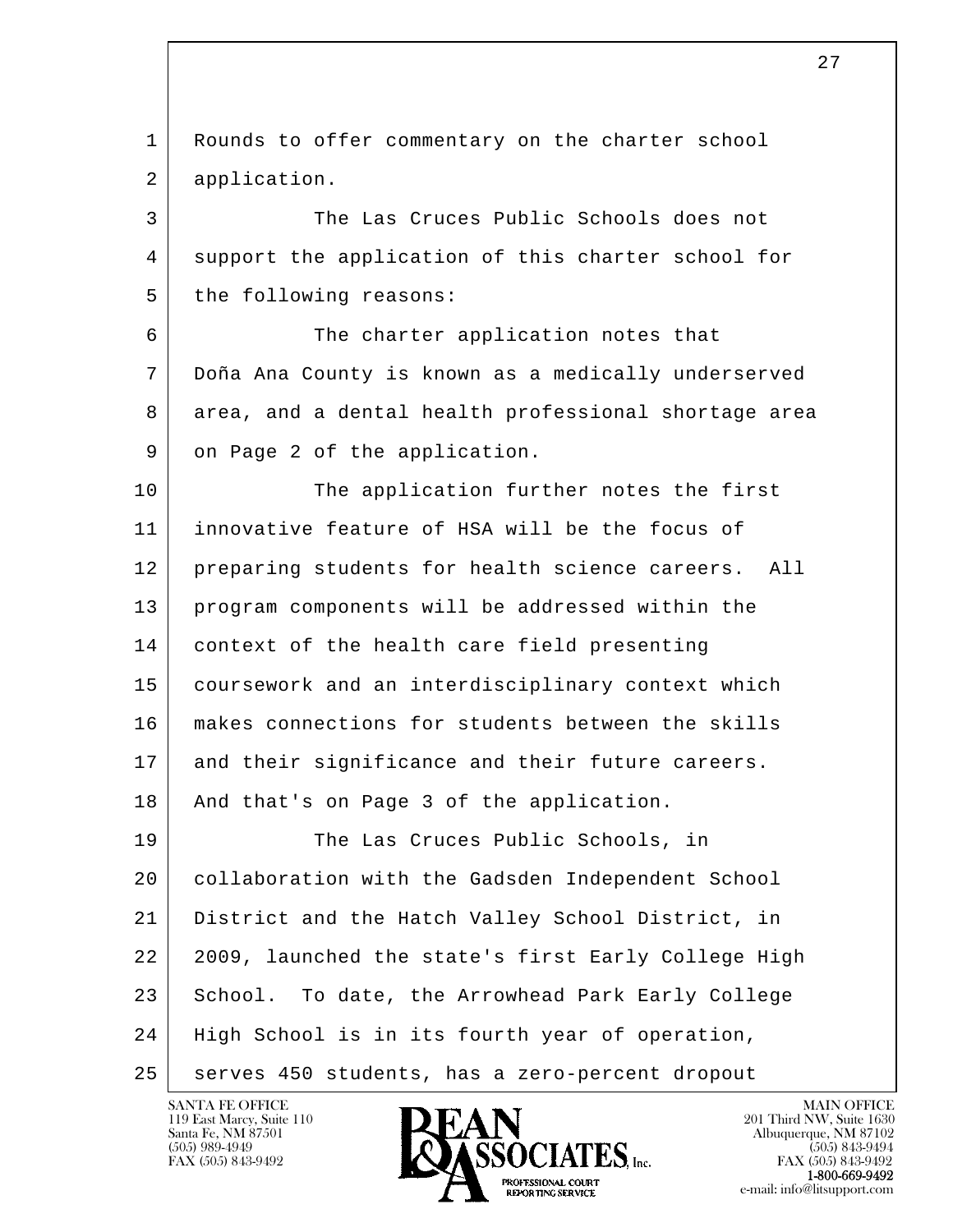l  $\overline{\phantom{a}}$  1 Rounds to offer commentary on the charter school 2 application. 3 The Las Cruces Public Schools does not 4 support the application of this charter school for 5 the following reasons: 6 The charter application notes that 7 Doña Ana County is known as a medically underserved 8 area, and a dental health professional shortage area 9 on Page 2 of the application. 10 The application further notes the first 11 innovative feature of HSA will be the focus of 12 | preparing students for health science careers. All 13 program components will be addressed within the 14 context of the health care field presenting 15 coursework and an interdisciplinary context which 16 makes connections for students between the skills 17 and their significance and their future careers. 18 | And that's on Page 3 of the application. 19 The Las Cruces Public Schools, in 20 collaboration with the Gadsden Independent School 21 District and the Hatch Valley School District, in 22 2009, launched the state's first Early College High 23 School. To date, the Arrowhead Park Early College 24 | High School is in its fourth year of operation, 25 | serves 450 students, has a zero-percent dropout

119 East Marcy, Suite 110<br>Santa Fe, NM 87501



FAX (505) 843-9492<br>1-800-669-9492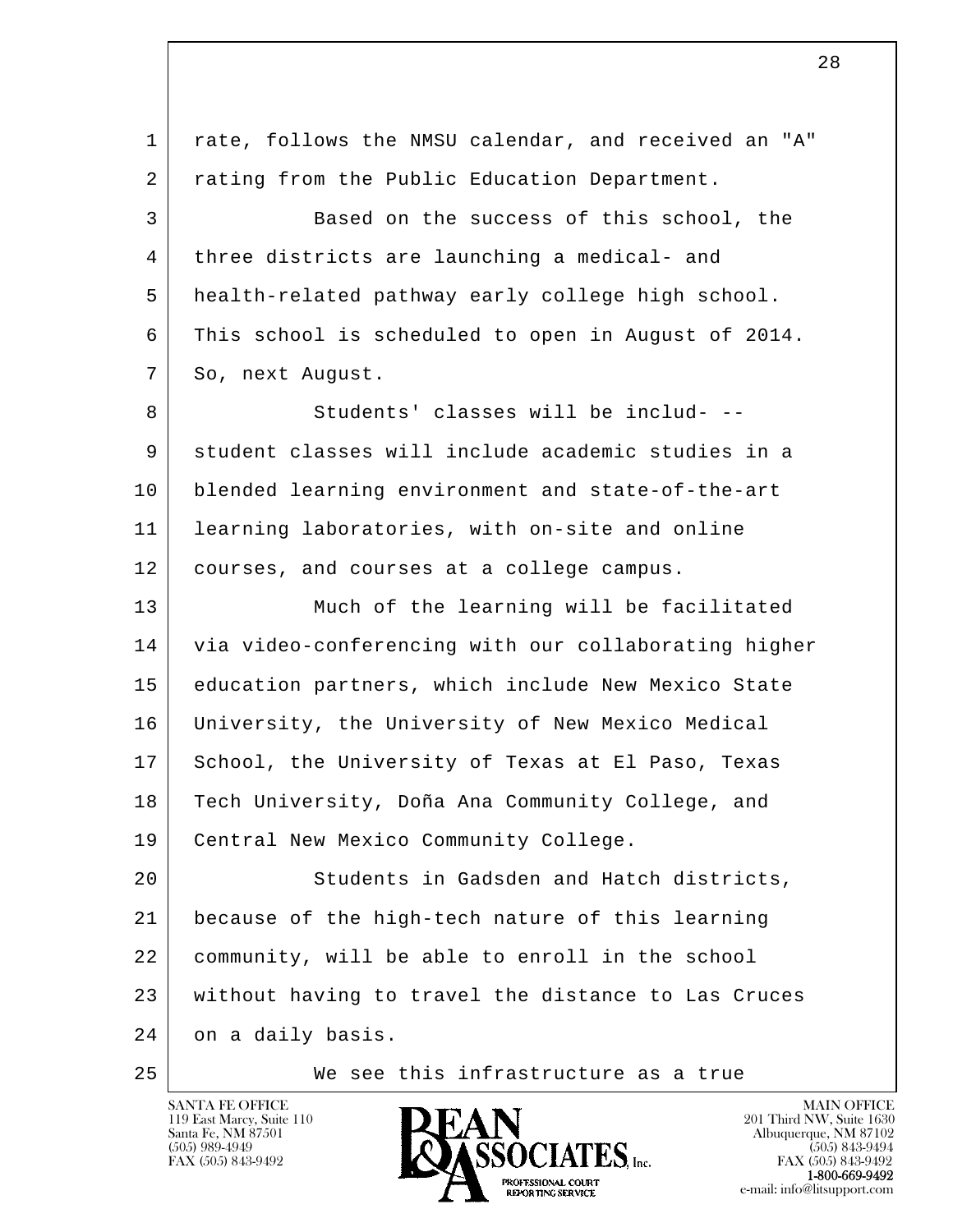l  $\overline{\phantom{a}}$  1 rate, follows the NMSU calendar, and received an "A" 2 | rating from the Public Education Department. 3 Based on the success of this school, the 4 three districts are launching a medical- and 5 health-related pathway early college high school. 6 This school is scheduled to open in August of 2014. 7 So, next August. 8 Students' classes will be includ- 9 student classes will include academic studies in a 10 blended learning environment and state-of-the-art 11 learning laboratories, with on-site and online 12 courses, and courses at a college campus. 13 | Much of the learning will be facilitated 14 via video-conferencing with our collaborating higher 15 education partners, which include New Mexico State 16 University, the University of New Mexico Medical 17 School, the University of Texas at El Paso, Texas 18 Tech University, Doña Ana Community College, and 19 | Central New Mexico Community College. 20 Students in Gadsden and Hatch districts, 21 because of the high-tech nature of this learning 22 community, will be able to enroll in the school 23 without having to travel the distance to Las Cruces 24 on a daily basis. 25 We see this infrastructure as a true

28

119 East Marcy, Suite 110<br>Santa Fe, NM 87501

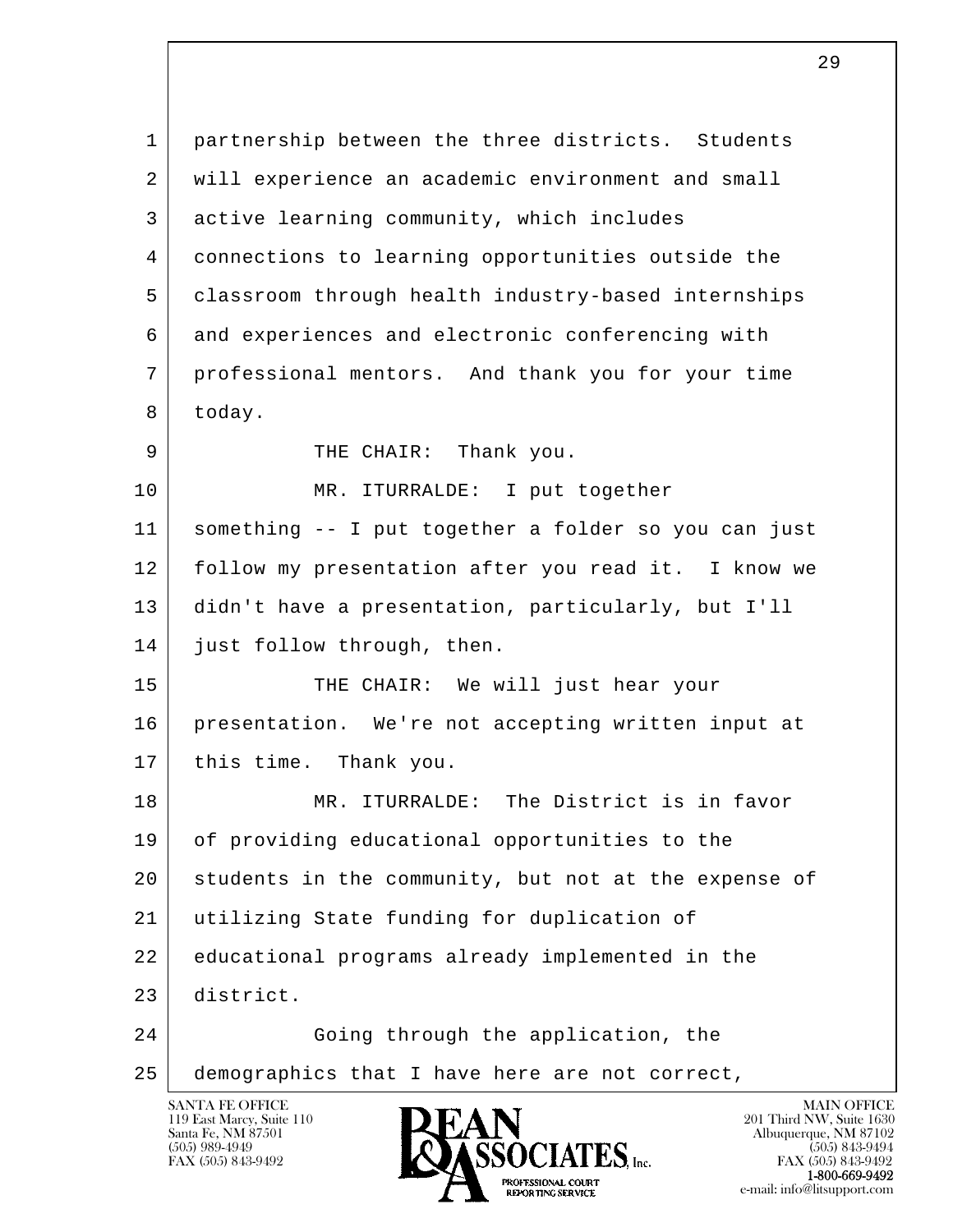l  $\overline{\phantom{a}}$ SANTA FE OFFICE MAIN OFFICE MAIN OFFICE MAIN OFFICE MAIN OFFICE 1 partnership between the three districts. Students 2 | will experience an academic environment and small 3 active learning community, which includes 4 connections to learning opportunities outside the 5 classroom through health industry-based internships 6 and experiences and electronic conferencing with 7 professional mentors. And thank you for your time 8 today. 9 THE CHAIR: Thank you. 10 MR. ITURRALDE: I put together 11 something -- I put together a folder so you can just 12 follow my presentation after you read it. I know we 13 didn't have a presentation, particularly, but I'll 14 just follow through, then. 15 THE CHAIR: We will just hear your 16 presentation. We're not accepting written input at 17 this time. Thank you. 18 MR. ITURRALDE: The District is in favor 19 of providing educational opportunities to the 20 students in the community, but not at the expense of 21 utilizing State funding for duplication of 22 educational programs already implemented in the 23 district. 24 Going through the application, the 25 demographics that I have here are not correct,

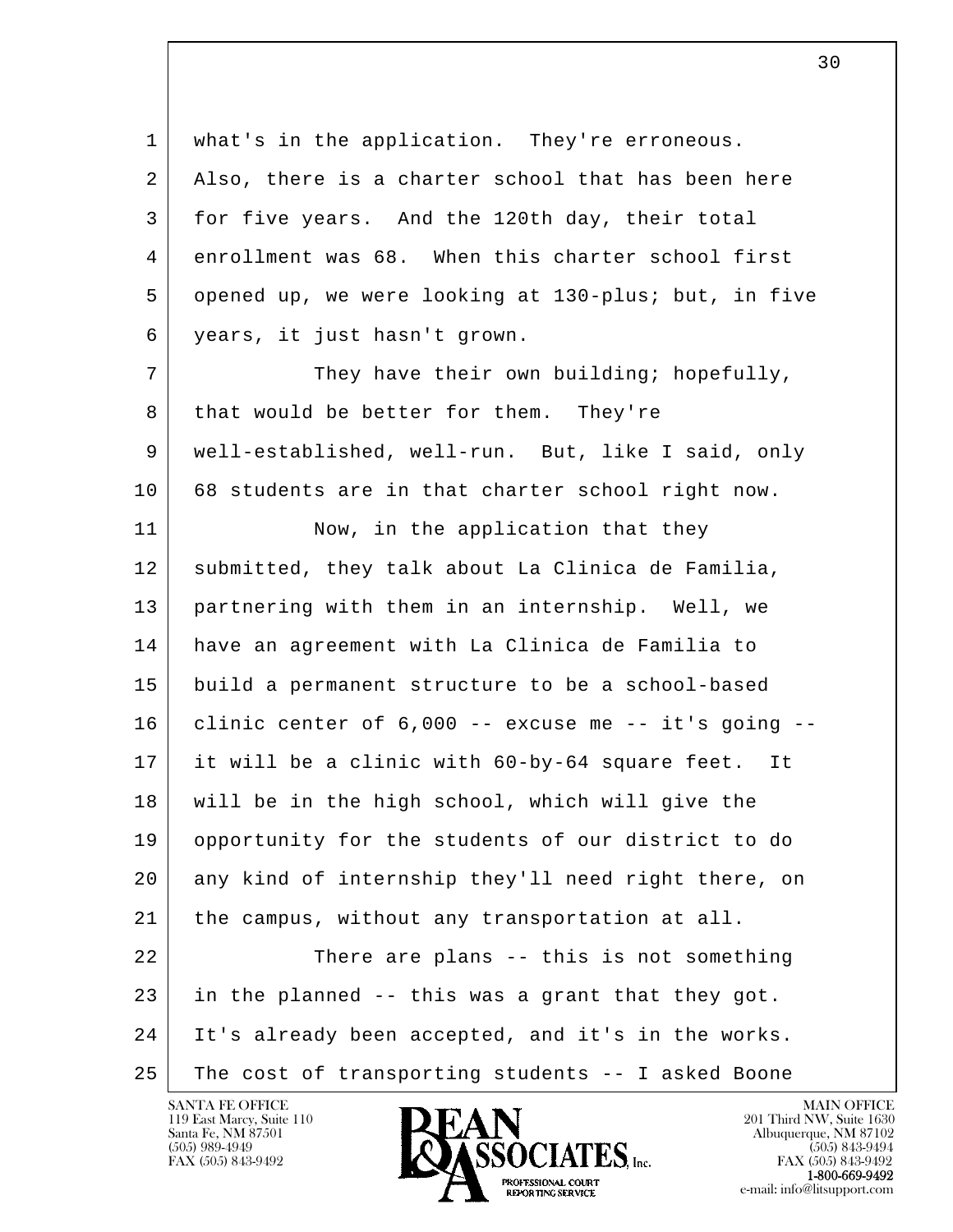l  $\overline{\phantom{a}}$  1 what's in the application. They're erroneous. 2 | Also, there is a charter school that has been here 3 for five years. And the 120th day, their total 4 enrollment was 68. When this charter school first 5 opened up, we were looking at 130-plus; but, in five 6 years, it just hasn't grown. 7 They have their own building; hopefully, 8 that would be better for them. They're 9 well-established, well-run. But, like I said, only 10 68 students are in that charter school right now. 11 Now, in the application that they 12 submitted, they talk about La Clinica de Familia, 13 partnering with them in an internship. Well, we 14 have an agreement with La Clinica de Familia to 15 build a permanent structure to be a school-based  $16$  clinic center of  $6,000$  -- excuse me -- it's going -- 17 it will be a clinic with 60-by-64 square feet. It 18 will be in the high school, which will give the 19 opportunity for the students of our district to do 20 any kind of internship they'll need right there, on 21 | the campus, without any transportation at all. 22 There are plans -- this is not something 23 in the planned -- this was a grant that they got. 24 It's already been accepted, and it's in the works. 25 The cost of transporting students -- I asked Boone

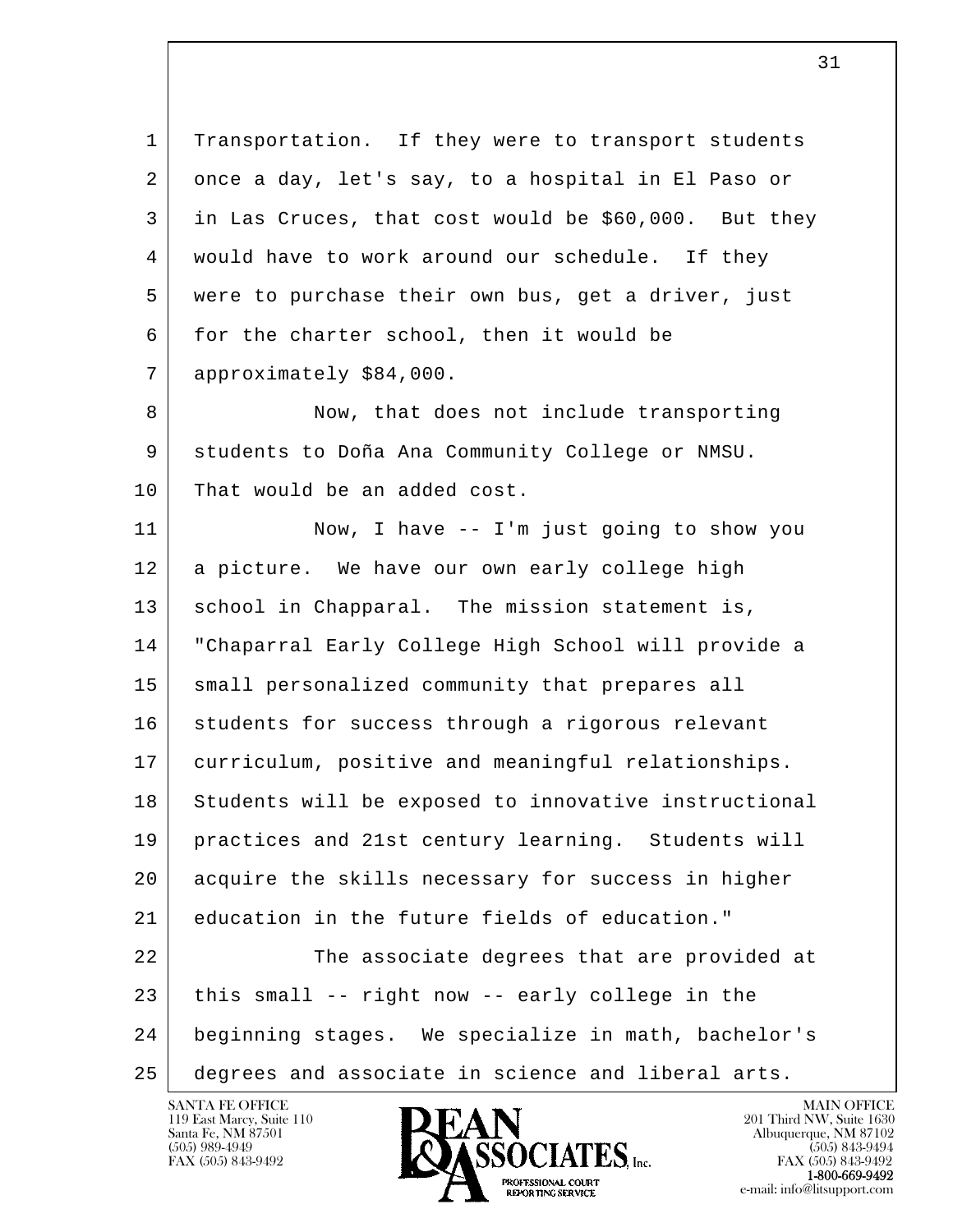l  $\overline{\phantom{a}}$  1 Transportation. If they were to transport students 2 once a day, let's say, to a hospital in El Paso or 3 in Las Cruces, that cost would be \$60,000. But they 4 would have to work around our schedule. If they 5 were to purchase their own bus, get a driver, just 6 for the charter school, then it would be 7 approximately \$84,000. 8 Now, that does not include transporting 9 students to Doña Ana Community College or NMSU. 10 That would be an added cost. 11 Now, I have -- I'm just going to show you 12 a picture. We have our own early college high 13 | school in Chapparal. The mission statement is, 14 "Chaparral Early College High School will provide a 15 small personalized community that prepares all 16 students for success through a rigorous relevant 17 curriculum, positive and meaningful relationships. 18 Students will be exposed to innovative instructional 19 practices and 21st century learning. Students will 20 acquire the skills necessary for success in higher 21 education in the future fields of education." 22 The associate degrees that are provided at  $23$  this small -- right now -- early college in the 24 beginning stages. We specialize in math, bachelor's 25 degrees and associate in science and liberal arts.

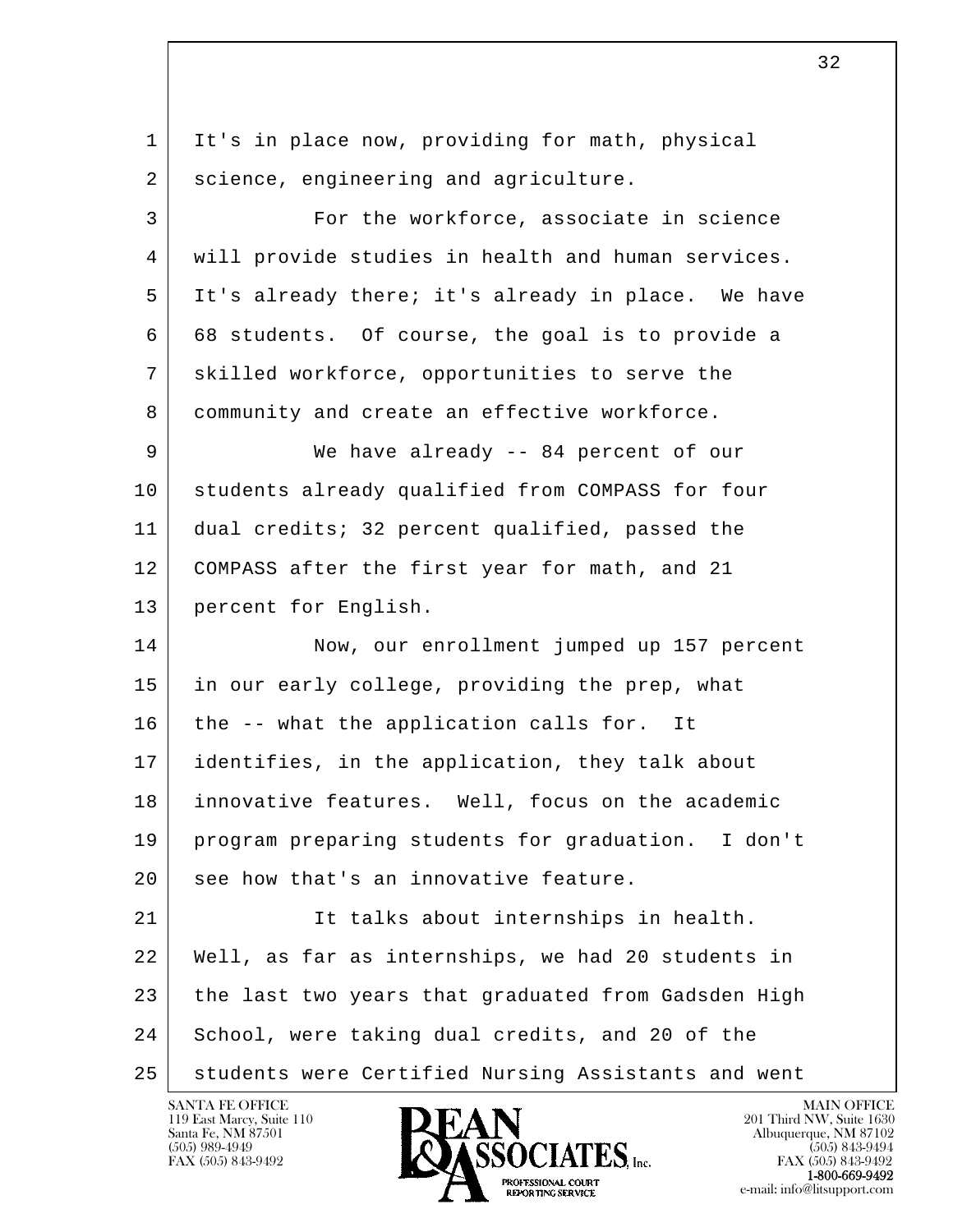| 1  | It's in place now, providing for math, physical     |
|----|-----------------------------------------------------|
| 2  | science, engineering and agriculture.               |
| 3  | For the workforce, associate in science             |
| 4  | will provide studies in health and human services.  |
| 5  | It's already there; it's already in place. We have  |
| 6  | 68 students. Of course, the goal is to provide a    |
| 7  | skilled workforce, opportunities to serve the       |
| 8  | community and create an effective workforce.        |
| 9  | We have already -- 84 percent of our                |
| 10 | students already qualified from COMPASS for four    |
| 11 | dual credits; 32 percent qualified, passed the      |
| 12 | COMPASS after the first year for math, and 21       |
| 13 | percent for English.                                |
| 14 | Now, our enrollment jumped up 157 percent           |
| 15 | in our early college, providing the prep, what      |
| 16 | the -- what the application calls for. It           |
| 17 | identifies, in the application, they talk about     |
| 18 | innovative features. Well, focus on the academic    |
| 19 | program preparing students for graduation. I don't  |
| 20 | see how that's an innovative feature.               |
| 21 | It talks about internships in health.               |
| 22 | Well, as far as internships, we had 20 students in  |
| 23 | the last two years that graduated from Gadsden High |
| 24 | School, were taking dual credits, and 20 of the     |
| 25 | students were Certified Nursing Assistants and went |

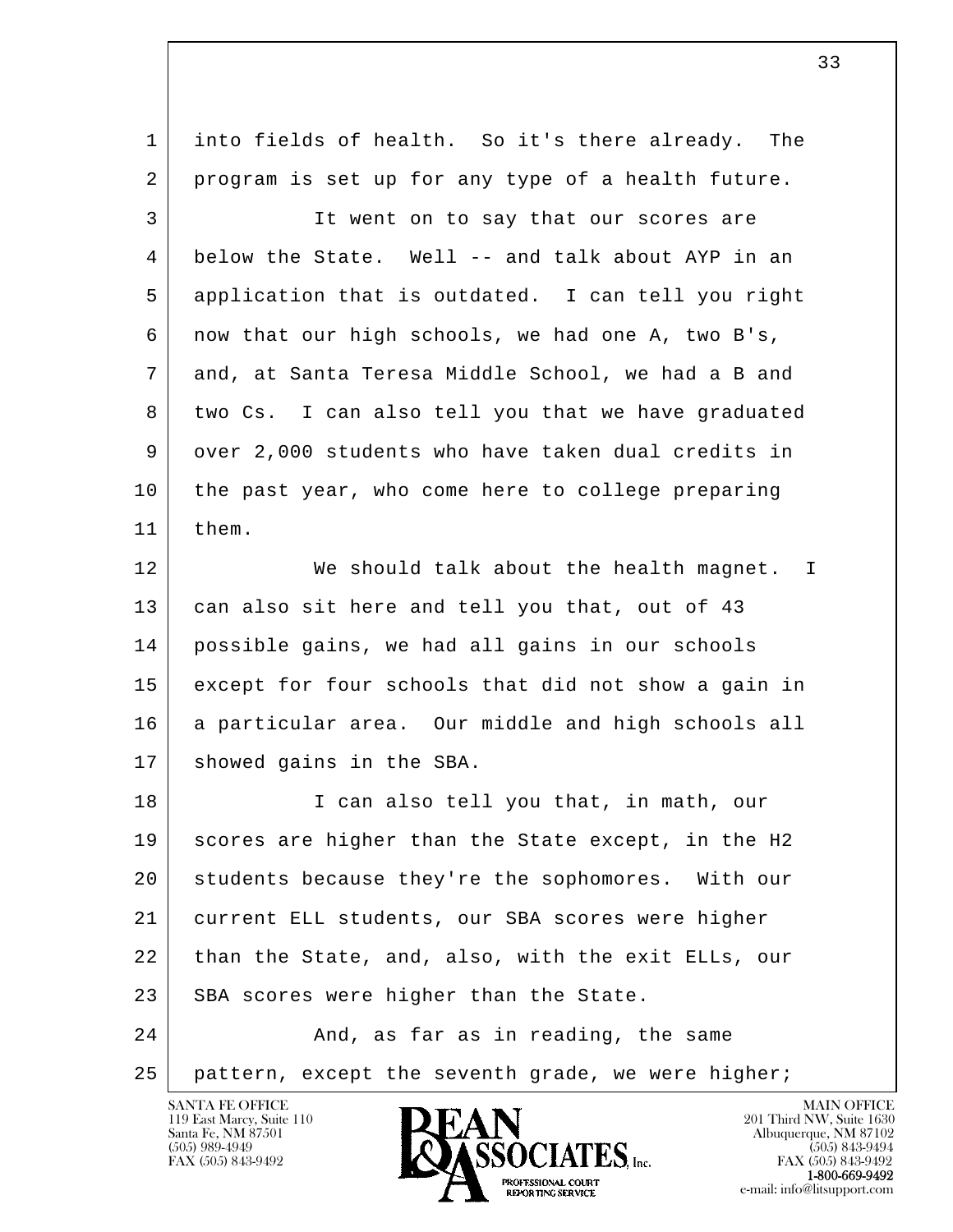| 1  | into fields of health. So it's there already. The   |
|----|-----------------------------------------------------|
| 2  | program is set up for any type of a health future.  |
| 3  | It went on to say that our scores are               |
| 4  | below the State. Well -- and talk about AYP in an   |
| 5  | application that is outdated. I can tell you right  |
| 6  | now that our high schools, we had one A, two B's,   |
| 7  | and, at Santa Teresa Middle School, we had a B and  |
| 8  | two Cs. I can also tell you that we have graduated  |
| 9  | over 2,000 students who have taken dual credits in  |
| 10 | the past year, who come here to college preparing   |
| 11 | them.                                               |
| 12 | We should talk about the health magnet. I           |
| 13 | can also sit here and tell you that, out of 43      |
| 14 | possible gains, we had all gains in our schools     |
| 15 | except for four schools that did not show a gain in |
| 16 | a particular area. Our middle and high schools all  |
| 17 | showed gains in the SBA.                            |
| 18 | I can also tell you that, in math, our              |
| 19 | scores are higher than the State except, in the H2  |
| 20 | students because they're the sophomores. With our   |
| 21 | current ELL students, our SBA scores were higher    |
| 22 | than the State, and, also, with the exit ELLs, our  |
| 23 | SBA scores were higher than the State.              |
| 24 | And, as far as in reading, the same                 |
| 25 | pattern, except the seventh grade, we were higher;  |

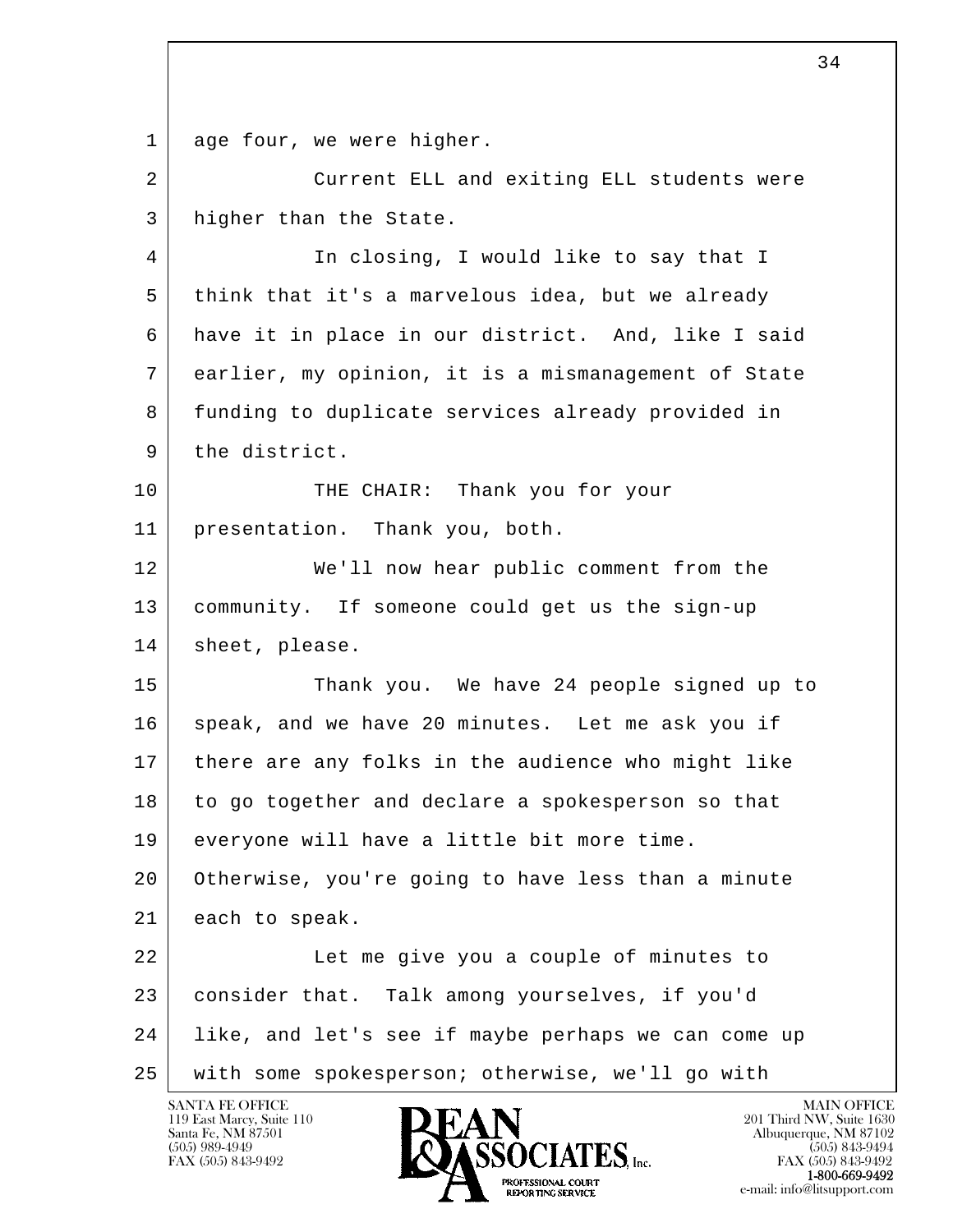l  $\overline{\phantom{a}}$ 1 age four, we were higher. 2 Current ELL and exiting ELL students were 3 higher than the State. 4 In closing, I would like to say that I 5 think that it's a marvelous idea, but we already 6 have it in place in our district. And, like I said 7 earlier, my opinion, it is a mismanagement of State 8 funding to duplicate services already provided in 9 the district. 10 THE CHAIR: Thank you for your 11 presentation. Thank you, both. 12 We'll now hear public comment from the 13 community. If someone could get us the sign-up 14 sheet, please. 15 Thank you. We have 24 people signed up to 16 speak, and we have 20 minutes. Let me ask you if 17 there are any folks in the audience who might like 18 to go together and declare a spokesperson so that 19 everyone will have a little bit more time. 20 Otherwise, you're going to have less than a minute 21 each to speak. 22 Let me give you a couple of minutes to 23 consider that. Talk among yourselves, if you'd 24 like, and let's see if maybe perhaps we can come up 25 with some spokesperson; otherwise, we'll go with

 $\sim$  34

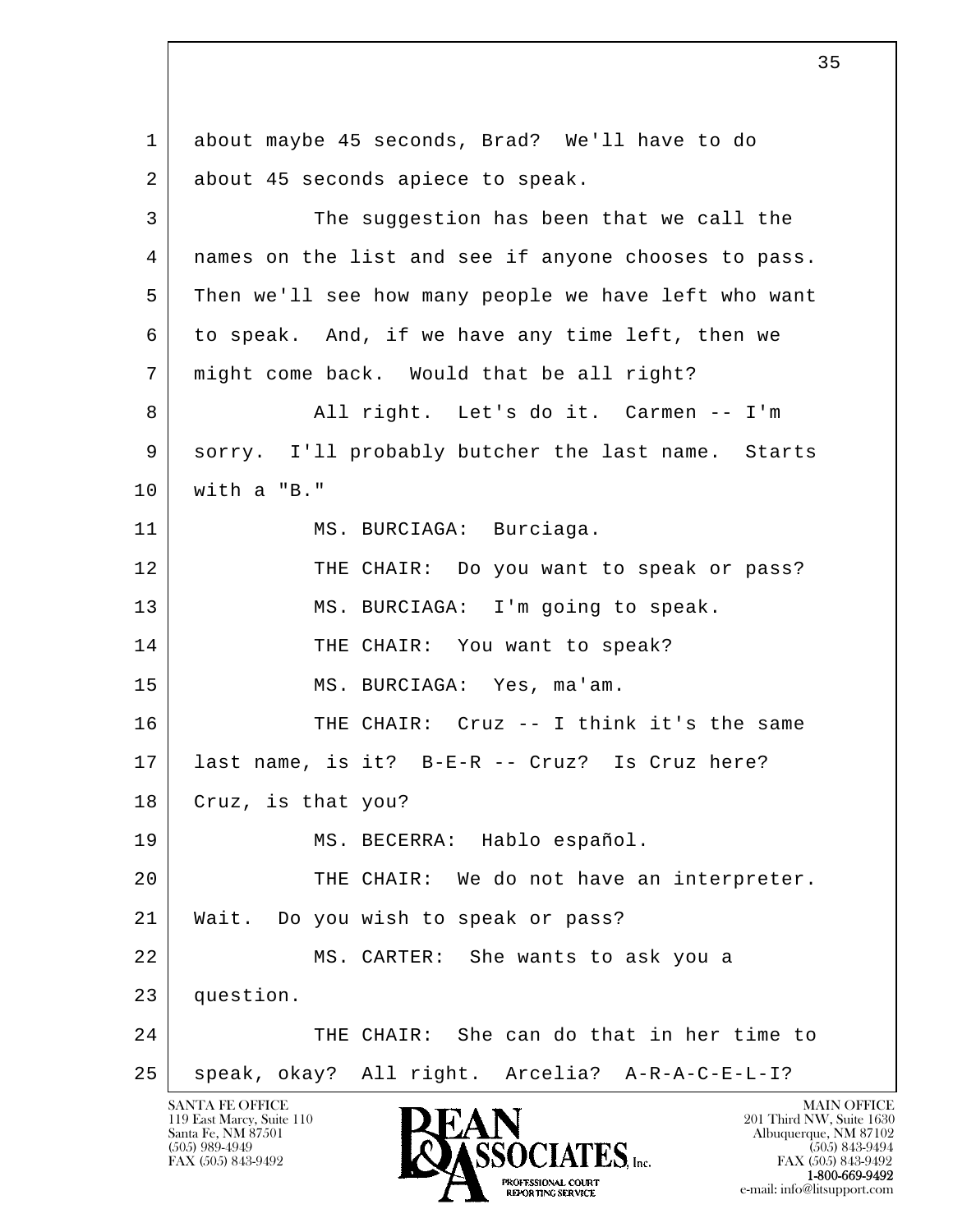l  $\overline{\phantom{a}}$ SANTA FE OFFICE MAIN OFFICE MAIN OFFICE MAIN OFFICE MAIN OFFICE 1 about maybe 45 seconds, Brad? We'll have to do 2 about 45 seconds apiece to speak. 3 The suggestion has been that we call the 4 names on the list and see if anyone chooses to pass. 5 Then we'll see how many people we have left who want 6 to speak. And, if we have any time left, then we 7 might come back. Would that be all right? 8 All right. Let's do it. Carmen -- I'm 9 sorry. I'll probably butcher the last name. Starts 10 with a "B." 11 | MS. BURCIAGA: Burciaga. 12 THE CHAIR: Do you want to speak or pass? 13 | MS. BURCIAGA: I'm going to speak. 14 THE CHAIR: You want to speak? 15 MS. BURCIAGA: Yes, ma'am. 16 THE CHAIR: Cruz -- I think it's the same 17 last name, is it? B-E-R -- Cruz? Is Cruz here? 18 | Cruz, is that you? 19 MS. BECERRA: Hablo español. 20 THE CHAIR: We do not have an interpreter. 21 Wait. Do you wish to speak or pass? 22 MS. CARTER: She wants to ask you a 23 question. 24 THE CHAIR: She can do that in her time to 25 | speak, okay? All right. Arcelia? A-R-A-C-E-L-I?

119 East Marcy, Suite 110<br>Santa Fe, NM 87501

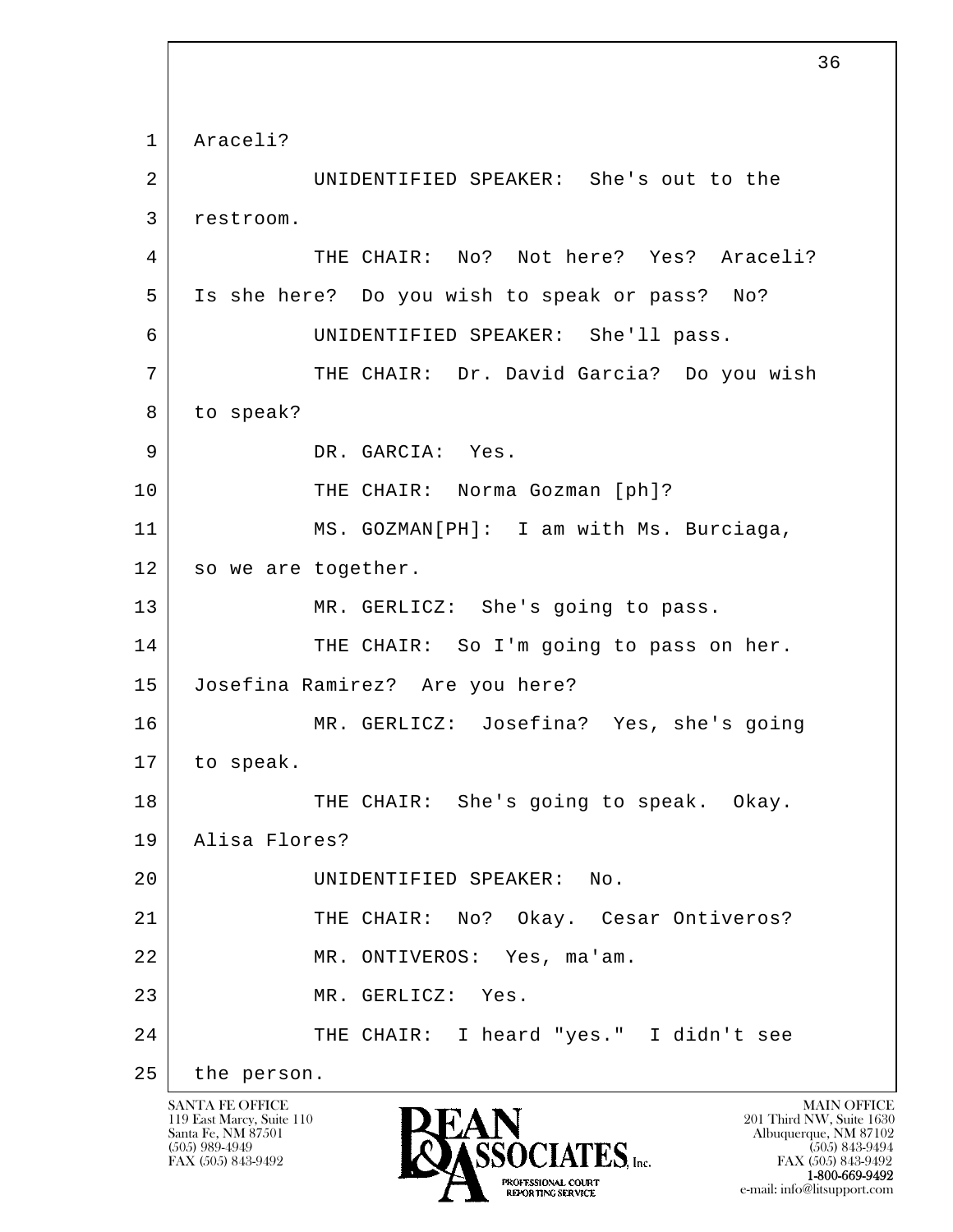l  $\overline{\phantom{a}}$  1 Araceli? 2 UNIDENTIFIED SPEAKER: She's out to the 3 restroom. 4 THE CHAIR: No? Not here? Yes? Araceli? 5 Is she here? Do you wish to speak or pass? No? 6 UNIDENTIFIED SPEAKER: She'll pass. 7 | THE CHAIR: Dr. David Garcia? Do you wish 8 to speak? 9 DR. GARCIA: Yes. 10 THE CHAIR: Norma Gozman [ph]? 11 MS. GOZMAN[PH]: I am with Ms. Burciaga, 12 so we are together. 13 MR. GERLICZ: She's going to pass. 14 THE CHAIR: So I'm going to pass on her. 15 Josefina Ramirez? Are you here? 16 MR. GERLICZ: Josefina? Yes, she's going 17 to speak. 18 THE CHAIR: She's going to speak. Okay. 19 Alisa Flores? 20 UNIDENTIFIED SPEAKER: No. 21 THE CHAIR: No? Okay. Cesar Ontiveros? 22 MR. ONTIVEROS: Yes, ma'am. 23 MR. GERLICZ: Yes. 24 THE CHAIR: I heard "yes." I didn't see 25 the person.

119 East Marcy, Suite 110<br>Santa Fe, NM 87501

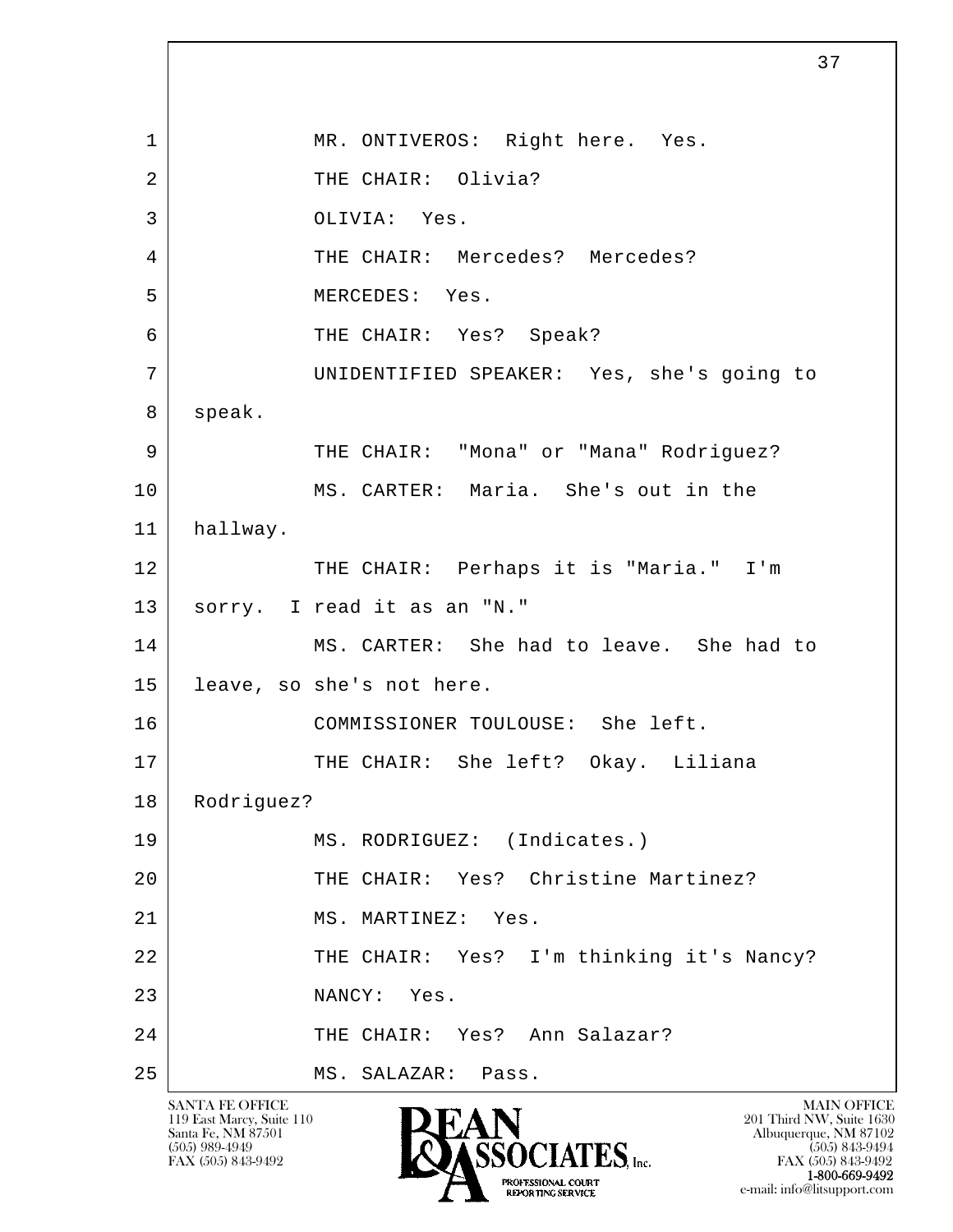l  $\overline{\phantom{a}}$ 1 | MR. ONTIVEROS: Right here. Yes. 2 THE CHAIR: Olivia? 3 OLIVIA: Yes. 4 THE CHAIR: Mercedes? Mercedes? 5 MERCEDES: Yes. 6 THE CHAIR: Yes? Speak? 7 UNIDENTIFIED SPEAKER: Yes, she's going to 8 speak. 9 THE CHAIR: "Mona" or "Mana" Rodriguez? 10 MS. CARTER: Maria. She's out in the 11 hallway. 12 THE CHAIR: Perhaps it is "Maria." I'm 13 sorry. I read it as an "N." 14 MS. CARTER: She had to leave. She had to 15 leave, so she's not here. 16 COMMISSIONER TOULOUSE: She left. 17 THE CHAIR: She left? Okay. Liliana 18 | Rodriguez? 19 MS. RODRIGUEZ: (Indicates.) 20 THE CHAIR: Yes? Christine Martinez? 21 MS. MARTINEZ: Yes. 22 | THE CHAIR: Yes? I'm thinking it's Nancy? 23 NANCY: Yes. 24 THE CHAIR: Yes? Ann Salazar? 25 MS. SALAZAR: Pass.

37

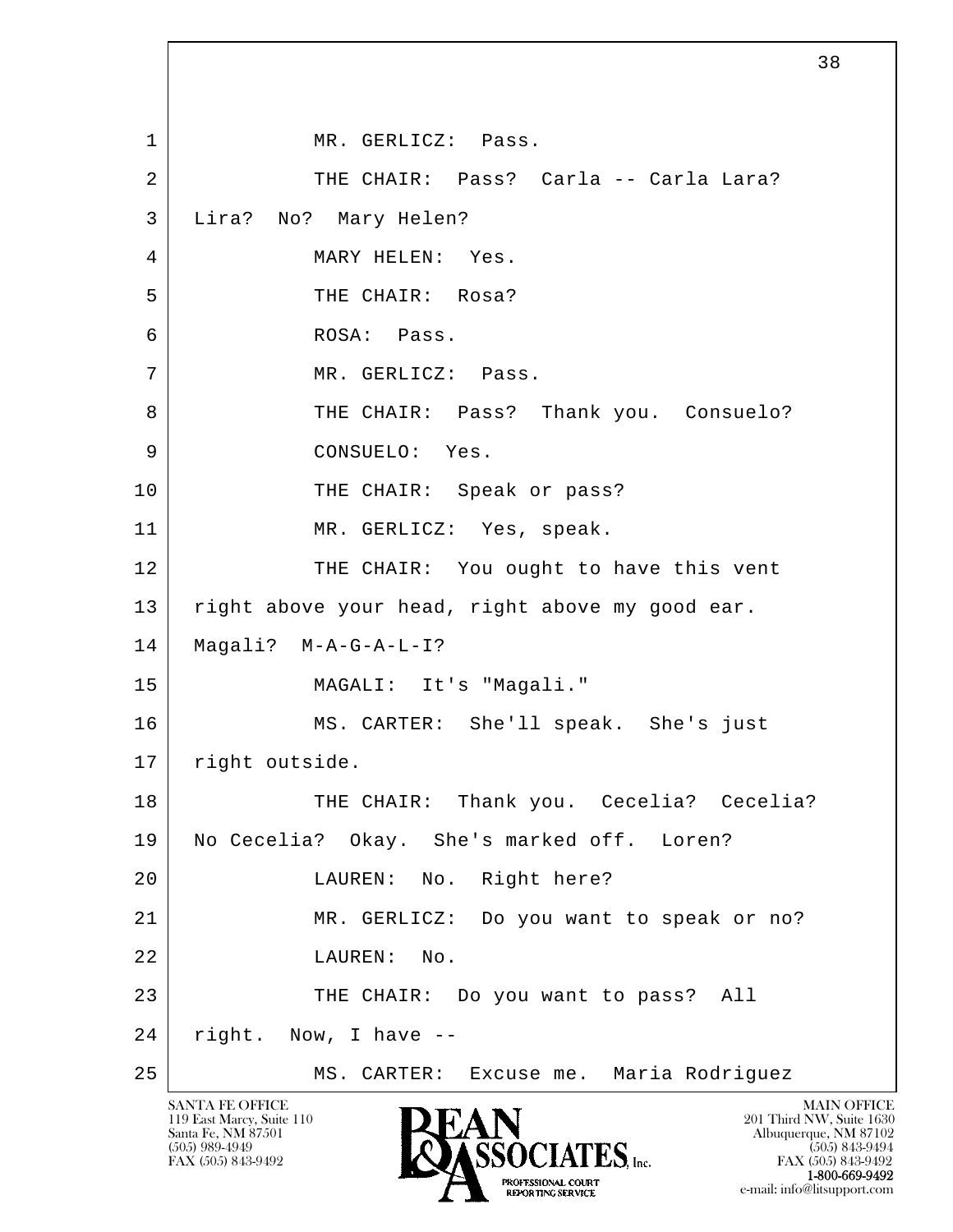l  $\overline{\phantom{a}}$ 1 | MR. GERLICZ: Pass. 2 THE CHAIR: Pass? Carla -- Carla Lara? 3 Lira? No? Mary Helen? 4 | MARY HELEN: Yes. 5 THE CHAIR: Rosa? 6 ROSA: Pass. 7 | MR. GERLICZ: Pass. 8 THE CHAIR: Pass? Thank you. Consuelo? 9 CONSUELO: Yes. 10 THE CHAIR: Speak or pass? 11 MR. GERLICZ: Yes, speak. 12 THE CHAIR: You ought to have this vent 13 | right above your head, right above my good ear. 14 Magali? M-A-G-A-L-I? 15 MAGALI: It's "Magali." 16 MS. CARTER: She'll speak. She's just 17 | right outside. 18 THE CHAIR: Thank you. Cecelia? Cecelia? 19 No Cecelia? Okay. She's marked off. Loren? 20 LAUREN: No. Right here? 21 MR. GERLICZ: Do you want to speak or no? 22 LAUREN: No. 23 THE CHAIR: Do you want to pass? All 24 right. Now, I have -- 25 MS. CARTER: Excuse me. Maria Rodriguez

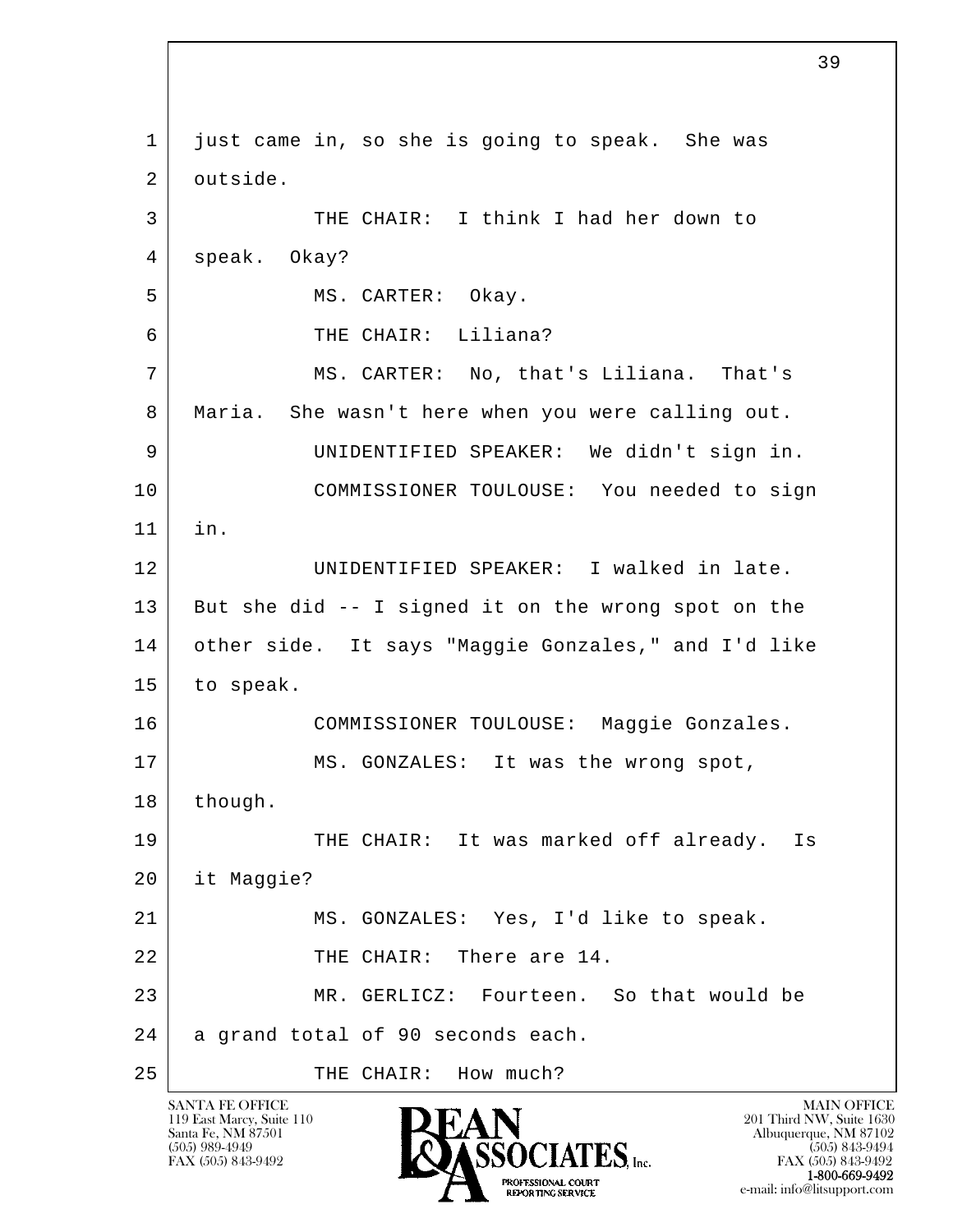l  $\overline{\phantom{a}}$  1 just came in, so she is going to speak. She was 2 outside. 3 THE CHAIR: I think I had her down to 4 speak. Okay? 5 MS. CARTER: Okay. 6 THE CHAIR: Liliana? 7 MS. CARTER: No, that's Liliana. That's 8 Maria. She wasn't here when you were calling out. 9 UNIDENTIFIED SPEAKER: We didn't sign in. 10 COMMISSIONER TOULOUSE: You needed to sign 11 in. 12 UNIDENTIFIED SPEAKER: I walked in late. 13 But she did -- I signed it on the wrong spot on the 14 other side. It says "Maggie Gonzales," and I'd like 15 to speak. 16 COMMISSIONER TOULOUSE: Maggie Gonzales. 17 MS. GONZALES: It was the wrong spot, 18 though. 19 THE CHAIR: It was marked off already. Is 20 it Maggie? 21 MS. GONZALES: Yes, I'd like to speak. 22 THE CHAIR: There are 14. 23 MR. GERLICZ: Fourteen. So that would be 24 a grand total of 90 seconds each. 25 THE CHAIR: How much?

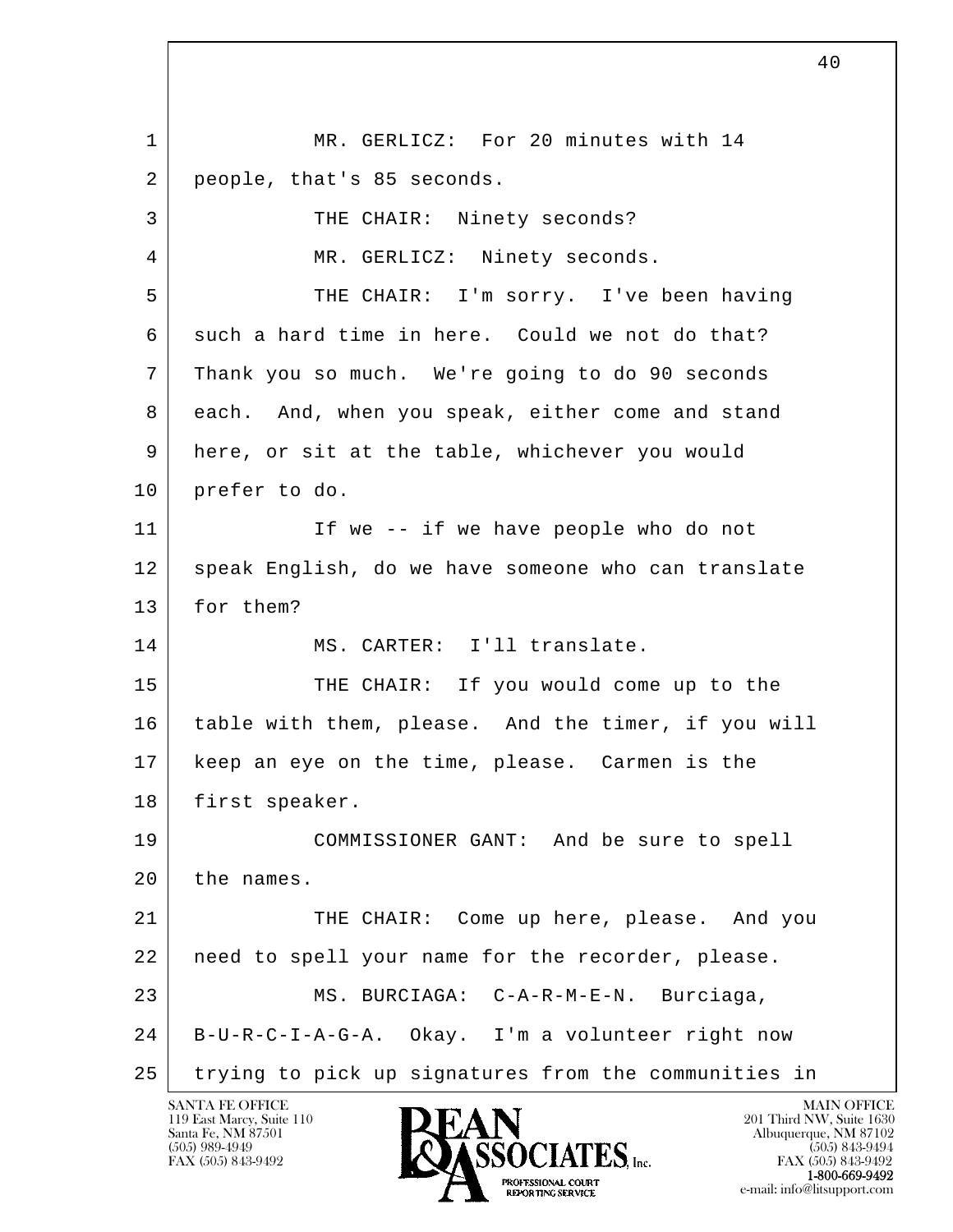l  $\overline{\phantom{a}}$  1 MR. GERLICZ: For 20 minutes with 14 2 people, that's 85 seconds. 3 THE CHAIR: Ninety seconds? 4 | MR. GERLICZ: Ninety seconds. 5 THE CHAIR: I'm sorry. I've been having 6 such a hard time in here. Could we not do that? 7 Thank you so much. We're going to do 90 seconds 8 each. And, when you speak, either come and stand 9 here, or sit at the table, whichever you would 10 prefer to do. 11 | The -- if we have people who do not 12 speak English, do we have someone who can translate 13 for them? 14 MS. CARTER: I'll translate. 15 THE CHAIR: If you would come up to the 16 table with them, please. And the timer, if you will 17 keep an eye on the time, please. Carmen is the 18 | first speaker. 19 COMMISSIONER GANT: And be sure to spell 20 the names. 21 THE CHAIR: Come up here, please. And you 22 need to spell your name for the recorder, please. 23 MS. BURCIAGA: C-A-R-M-E-N. Burciaga, 24 B-U-R-C-I-A-G-A. Okay. I'm a volunteer right now 25 trying to pick up signatures from the communities in

40

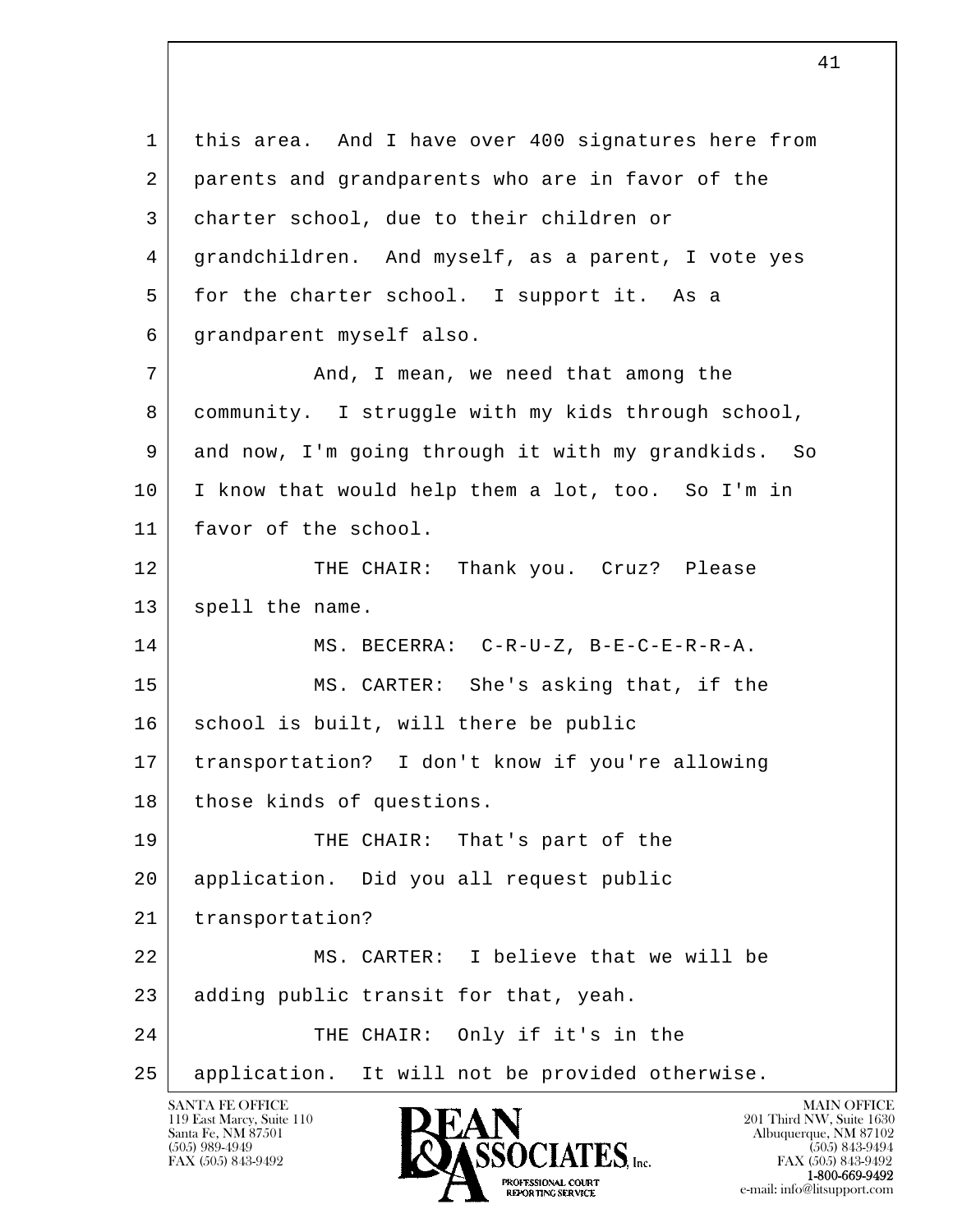l  $\overline{\phantom{a}}$  1 this area. And I have over 400 signatures here from 2 parents and grandparents who are in favor of the 3 charter school, due to their children or 4 grandchildren. And myself, as a parent, I vote yes 5 for the charter school. I support it. As a 6 grandparent myself also. 7 and, I mean, we need that among the 8 community. I struggle with my kids through school, 9 and now, I'm going through it with my grandkids. So 10 I know that would help them a lot, too. So I'm in 11 favor of the school. 12 THE CHAIR: Thank you. Cruz? Please 13 spell the name. 14 MS. BECERRA: C-R-U-Z, B-E-C-E-R-R-A. 15 MS. CARTER: She's asking that, if the 16 | school is built, will there be public 17 transportation? I don't know if you're allowing 18 those kinds of questions. 19 THE CHAIR: That's part of the 20 application. Did you all request public 21 transportation? 22 MS. CARTER: I believe that we will be 23 adding public transit for that, yeah. 24 THE CHAIR: Only if it's in the 25 application. It will not be provided otherwise.

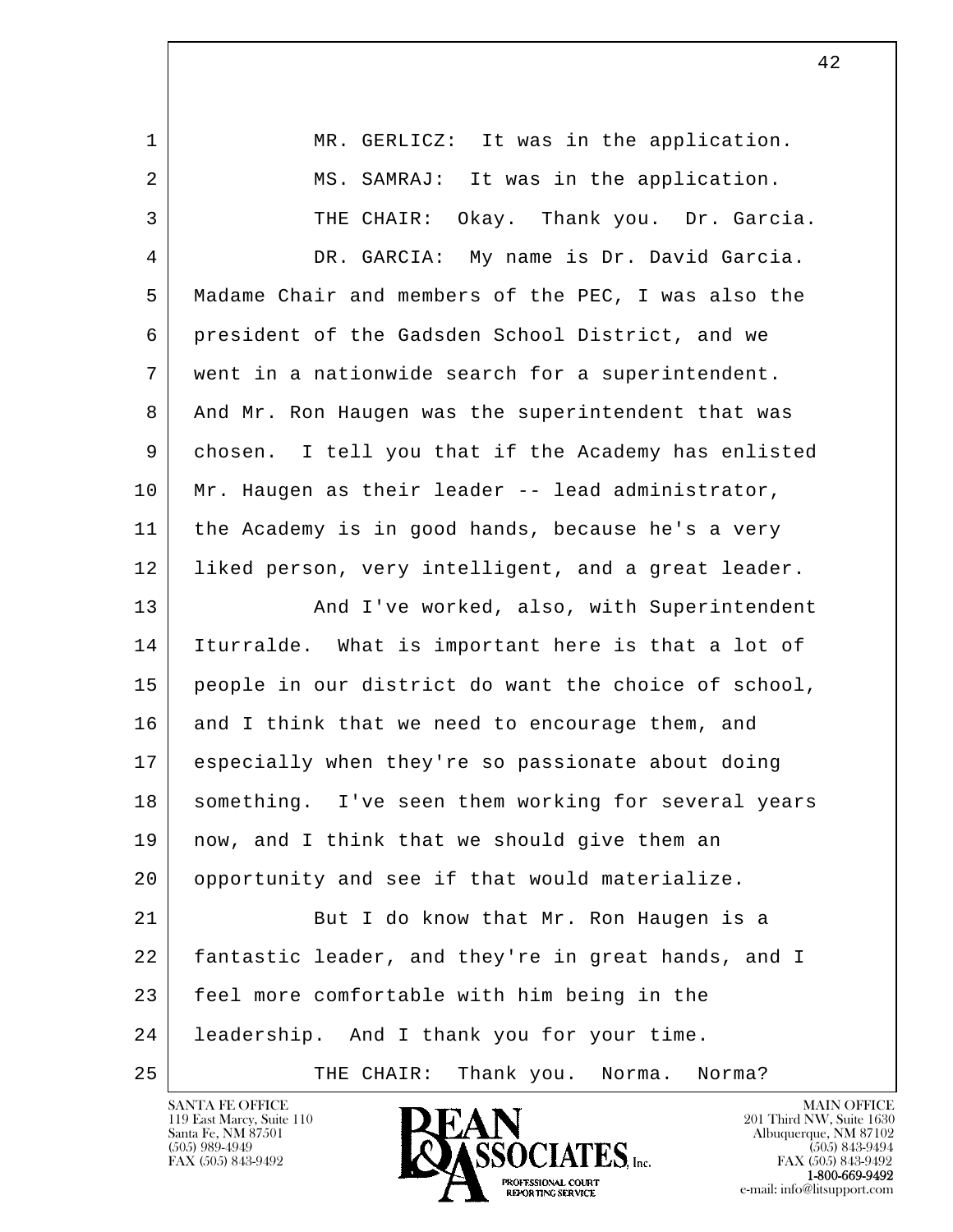1 | MR. GERLICZ: It was in the application. 2 | MS. SAMRAJ: It was in the application. 3 THE CHAIR: Okay. Thank you. Dr. Garcia. 4 DR. GARCIA: My name is Dr. David Garcia. 5 Madame Chair and members of the PEC, I was also the 6 president of the Gadsden School District, and we 7 went in a nationwide search for a superintendent. 8 And Mr. Ron Haugen was the superintendent that was 9 chosen. I tell you that if the Academy has enlisted 10 Mr. Haugen as their leader -- lead administrator, 11 the Academy is in good hands, because he's a very 12 liked person, very intelligent, and a great leader. 13 | The Morked, also, with Superintendent 14 Iturralde. What is important here is that a lot of 15 people in our district do want the choice of school, 16 and I think that we need to encourage them, and 17 especially when they're so passionate about doing 18 | something. I've seen them working for several years 19 | now, and I think that we should give them an 20 opportunity and see if that would materialize. 21 But I do know that Mr. Ron Haugen is a 22 fantastic leader, and they're in great hands, and I

l 23 feel more comfortable with him being in the

24 | leadership. And I thank you for your time.

 $\overline{\phantom{a}}$ 

25 THE CHAIR: Thank you. Norma. Norma?



FAX (505) 843-9492<br>**1-800-669-9492**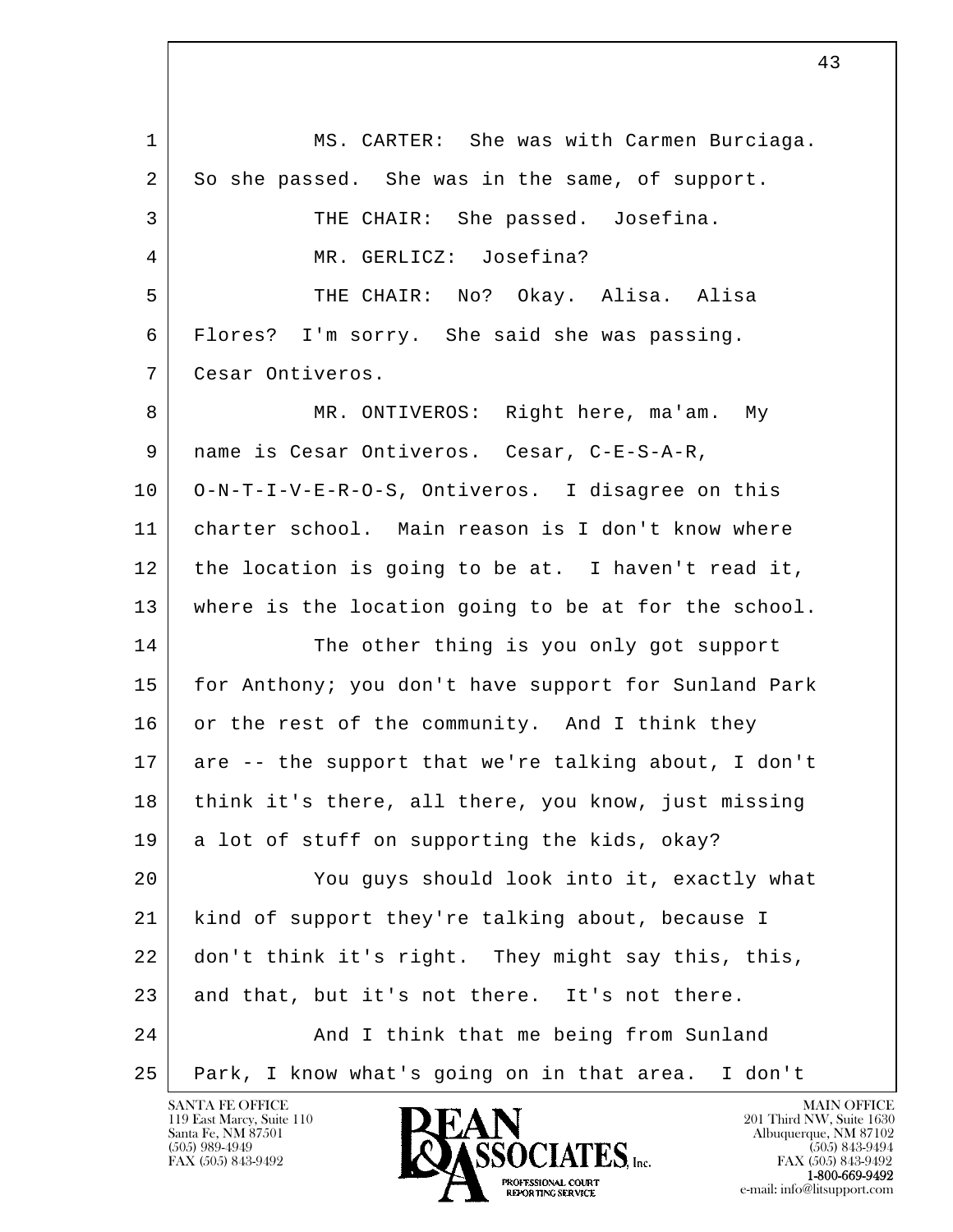l  $\overline{\phantom{a}}$ 1 | MS. CARTER: She was with Carmen Burciaga. 2 So she passed. She was in the same, of support. 3 THE CHAIR: She passed. Josefina. 4 | MR. GERLICZ: Josefina? 5 | THE CHAIR: No? Okay. Alisa. Alisa 6 Flores? I'm sorry. She said she was passing. 7 Cesar Ontiveros. 8 | MR. ONTIVEROS: Right here, ma'am. My 9 | name is Cesar Ontiveros. Cesar, C-E-S-A-R, 10 O-N-T-I-V-E-R-O-S, Ontiveros. I disagree on this 11 charter school. Main reason is I don't know where 12 the location is going to be at. I haven't read it, 13 where is the location going to be at for the school. 14 The other thing is you only got support 15 for Anthony; you don't have support for Sunland Park 16 or the rest of the community. And I think they 17 are -- the support that we're talking about, I don't 18 think it's there, all there, you know, just missing 19 a lot of stuff on supporting the kids, okay? 20 You guys should look into it, exactly what 21 kind of support they're talking about, because I 22 don't think it's right. They might say this, this, 23 and that, but it's not there. It's not there. 24 And I think that me being from Sunland 25 Park, I know what's going on in that area. I don't

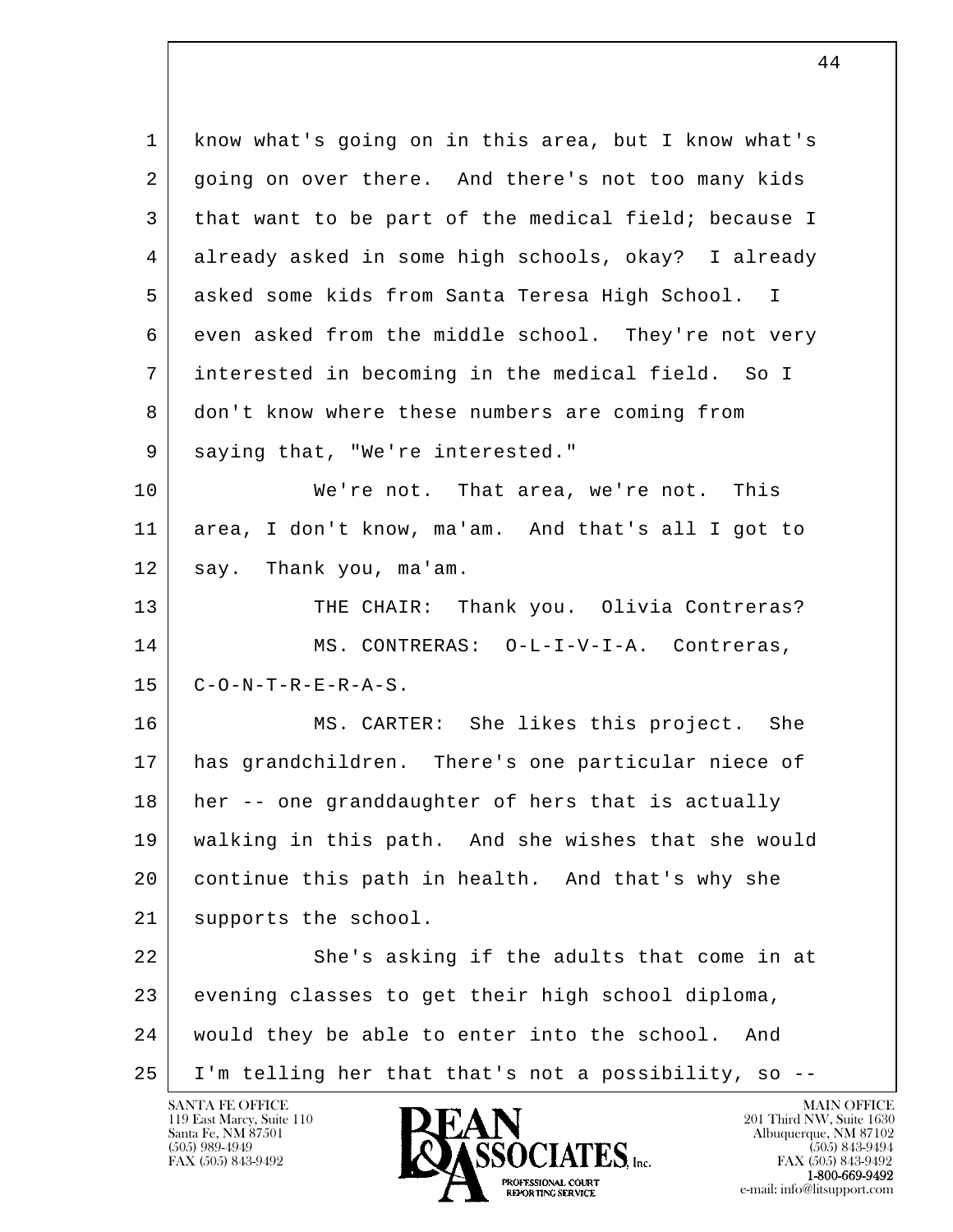| 1  | know what's going on in this area, but I know what's |
|----|------------------------------------------------------|
| 2  | going on over there. And there's not too many kids   |
| 3  | that want to be part of the medical field; because I |
| 4  | already asked in some high schools, okay? I already  |
| 5  | asked some kids from Santa Teresa High School. I     |
| 6  | even asked from the middle school. They're not very  |
| 7  | interested in becoming in the medical field. So I    |
| 8  | don't know where these numbers are coming from       |
| 9  | saying that, "We're interested."                     |
| 10 | We're not. That area, we're not. This                |
| 11 | area, I don't know, ma'am. And that's all I got to   |
| 12 | say. Thank you, ma'am.                               |
| 13 | THE CHAIR: Thank you. Olivia Contreras?              |
| 14 | MS. CONTRERAS: 0-L-I-V-I-A. Contreras,               |
| 15 | $C-O-N-T-R-E-R-A-S$ .                                |
| 16 | MS. CARTER: She likes this project. She              |
| 17 | has grandchildren. There's one particular niece of   |
| 18 | her -- one granddaughter of hers that is actually    |
| 19 | walking in this path. And she wishes that she would  |
| 20 | continue this path in health. And that's why she     |
| 21 | supports the school.                                 |
| 22 | She's asking if the adults that come in at           |
| 23 | evening classes to get their high school diploma,    |
| 24 | would they be able to enter into the school. And     |
| 25 | I'm telling her that that's not a possibility, so -- |

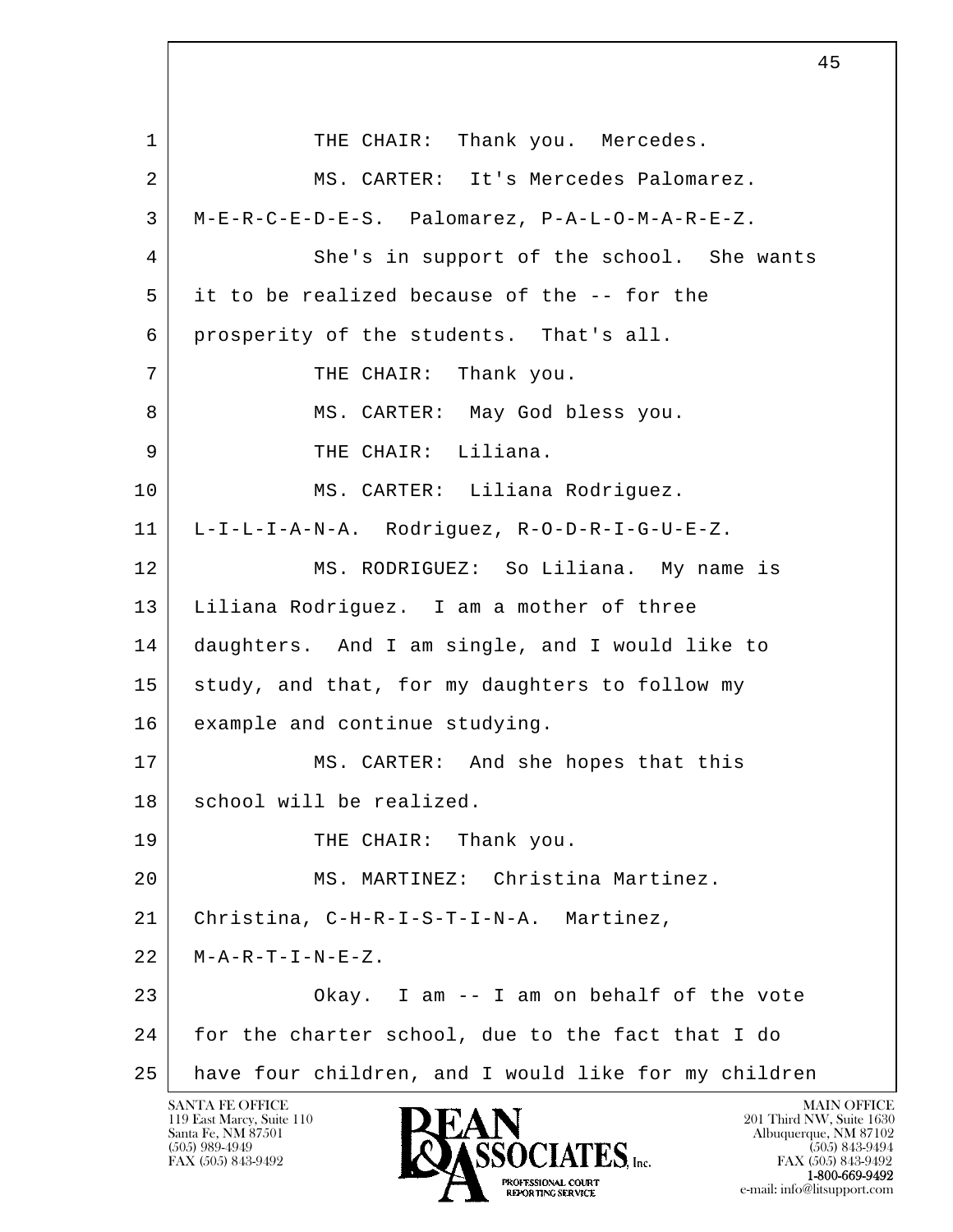l  $\overline{\phantom{a}}$ 1 THE CHAIR: Thank you. Mercedes. 2 MS. CARTER: It's Mercedes Palomarez. 3 M-E-R-C-E-D-E-S. Palomarez, P-A-L-O-M-A-R-E-Z. 4 She's in support of the school. She wants 5 it to be realized because of the -- for the 6 prosperity of the students. That's all. 7 | THE CHAIR: Thank you. 8 MS. CARTER: May God bless you. 9 THE CHAIR: Liliana. 10 | MS. CARTER: Liliana Rodriguez. 11 L-I-L-I-A-N-A. Rodriguez, R-O-D-R-I-G-U-E-Z. 12 MS. RODRIGUEZ: So Liliana. My name is 13 Liliana Rodriguez. I am a mother of three 14 daughters. And I am single, and I would like to 15 study, and that, for my daughters to follow my 16 example and continue studying. 17 MS. CARTER: And she hopes that this 18 school will be realized. 19 THE CHAIR: Thank you. 20 MS. MARTINEZ: Christina Martinez. 21 Christina, C-H-R-I-S-T-I-N-A. Martinez,  $22$  | M-A-R-T-I-N-E-Z. 23 Okay. I am -- I am on behalf of the vote 24 for the charter school, due to the fact that I do 25 have four children, and I would like for my children

45

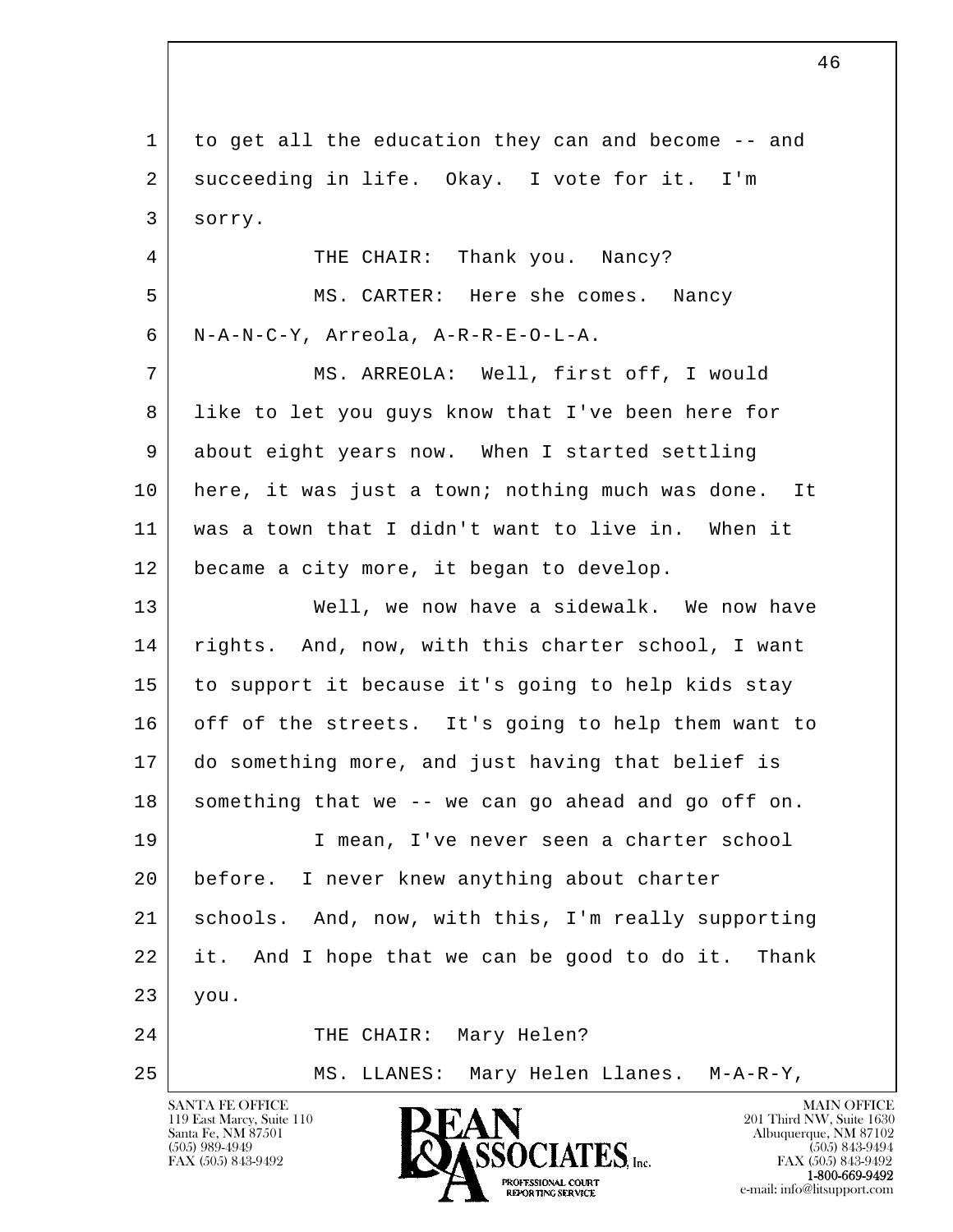l  $\overline{\phantom{a}}$  1 to get all the education they can and become -- and 2 succeeding in life. Okay. I vote for it. I'm 3 sorry. 4 THE CHAIR: Thank you. Nancy? 5 MS. CARTER: Here she comes. Nancy 6 N-A-N-C-Y, Arreola, A-R-R-E-O-L-A. 7 | MS. ARREOLA: Well, first off, I would 8 like to let you guys know that I've been here for 9 about eight years now. When I started settling 10 here, it was just a town; nothing much was done. It 11 was a town that I didn't want to live in. When it 12 became a city more, it began to develop. 13 Well, we now have a sidewalk. We now have 14 | rights. And, now, with this charter school, I want 15 to support it because it's going to help kids stay 16 off of the streets. It's going to help them want to 17 do something more, and just having that belief is  $18$  something that we -- we can go ahead and go off on. 19 I mean, I've never seen a charter school 20 before. I never knew anything about charter 21 schools. And, now, with this, I'm really supporting 22 it. And I hope that we can be good to do it. Thank 23 you. 24 THE CHAIR: Mary Helen? 25 MS. LLANES: Mary Helen Llanes. M-A-R-Y,

46

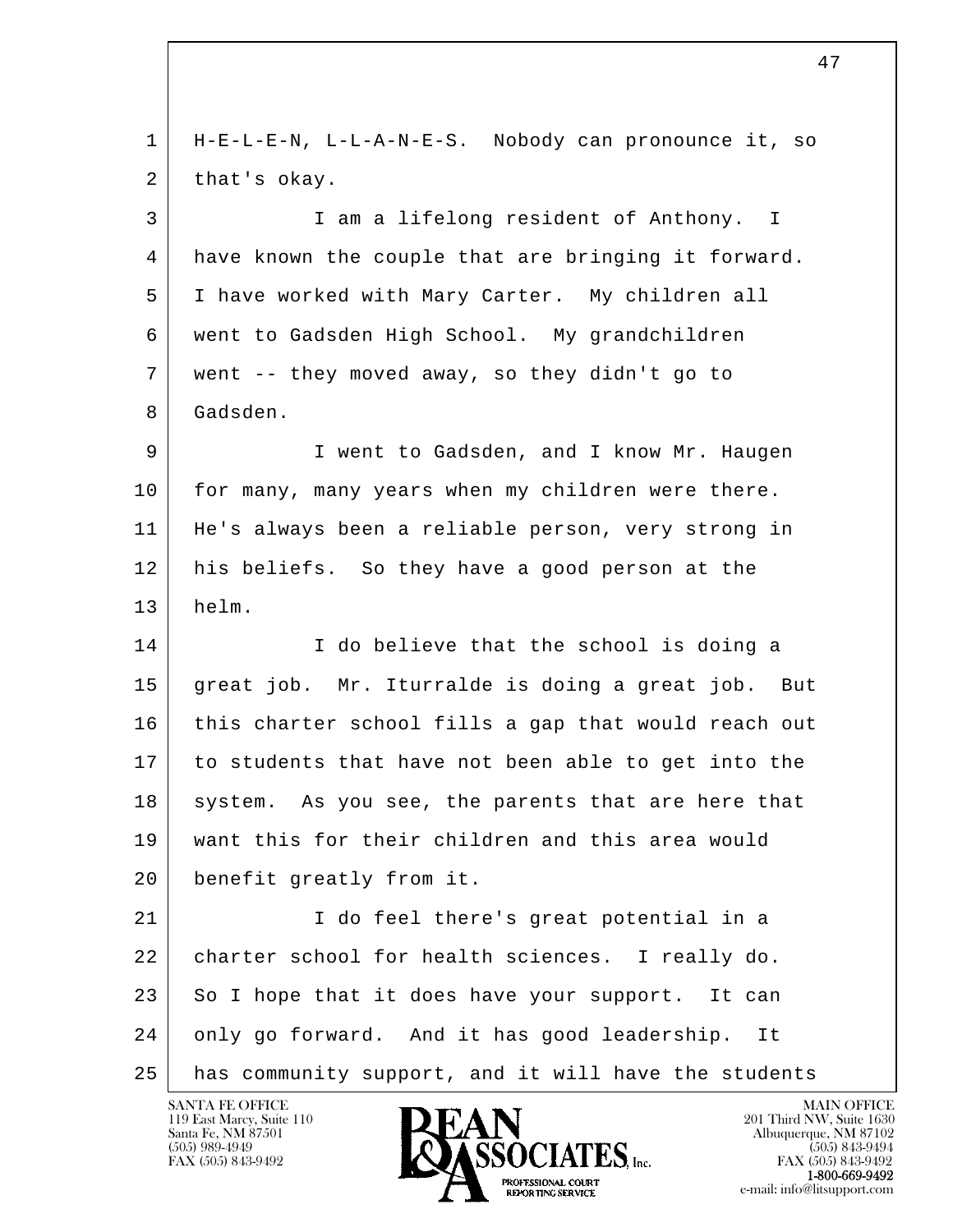l  $\overline{\phantom{a}}$  1 H-E-L-E-N, L-L-A-N-E-S. Nobody can pronounce it, so 2 that's okay. 3 I am a lifelong resident of Anthony. I 4 have known the couple that are bringing it forward. 5 I have worked with Mary Carter. My children all 6 went to Gadsden High School. My grandchildren 7 went -- they moved away, so they didn't go to 8 Gadsden. 9 I went to Gadsden, and I know Mr. Haugen 10 for many, many years when my children were there. 11 He's always been a reliable person, very strong in 12 his beliefs. So they have a good person at the 13 helm. 14 I do believe that the school is doing a 15 great job. Mr. Iturralde is doing a great job. But 16 this charter school fills a gap that would reach out 17 to students that have not been able to get into the 18 system. As you see, the parents that are here that 19 want this for their children and this area would 20 benefit greatly from it. 21 I do feel there's great potential in a 22 | charter school for health sciences. I really do. 23 So I hope that it does have your support. It can 24 only go forward. And it has good leadership. It 25 has community support, and it will have the students

47

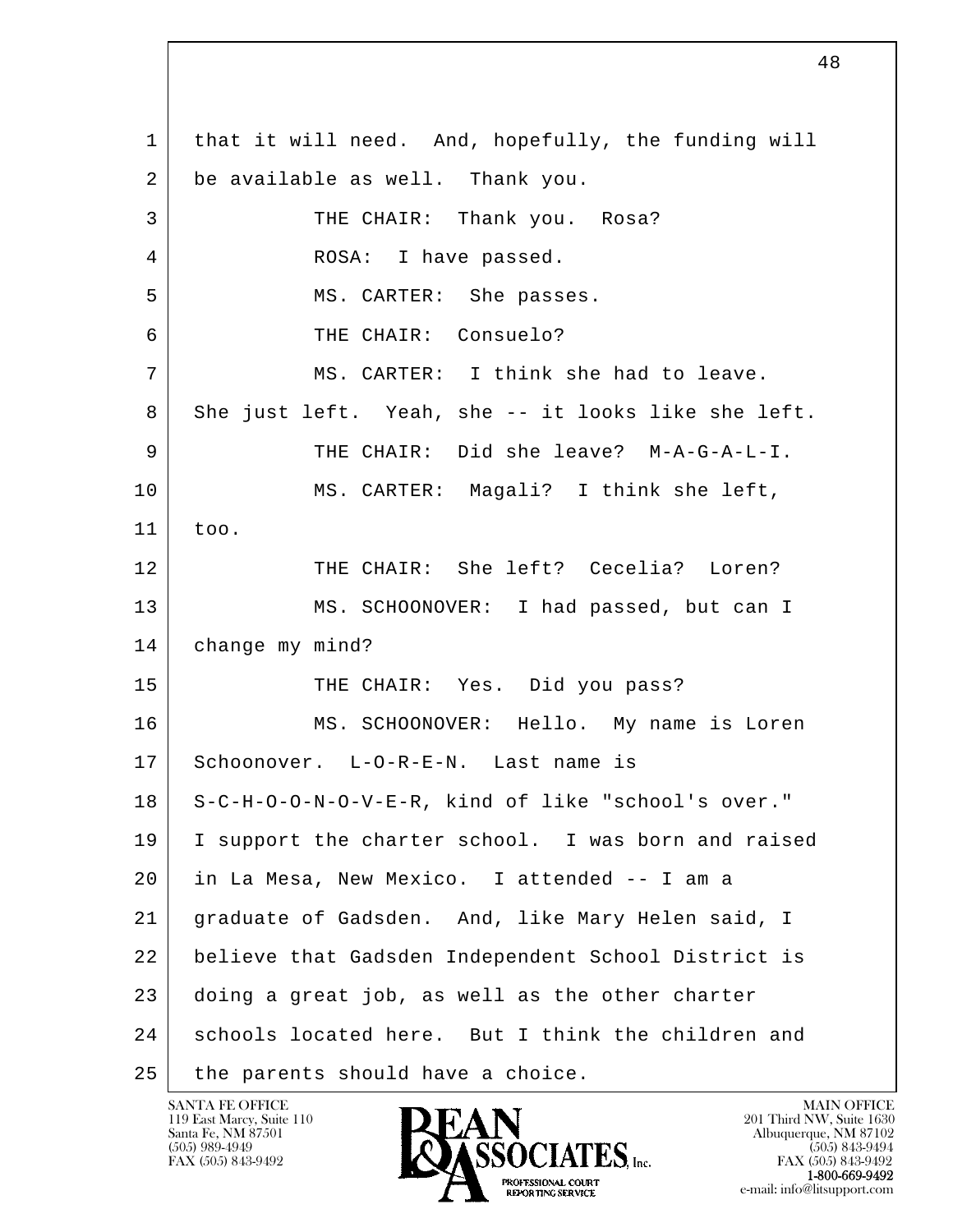l  $\overline{\phantom{a}}$  1 that it will need. And, hopefully, the funding will 2 be available as well. Thank you. 3 THE CHAIR: Thank you. Rosa? 4 ROSA: I have passed. 5 | MS. CARTER: She passes. 6 THE CHAIR: Consuelo? 7 MS. CARTER: I think she had to leave. 8 She just left. Yeah, she -- it looks like she left. 9 THE CHAIR: Did she leave? M-A-G-A-L-I. 10 MS. CARTER: Magali? I think she left, 11 too. 12 THE CHAIR: She left? Cecelia? Loren? 13 MS. SCHOONOVER: I had passed, but can I 14 | change my mind? 15 THE CHAIR: Yes. Did you pass? 16 MS. SCHOONOVER: Hello. My name is Loren 17 Schoonover. L-O-R-E-N. Last name is 18 S-C-H-O-O-N-O-V-E-R, kind of like "school's over." 19 I support the charter school. I was born and raised 20 in La Mesa, New Mexico. I attended -- I am a 21 graduate of Gadsden. And, like Mary Helen said, I 22 believe that Gadsden Independent School District is 23 doing a great job, as well as the other charter 24 schools located here. But I think the children and 25 | the parents should have a choice.

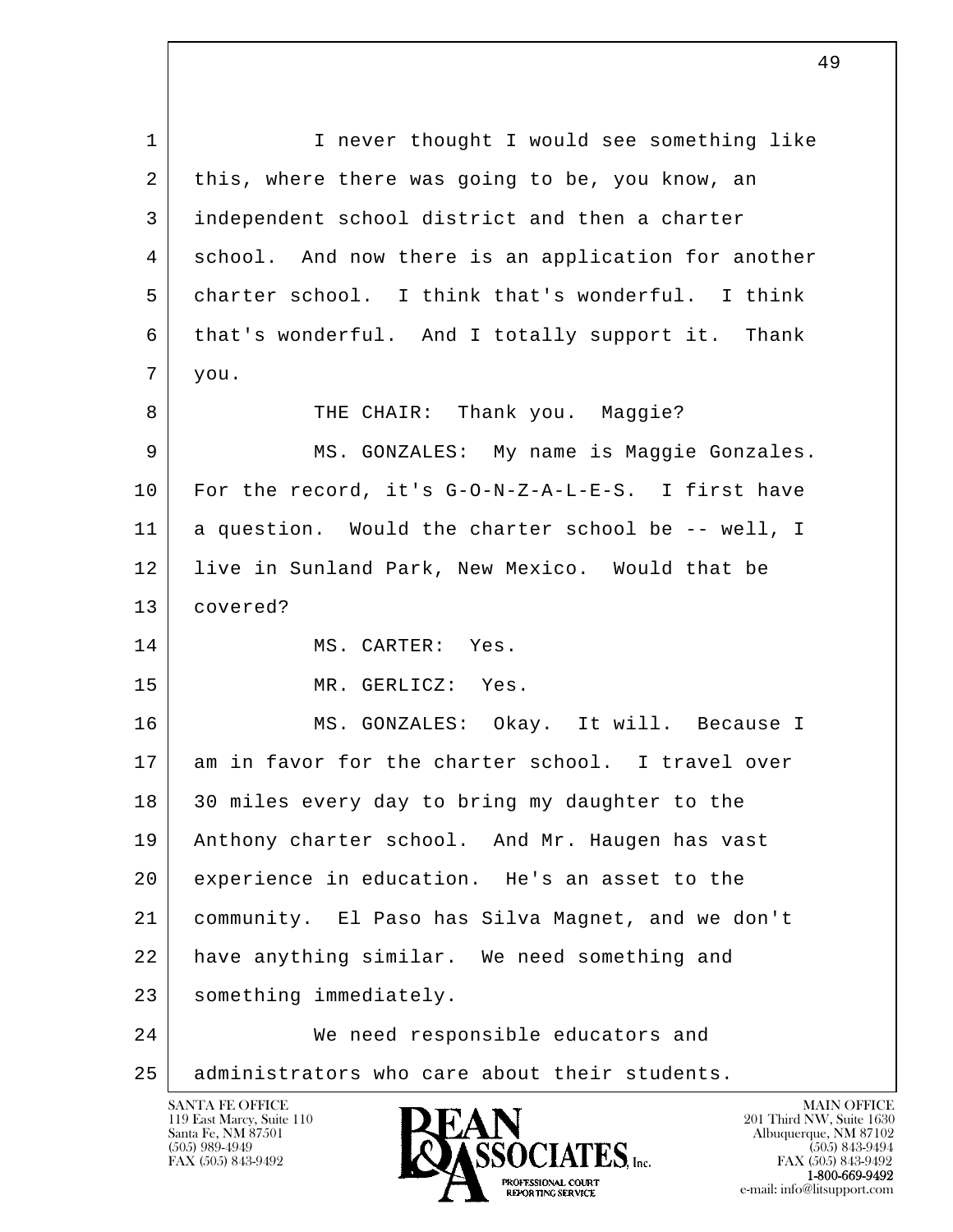l  $\overline{\phantom{a}}$ SANTA FE OFFICE MAIN OFFICE MAIN OFFICE MAIN OFFICE MAIN OFFICE 1 | I never thought I would see something like 2 this, where there was going to be, you know, an 3 independent school district and then a charter 4 school. And now there is an application for another 5 charter school. I think that's wonderful. I think 6 that's wonderful. And I totally support it. Thank 7 you. 8 | THE CHAIR: Thank you. Maqqie? 9 | MS. GONZALES: My name is Maggie Gonzales. 10 For the record, it's G-O-N-Z-A-L-E-S. I first have 11 a question. Would the charter school be -- well, I 12 live in Sunland Park, New Mexico. Would that be 13 covered? 14 MS. CARTER: Yes. 15 MR. GERLICZ: Yes. 16 MS. GONZALES: Okay. It will. Because I 17 am in favor for the charter school. I travel over 18 30 miles every day to bring my daughter to the 19 | Anthony charter school. And Mr. Haugen has vast 20 experience in education. He's an asset to the 21 community. El Paso has Silva Magnet, and we don't 22 have anything similar. We need something and 23 | something immediately. 24 We need responsible educators and 25 administrators who care about their students.

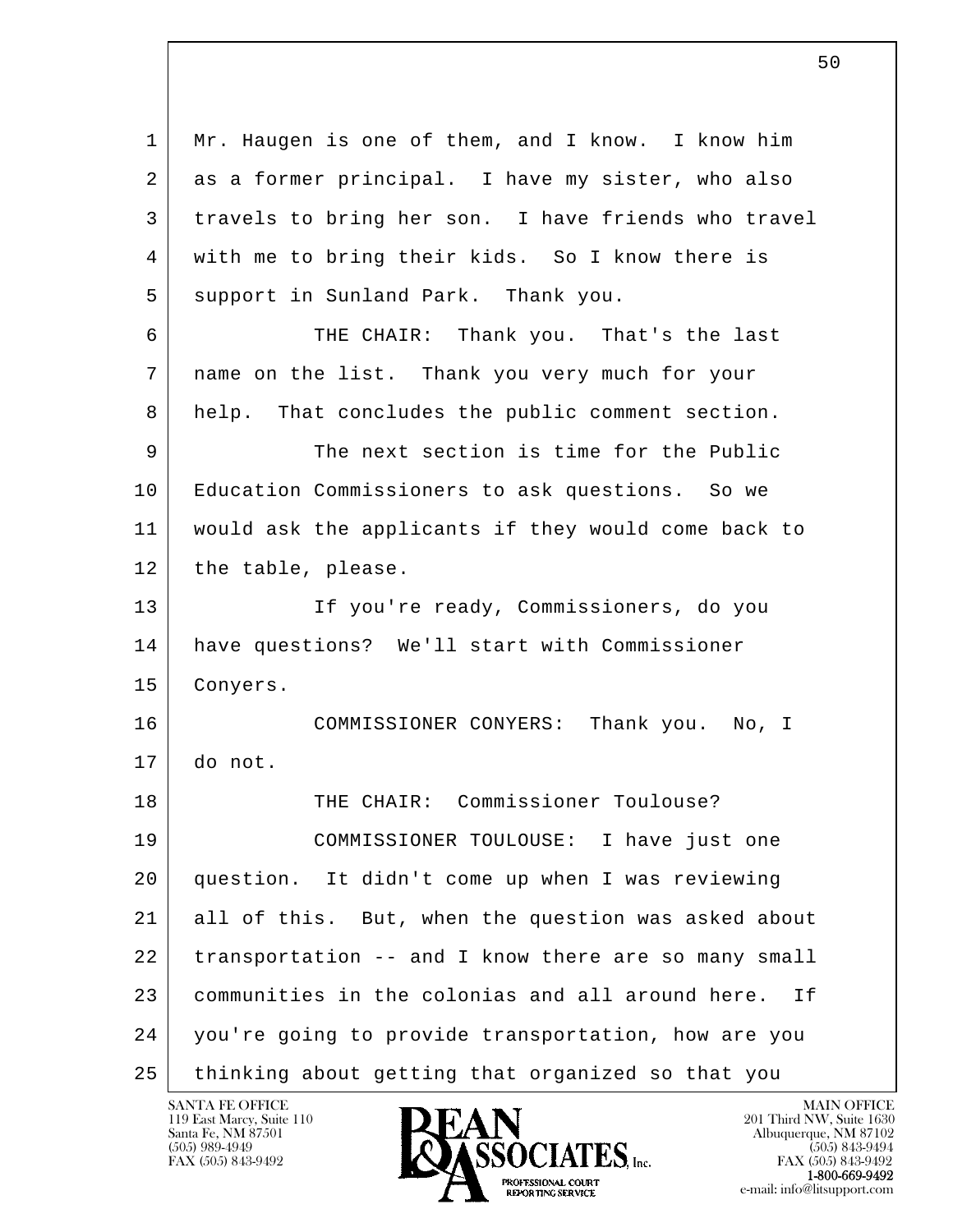l  $\overline{\phantom{a}}$  1 Mr. Haugen is one of them, and I know. I know him 2 as a former principal. I have my sister, who also 3 travels to bring her son. I have friends who travel 4 with me to bring their kids. So I know there is 5 support in Sunland Park. Thank you. 6 THE CHAIR: Thank you. That's the last 7 name on the list. Thank you very much for your 8 help. That concludes the public comment section. 9 The next section is time for the Public 10 Education Commissioners to ask questions. So we 11 would ask the applicants if they would come back to 12 the table, please. 13 If you're ready, Commissioners, do you 14 have questions? We'll start with Commissioner 15 Conyers. 16 COMMISSIONER CONYERS: Thank you. No, I 17 do not. 18 THE CHAIR: Commissioner Toulouse? 19 COMMISSIONER TOULOUSE: I have just one 20 question. It didn't come up when I was reviewing 21 all of this. But, when the question was asked about 22 transportation -- and I know there are so many small 23 communities in the colonias and all around here. If 24 you're going to provide transportation, how are you 25 thinking about getting that organized so that you

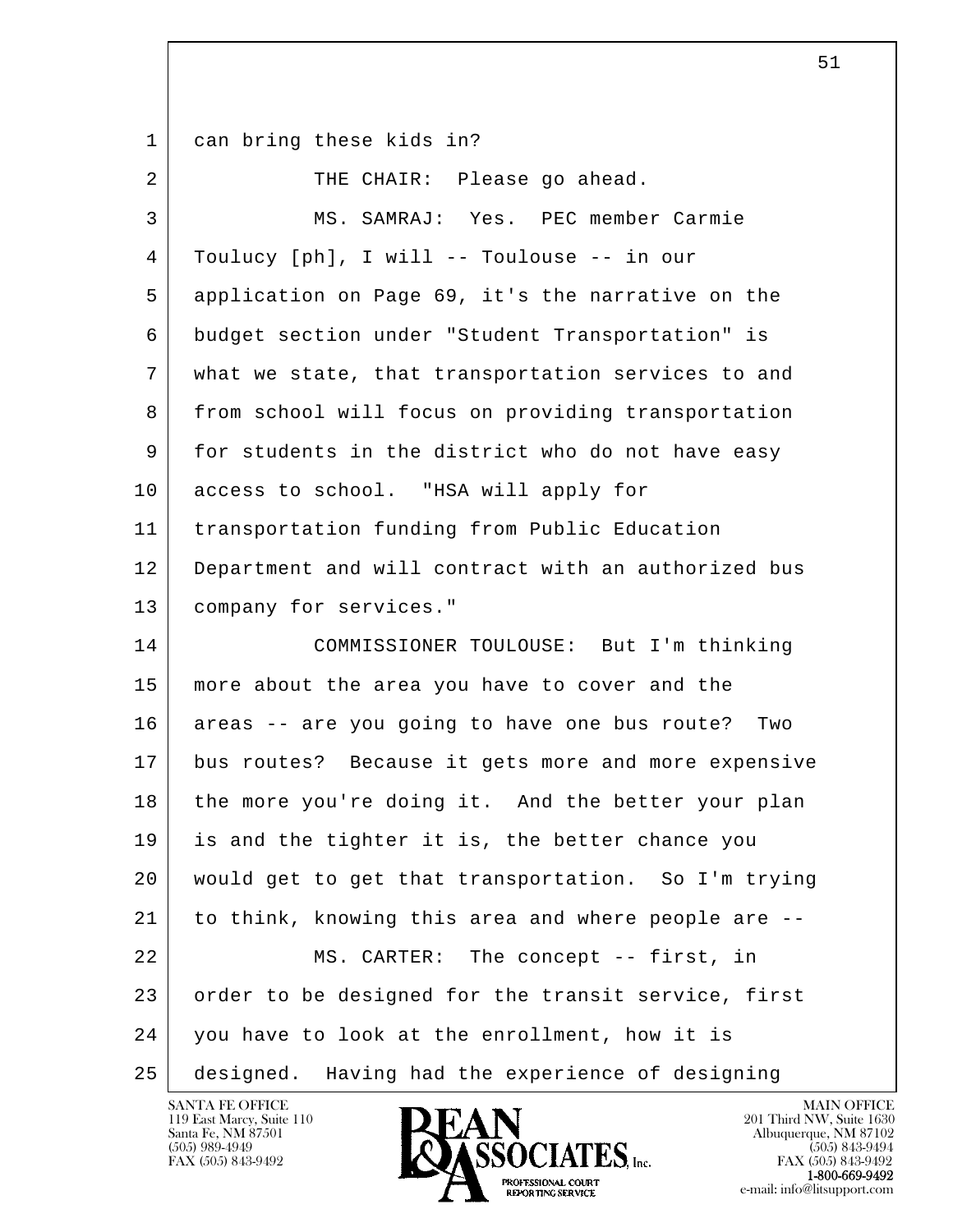1 can bring these kids in?

| $\overline{a}$ | THE CHAIR: Please go ahead.                          |
|----------------|------------------------------------------------------|
| 3              | MS. SAMRAJ: Yes. PEC member Carmie                   |
| 4              | Toulucy [ph], I will -- Toulouse -- in our           |
| 5              | application on Page 69, it's the narrative on the    |
| 6              | budget section under "Student Transportation" is     |
| 7              | what we state, that transportation services to and   |
| 8              | from school will focus on providing transportation   |
| 9              | for students in the district who do not have easy    |
| 10             | access to school. "HSA will apply for                |
| 11             | transportation funding from Public Education         |
| 12             | Department and will contract with an authorized bus  |
| 13             | company for services."                               |
| 14             | COMMISSIONER TOULOUSE: But I'm thinking              |
| 15             | more about the area you have to cover and the        |
| 16             | areas -- are you going to have one bus route?<br>Two |
| 17             | bus routes? Because it gets more and more expensive  |
| 18             | the more you're doing it. And the better your plan   |
| 19             | is and the tighter it is, the better chance you      |
| 20             | would get to get that transportation. So I'm trying  |
| 21             | to think, knowing this area and where people are --  |
| 22             | The concept -- first, in<br>MS. CARTER:              |
| 23             | order to be designed for the transit service, first  |
| 24             | you have to look at the enrollment, how it is        |
| 25             | designed. Having had the experience of designing     |

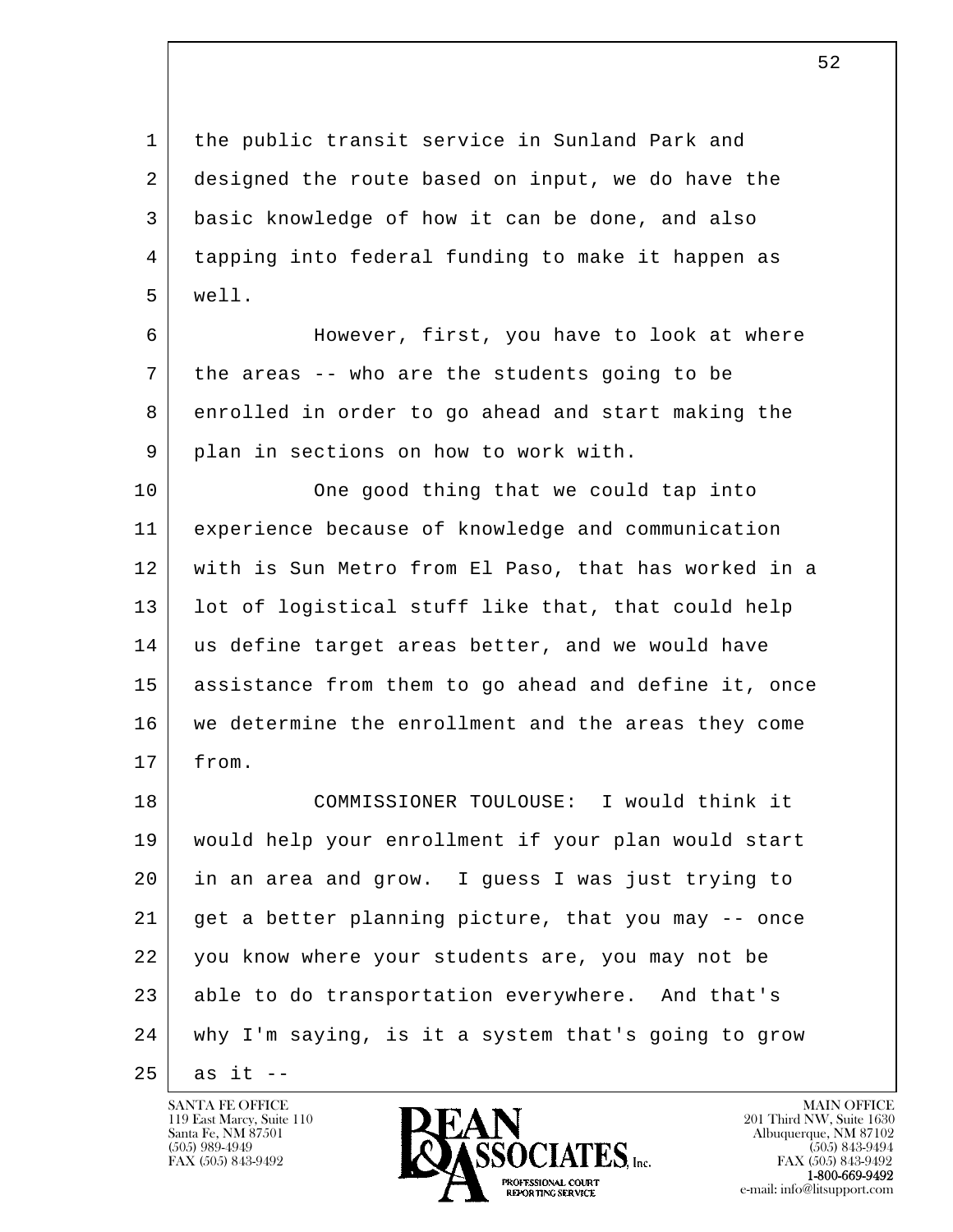1 the public transit service in Sunland Park and 2 designed the route based on input, we do have the 3 basic knowledge of how it can be done, and also 4 tapping into federal funding to make it happen as 5 well.

6 However, first, you have to look at where 7 the areas -- who are the students going to be 8 enrolled in order to go ahead and start making the 9 plan in sections on how to work with.

10 One good thing that we could tap into 11 experience because of knowledge and communication 12 with is Sun Metro from El Paso, that has worked in a 13 | lot of logistical stuff like that, that could help 14 us define target areas better, and we would have 15 assistance from them to go ahead and define it, once 16 we determine the enrollment and the areas they come 17 from.

l  $\overline{\phantom{a}}$  18 COMMISSIONER TOULOUSE: I would think it 19 would help your enrollment if your plan would start 20 in an area and grow. I guess I was just trying to 21 get a better planning picture, that you may -- once 22 you know where your students are, you may not be 23 able to do transportation everywhere. And that's 24 why I'm saying, is it a system that's going to grow

 $25$  as it  $-$ 

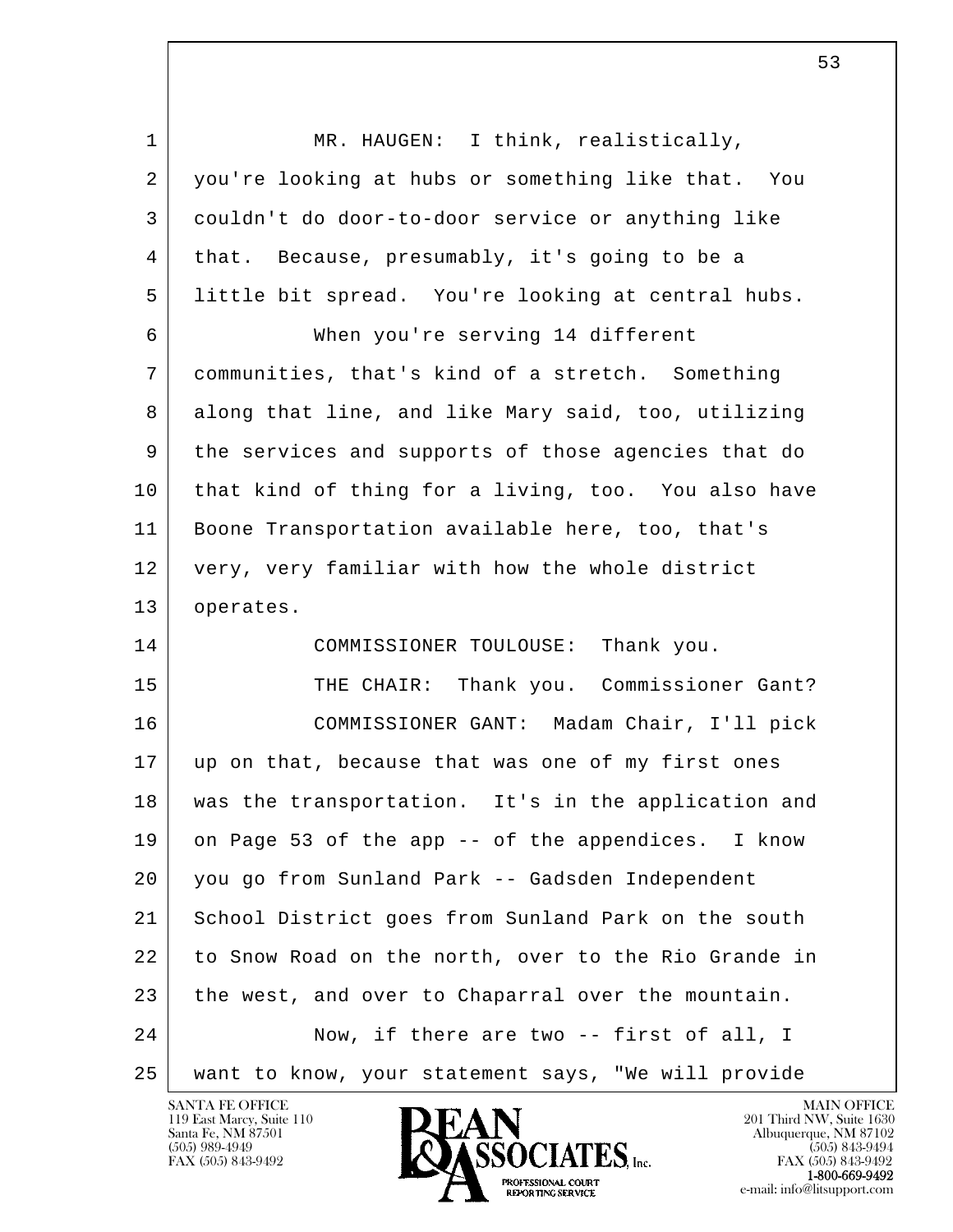l  $\overline{\phantom{a}}$ 1 | MR. HAUGEN: I think, realistically, 2 you're looking at hubs or something like that. You 3 couldn't do door-to-door service or anything like 4 that. Because, presumably, it's going to be a 5 little bit spread. You're looking at central hubs. 6 When you're serving 14 different 7 communities, that's kind of a stretch. Something 8 along that line, and like Mary said, too, utilizing 9 the services and supports of those agencies that do 10 that kind of thing for a living, too. You also have 11 Boone Transportation available here, too, that's 12 very, very familiar with how the whole district 13 operates. 14 COMMISSIONER TOULOUSE: Thank you. 15 | THE CHAIR: Thank you. Commissioner Gant? 16 COMMISSIONER GANT: Madam Chair, I'll pick 17 up on that, because that was one of my first ones 18 was the transportation. It's in the application and 19 on Page 53 of the app -- of the appendices. I know 20 you go from Sunland Park -- Gadsden Independent 21 School District goes from Sunland Park on the south 22 to Snow Road on the north, over to the Rio Grande in 23 the west, and over to Chaparral over the mountain. 24 Now, if there are two -- first of all, I 25 want to know, your statement says, "We will provide

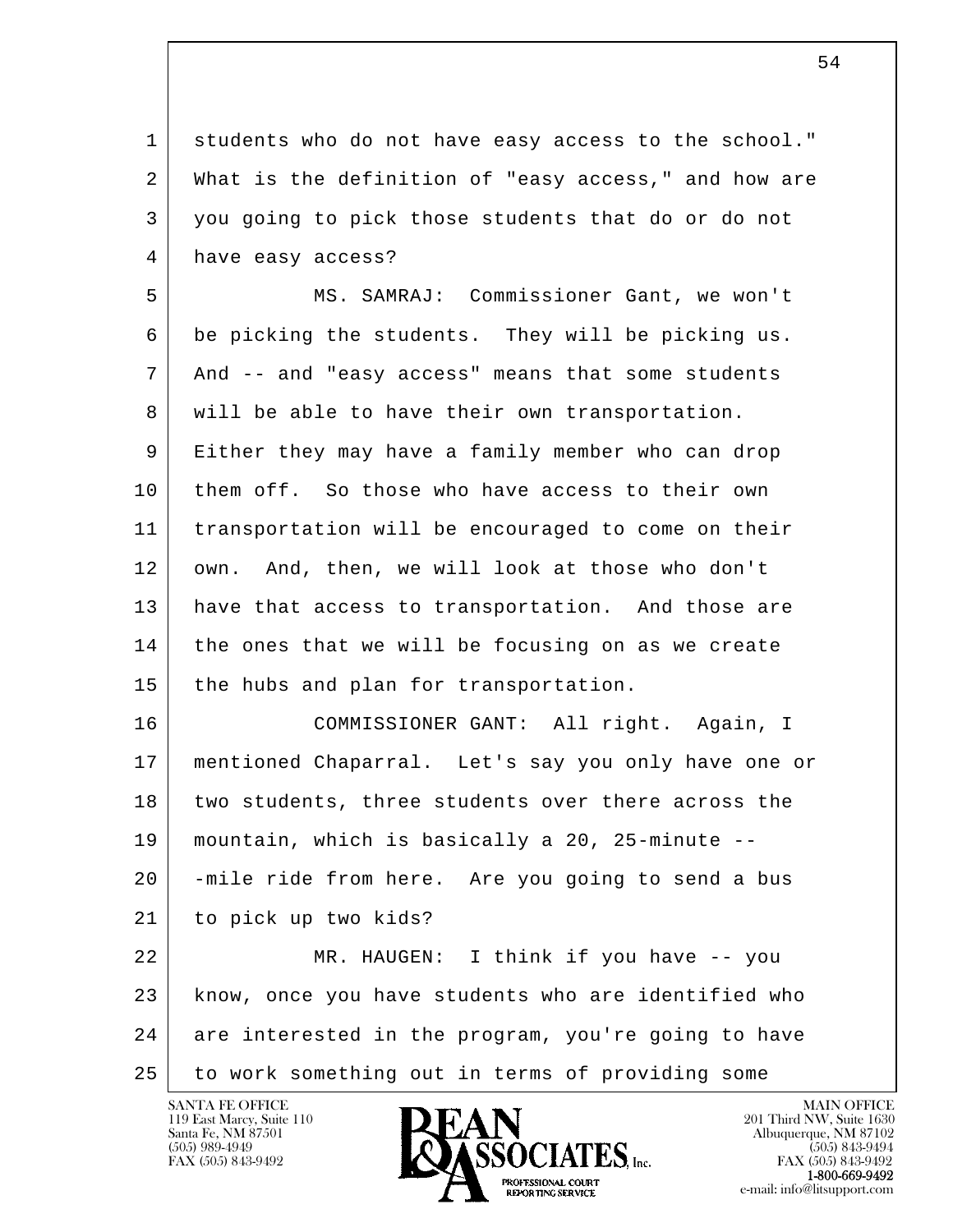1 students who do not have easy access to the school." 2 What is the definition of "easy access," and how are 3 you going to pick those students that do or do not 4 have easy access?

 5 MS. SAMRAJ: Commissioner Gant, we won't 6 be picking the students. They will be picking us. 7 And -- and "easy access" means that some students 8 will be able to have their own transportation. 9 Either they may have a family member who can drop 10 them off. So those who have access to their own 11 transportation will be encouraged to come on their 12 own. And, then, we will look at those who don't 13 have that access to transportation. And those are 14 the ones that we will be focusing on as we create 15 the hubs and plan for transportation.

 16 COMMISSIONER GANT: All right. Again, I 17 mentioned Chaparral. Let's say you only have one or 18 two students, three students over there across the 19 mountain, which is basically a 20, 25-minute -- 20 -mile ride from here. Are you going to send a bus 21 to pick up two kids?

l  $\overline{\phantom{a}}$ 22 MR. HAUGEN: I think if you have -- you 23 know, once you have students who are identified who 24 are interested in the program, you're going to have 25 | to work something out in terms of providing some

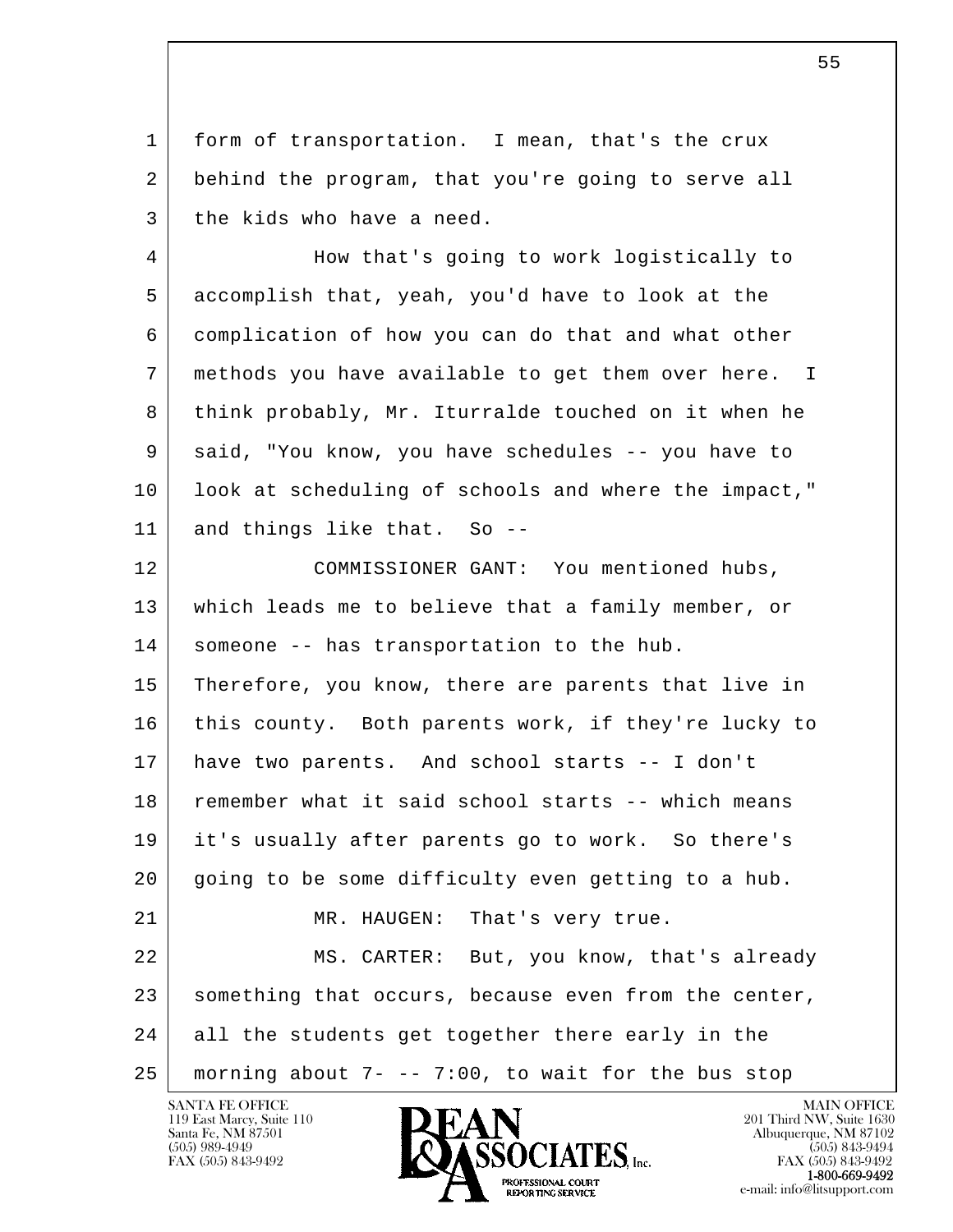1 form of transportation. I mean, that's the crux 2 behind the program, that you're going to serve all 3 the kids who have a need.

 4 How that's going to work logistically to 5 accomplish that, yeah, you'd have to look at the 6 complication of how you can do that and what other 7 methods you have available to get them over here. I 8 think probably, Mr. Iturralde touched on it when he 9 said, "You know, you have schedules -- you have to 10 look at scheduling of schools and where the impact," 11 and things like that. So --

l  $\overline{\phantom{a}}$  12 COMMISSIONER GANT: You mentioned hubs, 13 which leads me to believe that a family member, or 14 | someone -- has transportation to the hub. 15 Therefore, you know, there are parents that live in 16 this county. Both parents work, if they're lucky to 17 have two parents. And school starts -- I don't 18 remember what it said school starts -- which means 19 it's usually after parents go to work. So there's 20 going to be some difficulty even getting to a hub. 21 MR. HAUGEN: That's very true. 22 MS. CARTER: But, you know, that's already 23 something that occurs, because even from the center, 24 all the students get together there early in the 25 morning about 7- -- 7:00, to wait for the bus stop

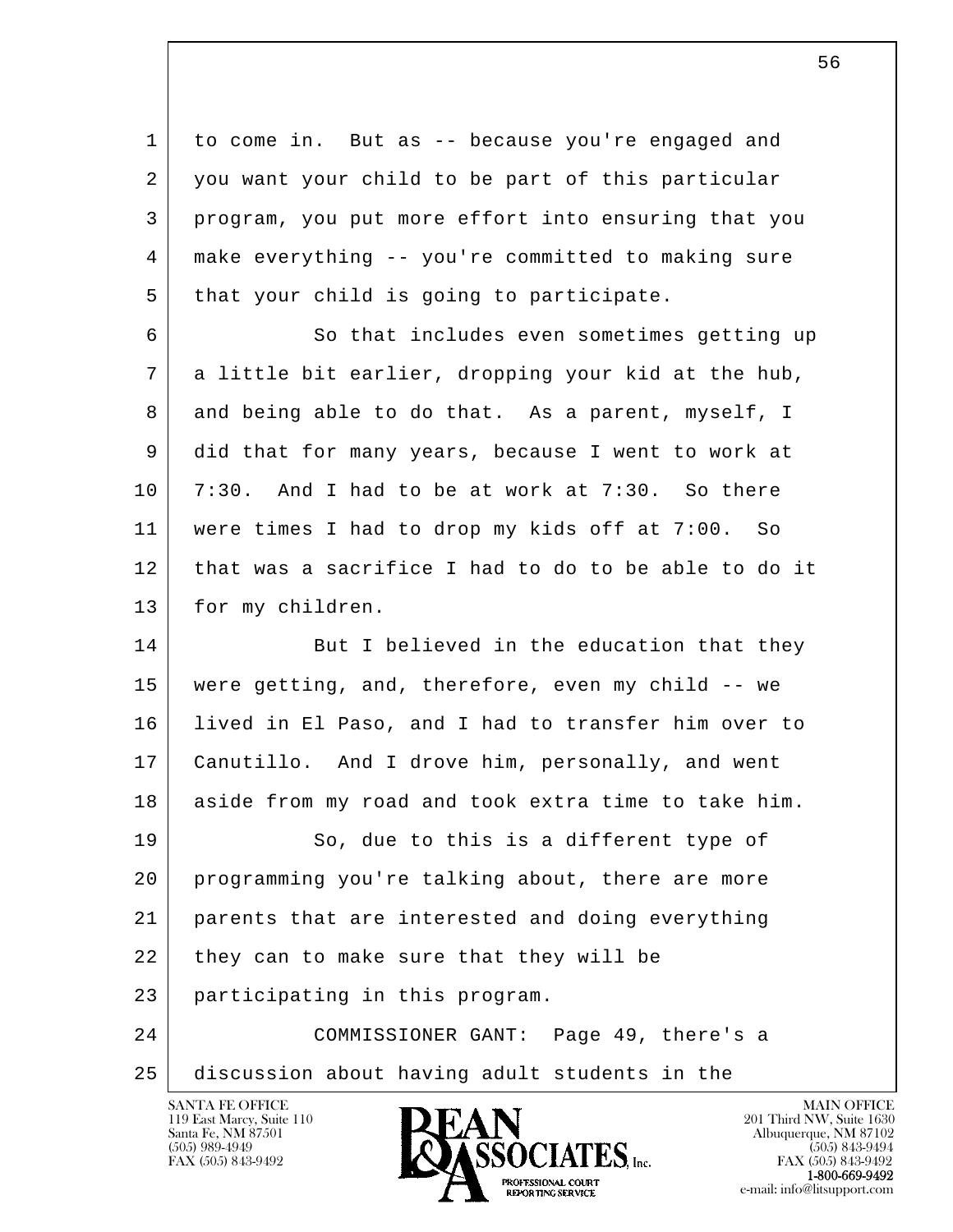1 to come in. But as -- because you're engaged and 2 you want your child to be part of this particular 3 program, you put more effort into ensuring that you 4 make everything -- you're committed to making sure 5 | that your child is going to participate. 6 So that includes even sometimes getting up 7 a little bit earlier, dropping your kid at the hub, 8 and being able to do that. As a parent, myself, I 9 did that for many years, because I went to work at 10 7:30. And I had to be at work at 7:30. So there 11 were times I had to drop my kids off at 7:00. So 12 that was a sacrifice I had to do to be able to do it 13 | for my children. 14 But I believed in the education that they 15 were getting, and, therefore, even my child -- we 16 lived in El Paso, and I had to transfer him over to 17 Canutillo. And I drove him, personally, and went 18 aside from my road and took extra time to take him.

l 19 So, due to this is a different type of 20 programming you're talking about, there are more 21 parents that are interested and doing everything 22 they can to make sure that they will be 23 participating in this program.

 $\overline{\phantom{a}}$  24 COMMISSIONER GANT: Page 49, there's a 25 discussion about having adult students in the

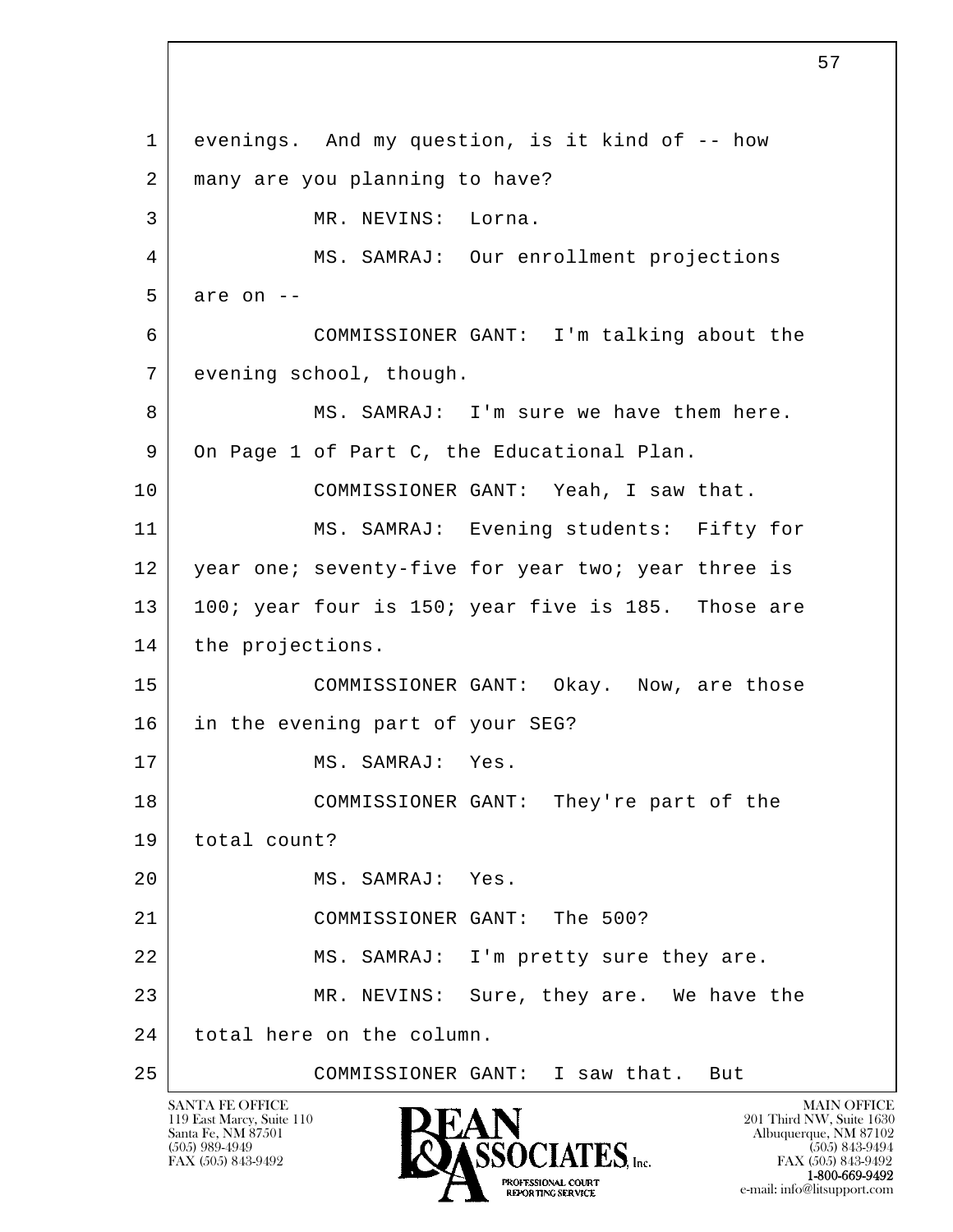l  $\overline{\phantom{a}}$  1 evenings. And my question, is it kind of -- how 2 | many are you planning to have? 3 MR. NEVINS: Lorna. 4 MS. SAMRAJ: Our enrollment projections  $5$  are on  $-$  6 COMMISSIONER GANT: I'm talking about the 7 evening school, though. 8 MS. SAMRAJ: I'm sure we have them here. 9 On Page 1 of Part C, the Educational Plan. 10 COMMISSIONER GANT: Yeah, I saw that. 11 MS. SAMRAJ: Evening students: Fifty for 12 year one; seventy-five for year two; year three is 13 | 100; year four is 150; year five is 185. Those are 14 | the projections. 15 COMMISSIONER GANT: Okay. Now, are those 16 in the evening part of your SEG? 17 MS. SAMRAJ: Yes. 18 COMMISSIONER GANT: They're part of the 19 total count? 20 MS. SAMRAJ: Yes. 21 COMMISSIONER GANT: The 500? 22 | MS. SAMRAJ: I'm pretty sure they are. 23 MR. NEVINS: Sure, they are. We have the 24 total here on the column. 25 COMMISSIONER GANT: I saw that. But

119 East Marcy, Suite 110<br>Santa Fe, NM 87501

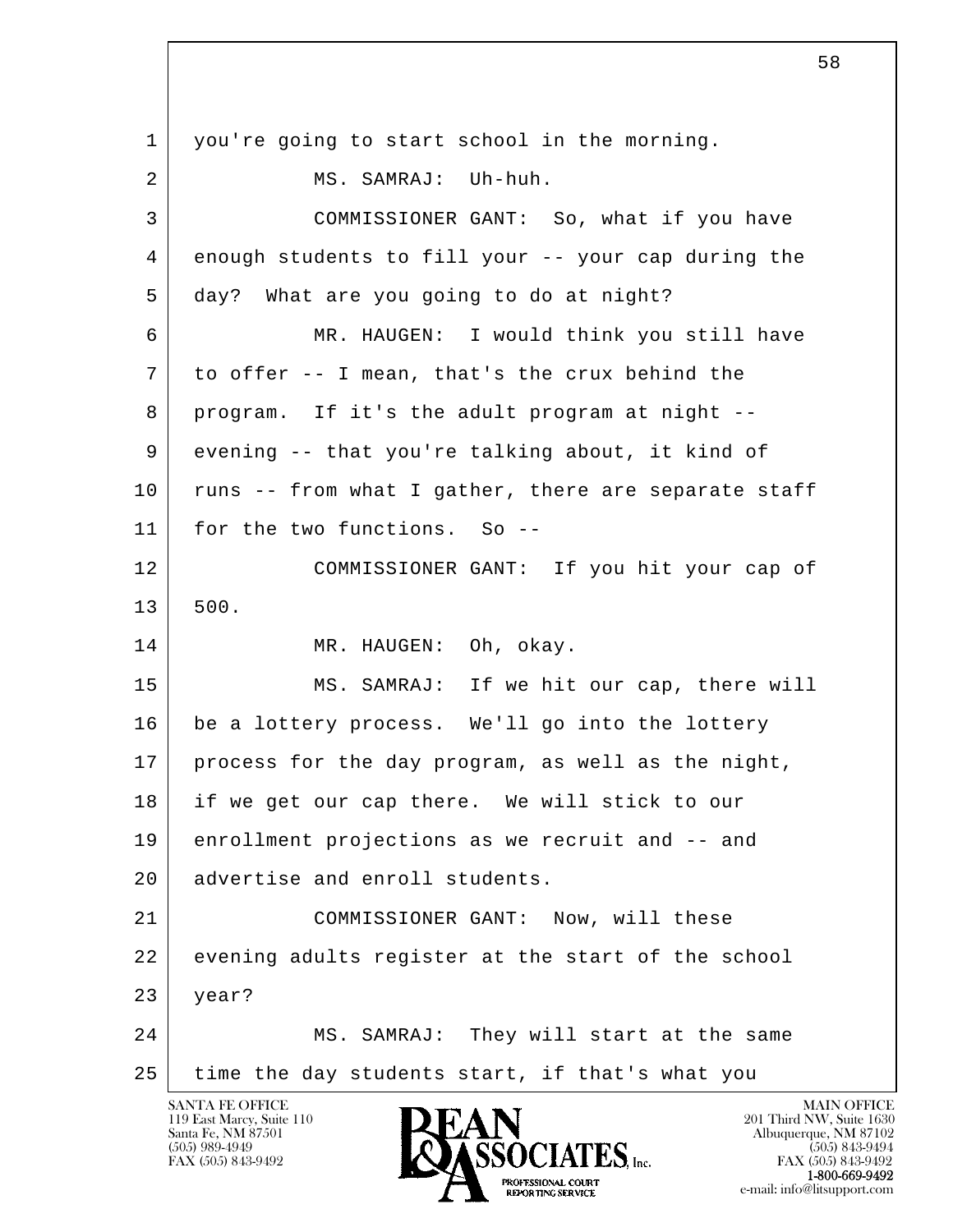l  $\overline{\phantom{a}}$ SANTA FE OFFICE MAIN OFFICE MAIN OFFICE MAIN OFFICE MAIN OFFICE 1 you're going to start school in the morning. 2 MS. SAMRAJ: Uh-huh. 3 COMMISSIONER GANT: So, what if you have 4 enough students to fill your -- your cap during the 5 day? What are you going to do at night? 6 MR. HAUGEN: I would think you still have 7 to offer -- I mean, that's the crux behind the 8 program. If it's the adult program at night -- 9 evening -- that you're talking about, it kind of 10 | runs -- from what I gather, there are separate staff 11 for the two functions. So -- 12 COMMISSIONER GANT: If you hit your cap of 13 500. 14 MR. HAUGEN: Oh, okay. 15 MS. SAMRAJ: If we hit our cap, there will 16 be a lottery process. We'll go into the lottery 17 process for the day program, as well as the night, 18 if we get our cap there. We will stick to our 19 enrollment projections as we recruit and -- and 20 advertise and enroll students. 21 COMMISSIONER GANT: Now, will these 22 evening adults register at the start of the school 23 year? 24 MS. SAMRAJ: They will start at the same 25 time the day students start, if that's what you

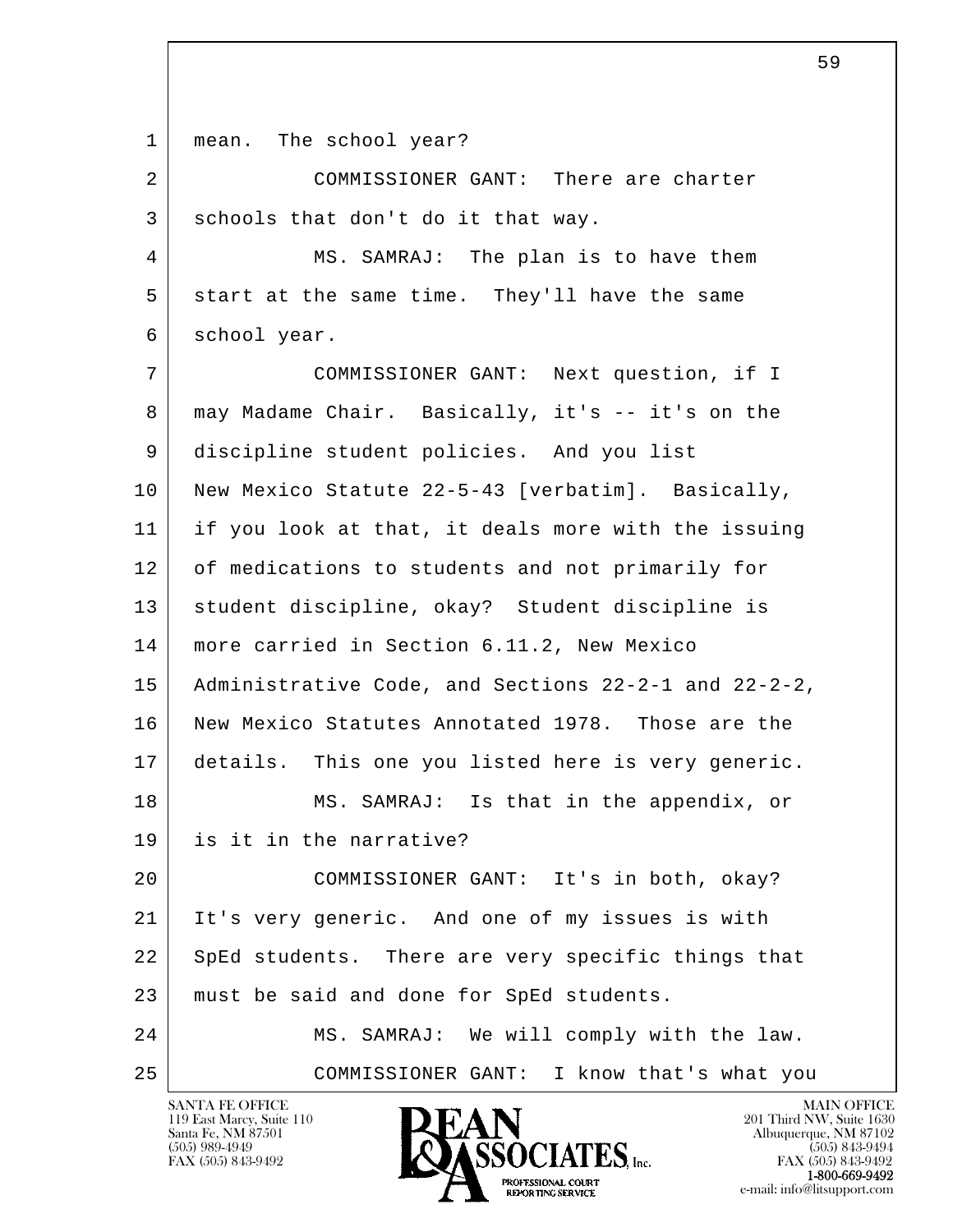1 | mean. The school year?

2 COMMISSIONER GANT: There are charter 3 schools that don't do it that way.

 4 MS. SAMRAJ: The plan is to have them 5 start at the same time. They'll have the same 6 school year.

l  $\overline{\phantom{a}}$  7 COMMISSIONER GANT: Next question, if I 8 may Madame Chair. Basically, it's -- it's on the 9 discipline student policies. And you list 10 New Mexico Statute 22-5-43 [verbatim]. Basically, 11 if you look at that, it deals more with the issuing 12 of medications to students and not primarily for 13 student discipline, okay? Student discipline is 14 more carried in Section 6.11.2, New Mexico 15 Administrative Code, and Sections 22-2-1 and 22-2-2, 16 New Mexico Statutes Annotated 1978. Those are the 17 details. This one you listed here is very generic. 18 MS. SAMRAJ: Is that in the appendix, or 19 is it in the narrative? 20 COMMISSIONER GANT: It's in both, okay? 21 | It's very generic. And one of my issues is with 22 SpEd students. There are very specific things that 23 | must be said and done for SpEd students. 24 MS. SAMRAJ: We will comply with the law. 25 COMMISSIONER GANT: I know that's what you

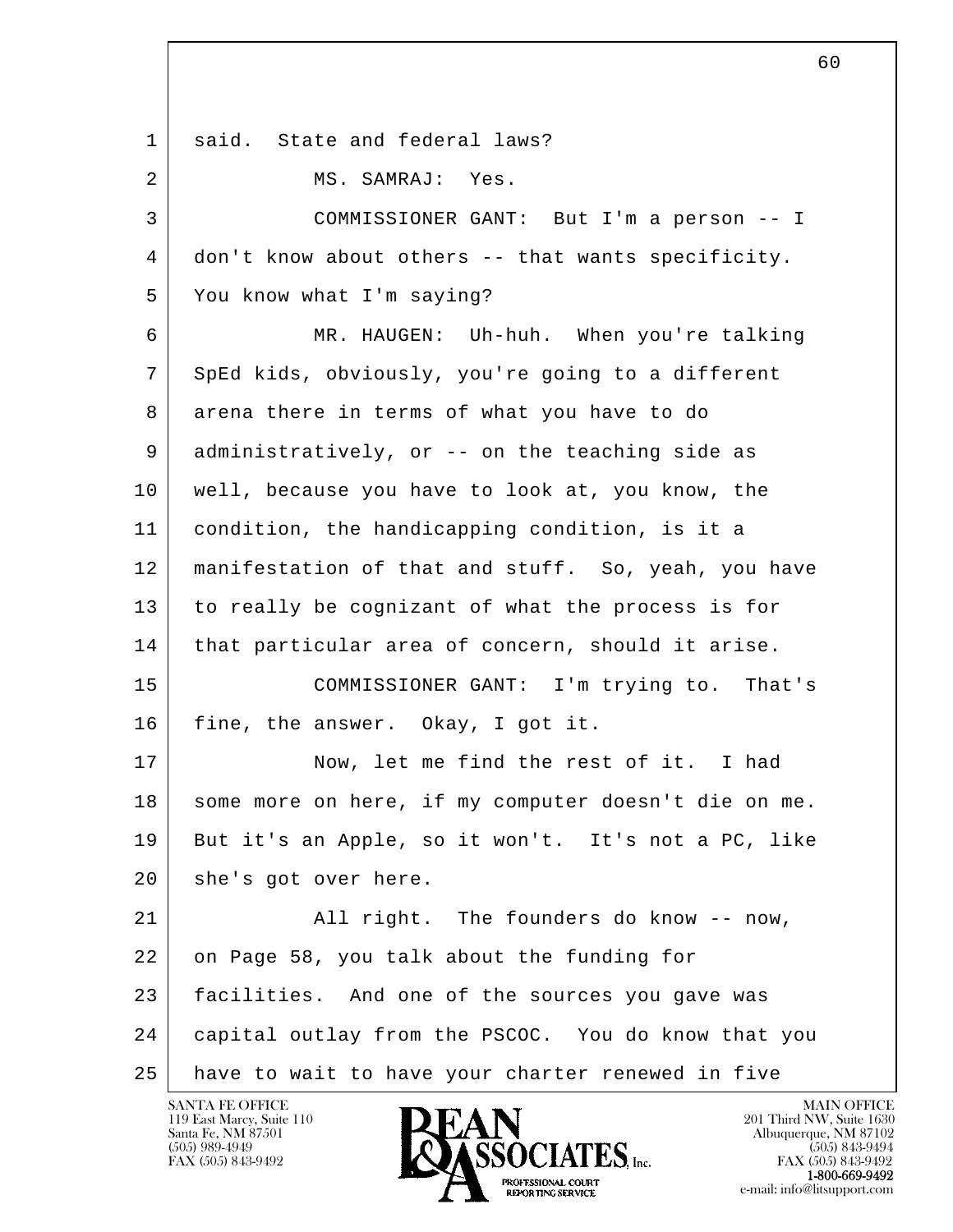| 1  | said. State and federal laws?                        |
|----|------------------------------------------------------|
| 2  | MS. SAMRAJ: Yes.                                     |
| 3  | COMMISSIONER GANT: But I'm a person -- I             |
| 4  | don't know about others -- that wants specificity.   |
| 5  | You know what I'm saying?                            |
| 6  | MR. HAUGEN: Uh-huh. When you're talking              |
| 7  | SpEd kids, obviously, you're going to a different    |
| 8  | arena there in terms of what you have to do          |
| 9  | administratively, or -- on the teaching side as      |
| 10 | well, because you have to look at, you know, the     |
| 11 | condition, the handicapping condition, is it a       |
| 12 | manifestation of that and stuff. So, yeah, you have  |
| 13 | to really be cognizant of what the process is for    |
| 14 | that particular area of concern, should it arise.    |
| 15 | COMMISSIONER GANT: I'm trying to. That's             |
| 16 | fine, the answer. Okay, I got it.                    |
| 17 | Now, let me find the rest of it. I had               |
| 18 | some more on here, if my computer doesn't die on me. |
| 19 | But it's an Apple, so it won't. It's not a PC, like  |
| 20 | she's got over here.                                 |
| 21 | All right. The founders do know -- now,              |
| 22 | on Page 58, you talk about the funding for           |
| 23 | facilities. And one of the sources you gave was      |
| 24 | capital outlay from the PSCOC. You do know that you  |
| 25 | have to wait to have your charter renewed in five    |

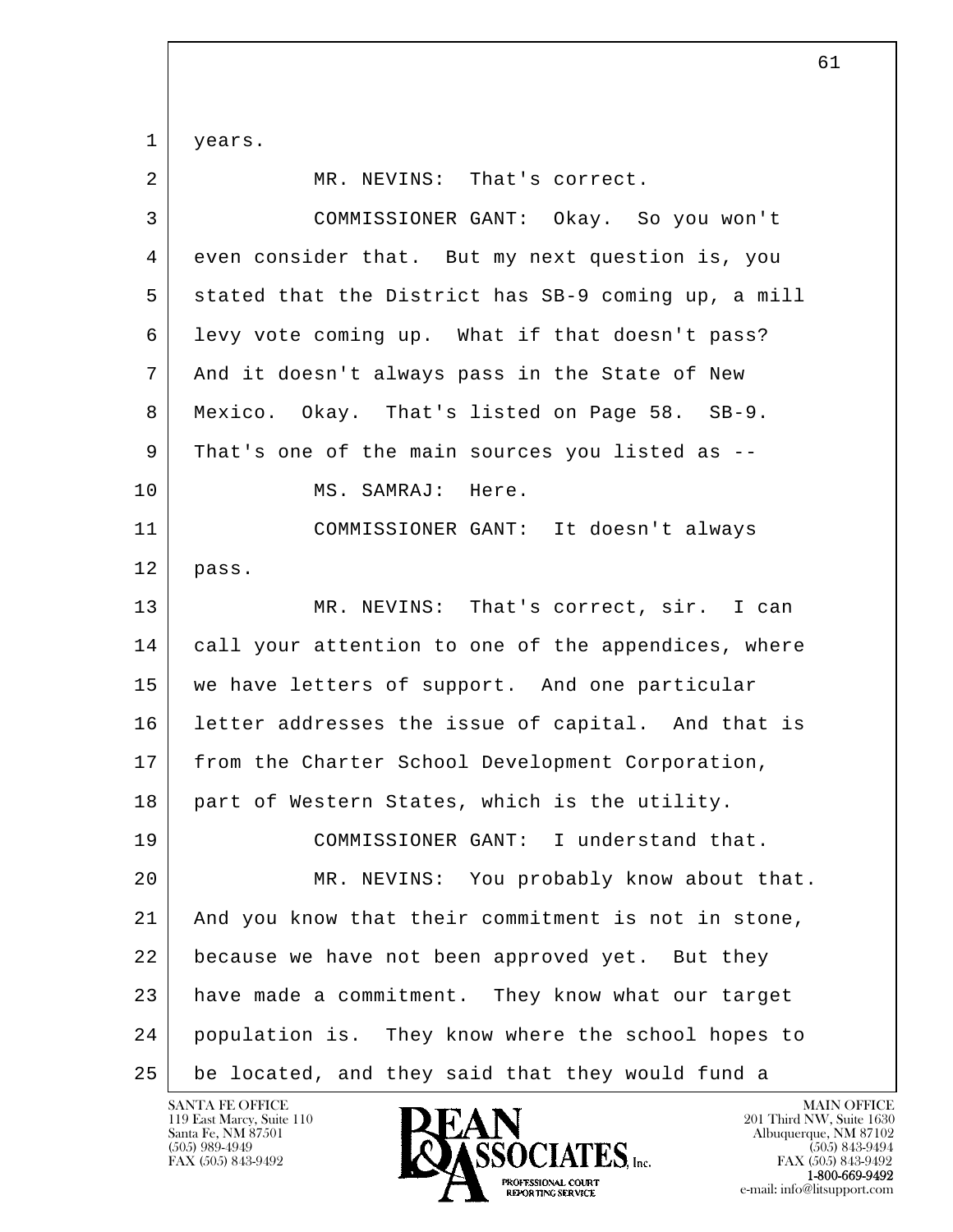l  $\overline{\phantom{a}}$  1 years. 2 MR. NEVINS: That's correct. 3 COMMISSIONER GANT: Okay. So you won't 4 even consider that. But my next question is, you 5 stated that the District has SB-9 coming up, a mill 6 levy vote coming up. What if that doesn't pass? 7 And it doesn't always pass in the State of New 8 Mexico. Okay. That's listed on Page 58. SB-9. 9 That's one of the main sources you listed as -- 10 | MS. SAMRAJ: Here. 11 COMMISSIONER GANT: It doesn't always 12 pass. 13 MR. NEVINS: That's correct, sir. I can 14 call your attention to one of the appendices, where 15 we have letters of support. And one particular 16 letter addresses the issue of capital. And that is 17 from the Charter School Development Corporation, 18 part of Western States, which is the utility. 19 COMMISSIONER GANT: I understand that. 20 MR. NEVINS: You probably know about that. 21 | And you know that their commitment is not in stone, 22 because we have not been approved yet. But they 23 have made a commitment. They know what our target 24 population is. They know where the school hopes to 25 be located, and they said that they would fund a

119 East Marcy, Suite 110<br>Santa Fe, NM 87501

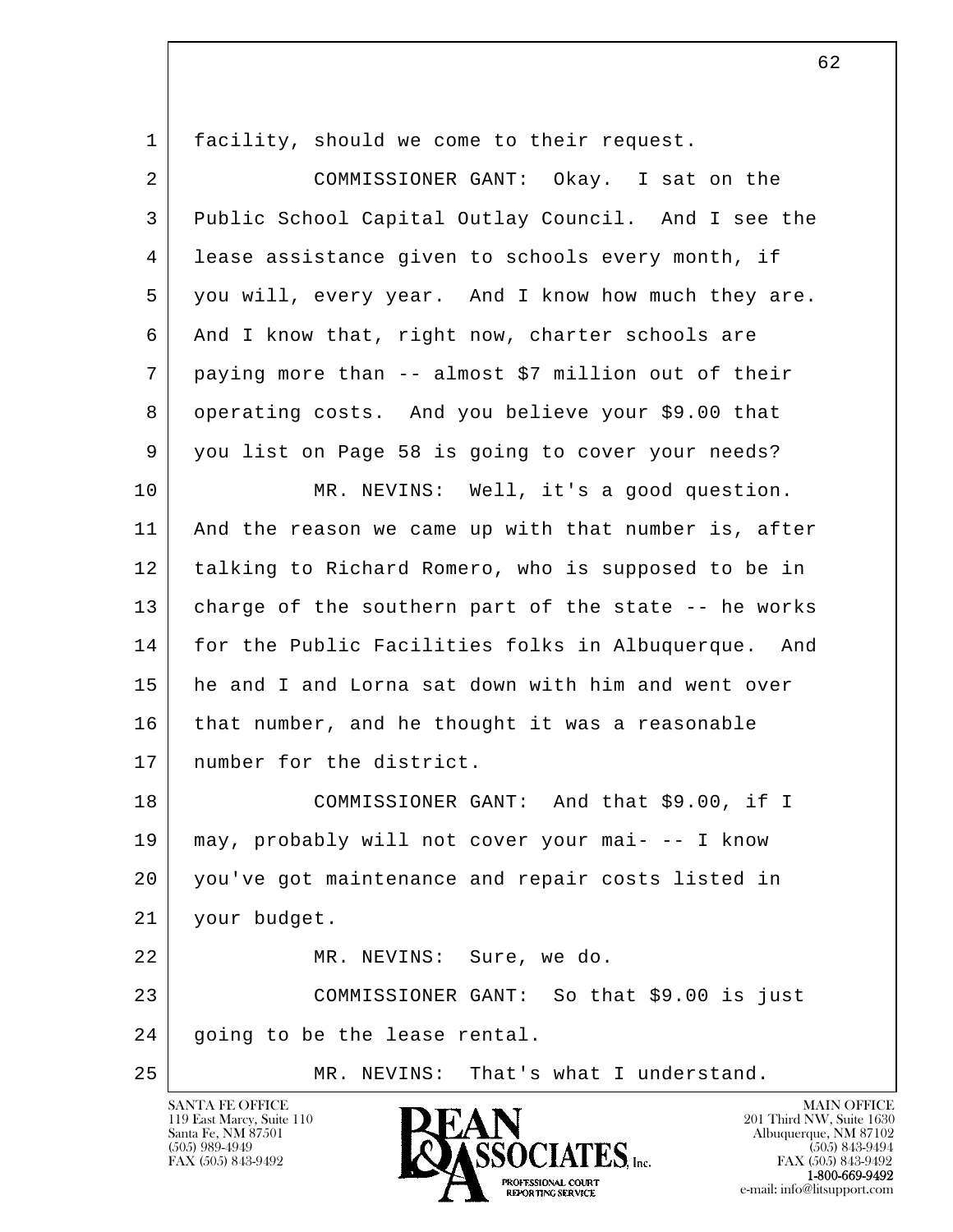| 1  | facility, should we come to their request.           |
|----|------------------------------------------------------|
| 2  | COMMISSIONER GANT: Okay. I sat on the                |
| 3  | Public School Capital Outlay Council. And I see the  |
| 4  | lease assistance given to schools every month, if    |
| 5  | you will, every year. And I know how much they are.  |
| 6  | And I know that, right now, charter schools are      |
| 7  | paying more than -- almost \$7 million out of their  |
| 8  | operating costs. And you believe your \$9.00 that    |
| 9  | you list on Page 58 is going to cover your needs?    |
| 10 | MR. NEVINS: Well, it's a good question.              |
| 11 | And the reason we came up with that number is, after |
| 12 | talking to Richard Romero, who is supposed to be in  |
| 13 | charge of the southern part of the state -- he works |
| 14 | for the Public Facilities folks in Albuquerque. And  |
| 15 | he and I and Lorna sat down with him and went over   |
| 16 | that number, and he thought it was a reasonable      |
| 17 | number for the district.                             |
| 18 | COMMISSIONER GANT: And that \$9.00, if I             |
| 19 | may, probably will not cover your mai- -- I know     |
| 20 | you've got maintenance and repair costs listed in    |
| 21 | your budget.                                         |
| 22 | MR. NEVINS: Sure, we do.                             |
| 23 | COMMISSIONER GANT: So that \$9.00 is just            |
| 24 | going to be the lease rental.                        |
| 25 | MR. NEVINS: That's what I understand.                |

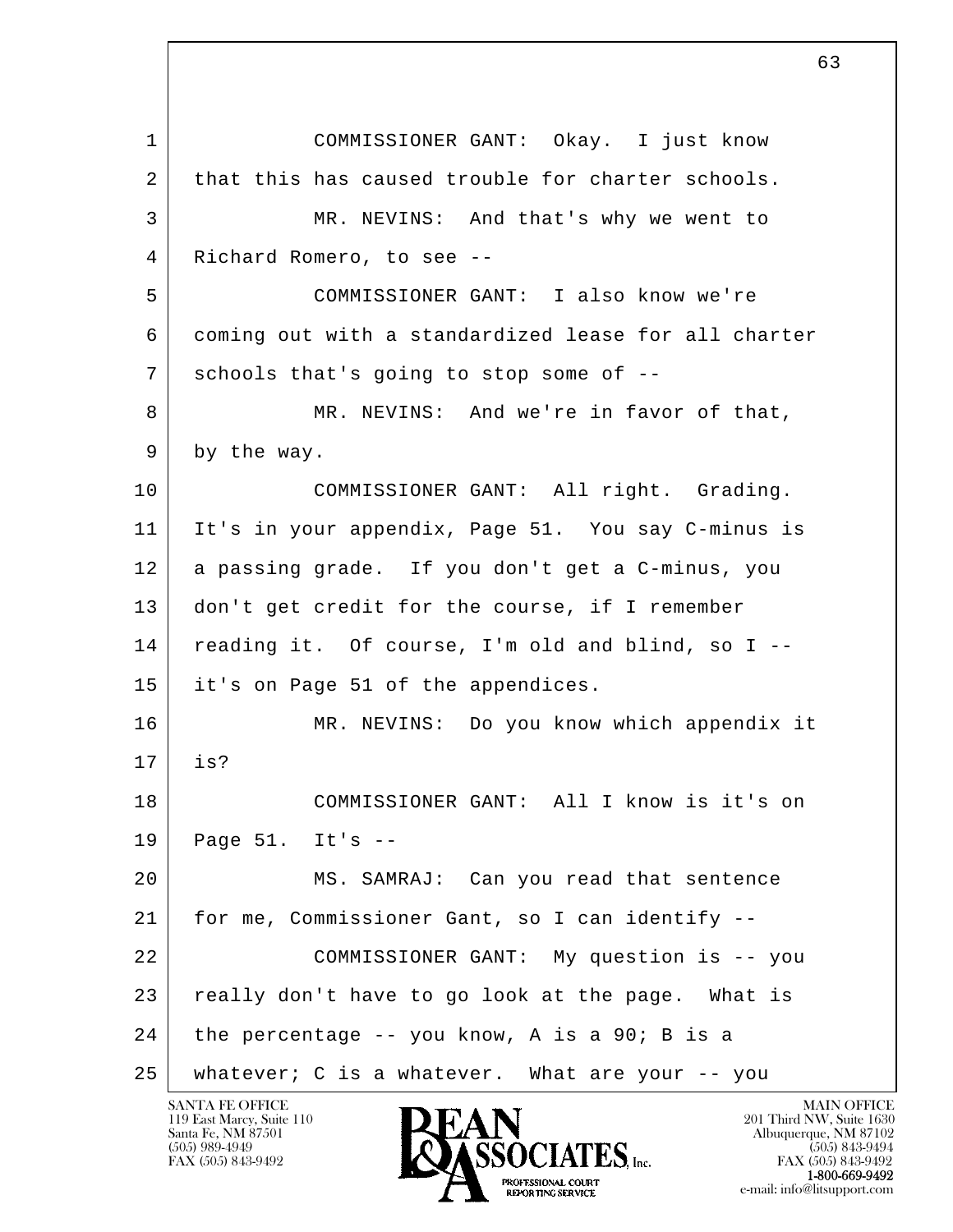l  $\overline{\phantom{a}}$  1 COMMISSIONER GANT: Okay. I just know 2 that this has caused trouble for charter schools. 3 MR. NEVINS: And that's why we went to 4 Richard Romero, to see -- 5 COMMISSIONER GANT: I also know we're 6 coming out with a standardized lease for all charter 7 schools that's going to stop some of -- 8 MR. NEVINS: And we're in favor of that, 9 by the way. 10 COMMISSIONER GANT: All right. Grading. 11 It's in your appendix, Page 51. You say C-minus is 12 a passing grade. If you don't get a C-minus, you 13 | don't get credit for the course, if I remember 14 reading it. Of course, I'm old and blind, so I -- 15 it's on Page 51 of the appendices. 16 MR. NEVINS: Do you know which appendix it 17 is? 18 COMMISSIONER GANT: All I know is it's on 19 Page 51. It's -- 20 MS. SAMRAJ: Can you read that sentence 21 for me, Commissioner Gant, so I can identify -- 22 COMMISSIONER GANT: My question is -- you 23 | really don't have to go look at the page. What is  $24$  the percentage -- you know, A is a 90; B is a 25 whatever; C is a whatever. What are your -- you

119 East Marcy, Suite 110<br>Santa Fe, NM 87501



FAX (505) 843-9492 FAX (505) 843-9492 1-800-669-9492 e-mail: info@litsupport.com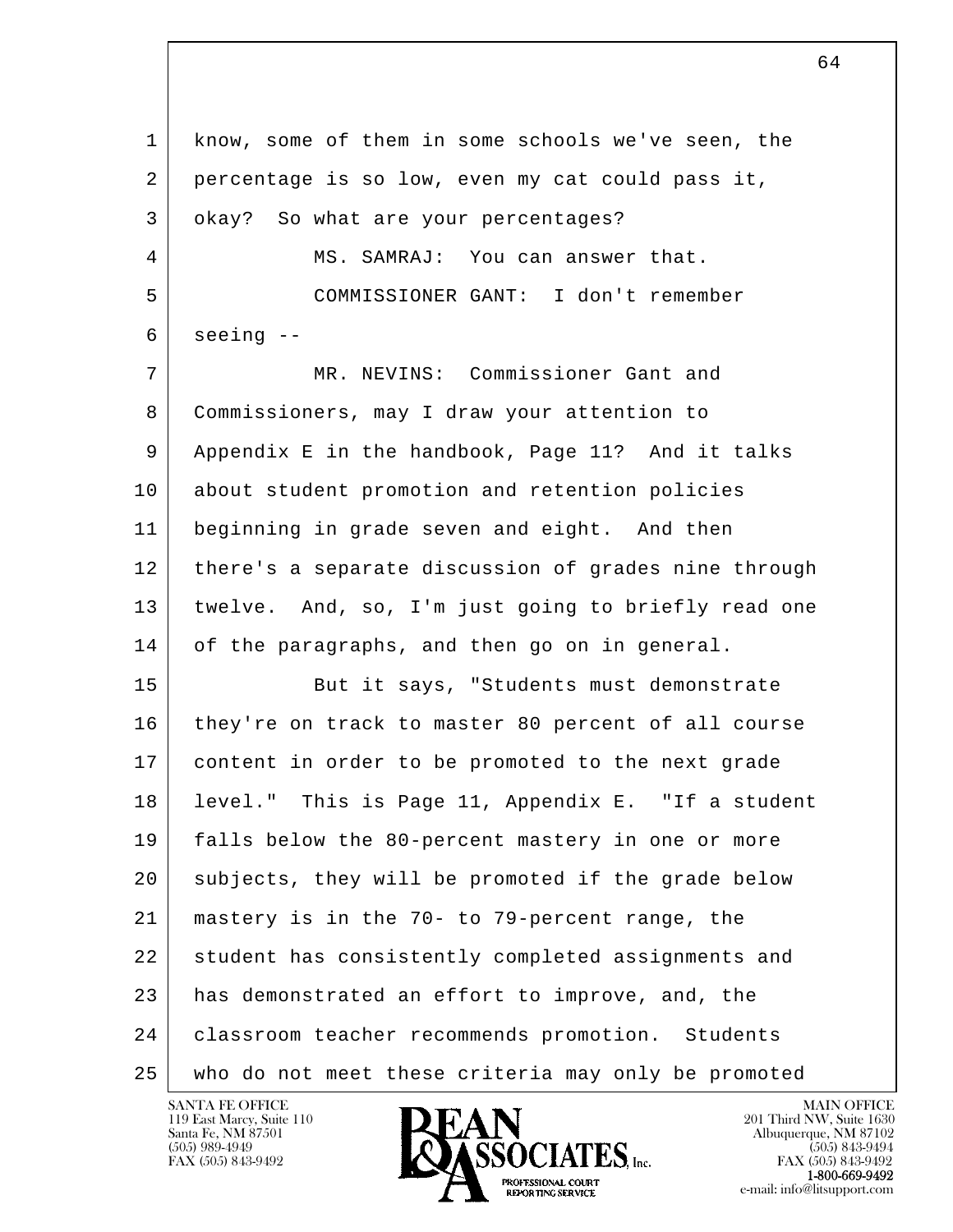l  $\overline{\phantom{a}}$  1 know, some of them in some schools we've seen, the 2 percentage is so low, even my cat could pass it, 3 | okay? So what are your percentages? 4 MS. SAMRAJ: You can answer that. 5 COMMISSIONER GANT: I don't remember  $6$  seeing  $-$  7 MR. NEVINS: Commissioner Gant and 8 Commissioners, may I draw your attention to 9 Appendix E in the handbook, Page 11? And it talks 10 about student promotion and retention policies 11 beginning in grade seven and eight. And then 12 there's a separate discussion of grades nine through 13 twelve. And, so, I'm just going to briefly read one 14 of the paragraphs, and then go on in general. 15 But it says, "Students must demonstrate 16 they're on track to master 80 percent of all course 17 content in order to be promoted to the next grade 18 level." This is Page 11, Appendix E. "If a student 19 falls below the 80-percent mastery in one or more 20 subjects, they will be promoted if the grade below 21 mastery is in the 70- to 79-percent range, the 22 student has consistently completed assignments and 23 has demonstrated an effort to improve, and, the 24 | classroom teacher recommends promotion. Students 25 who do not meet these criteria may only be promoted



FAX (505) 843-9492<br>**1-800-669-9492**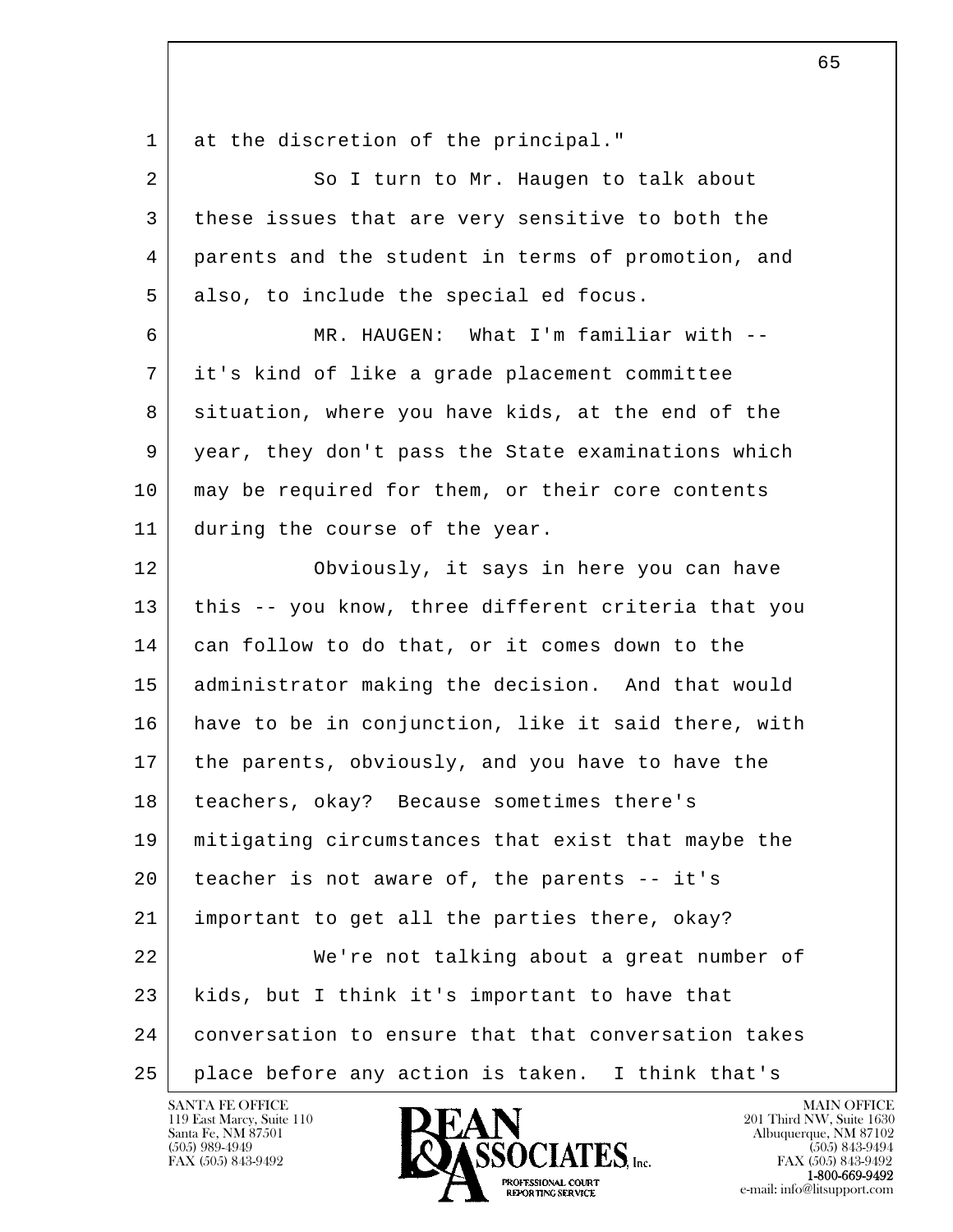l  $\overline{\phantom{a}}$ 1 at the discretion of the principal." 2 So I turn to Mr. Haugen to talk about 3 these issues that are very sensitive to both the 4 parents and the student in terms of promotion, and 5 also, to include the special ed focus. 6 MR. HAUGEN: What I'm familiar with -- 7 it's kind of like a grade placement committee 8 situation, where you have kids, at the end of the 9 year, they don't pass the State examinations which 10 | may be required for them, or their core contents 11 during the course of the year. 12 Obviously, it says in here you can have 13 | this -- you know, three different criteria that you 14 can follow to do that, or it comes down to the 15 administrator making the decision. And that would 16 have to be in conjunction, like it said there, with 17 the parents, obviously, and you have to have the 18 | teachers, okay? Because sometimes there's 19 mitigating circumstances that exist that maybe the 20 teacher is not aware of, the parents -- it's 21 important to get all the parties there, okay? 22 We're not talking about a great number of 23 kids, but I think it's important to have that 24 conversation to ensure that that conversation takes 25 place before any action is taken. I think that's

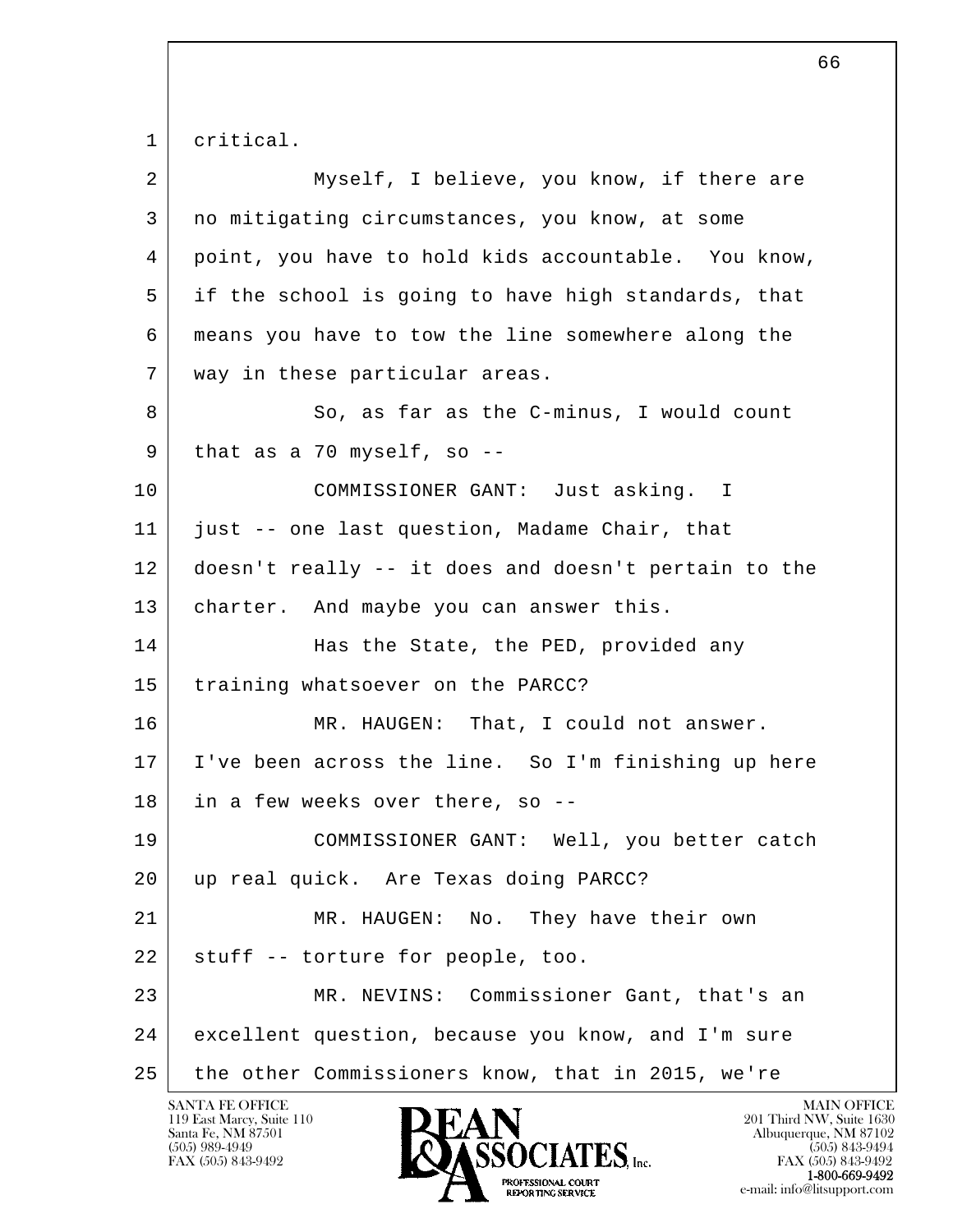1 critical.

| $\overline{a}$ | Myself, I believe, you know, if there are            |
|----------------|------------------------------------------------------|
| 3              | no mitigating circumstances, you know, at some       |
| 4              | point, you have to hold kids accountable. You know,  |
| 5              | if the school is going to have high standards, that  |
| 6              | means you have to tow the line somewhere along the   |
| 7              | way in these particular areas.                       |
| 8              | So, as far as the C-minus, I would count             |
| 9              | that as a 70 myself, so $-$ -                        |
| 10             | COMMISSIONER GANT: Just asking. I                    |
| 11             | just -- one last question, Madame Chair, that        |
| 12             | doesn't really -- it does and doesn't pertain to the |
| 13             | charter. And maybe you can answer this.              |
| 14             | Has the State, the PED, provided any                 |
| 15             | training whatsoever on the PARCC?                    |
| 16             | MR. HAUGEN: That, I could not answer.                |
| 17             | I've been across the line. So I'm finishing up here  |
| 18             | in a few weeks over there, so --                     |
| 19             | COMMISSIONER GANT: Well, you better catch            |
| 20             | up real quick. Are Texas doing PARCC?                |
| 21             | MR. HAUGEN:<br>No.<br>They have their own            |
| 22             | stuff -- torture for people, too.                    |
| 23             | MR. NEVINS: Commissioner Gant, that's an             |
| 24             | excellent question, because you know, and I'm sure   |
| 25             | the other Commissioners know, that in 2015, we're    |

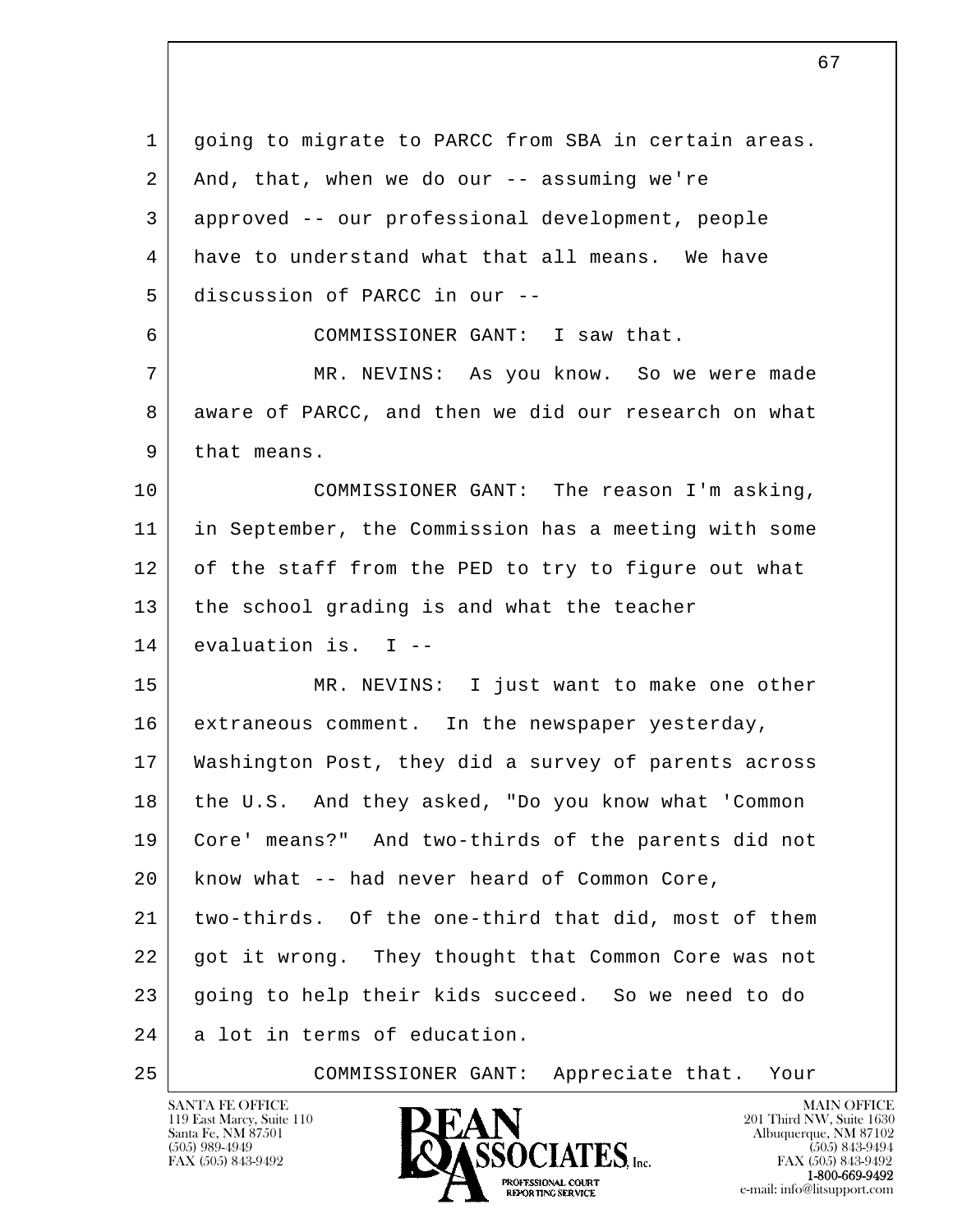l  $\overline{\phantom{a}}$  1 going to migrate to PARCC from SBA in certain areas.  $2$  And, that, when we do our  $-$  assuming we're 3 approved -- our professional development, people 4 have to understand what that all means. We have 5 discussion of PARCC in our -- 6 COMMISSIONER GANT: I saw that. 7 MR. NEVINS: As you know. So we were made 8 aware of PARCC, and then we did our research on what 9 that means. 10 COMMISSIONER GANT: The reason I'm asking, 11 in September, the Commission has a meeting with some 12 of the staff from the PED to try to figure out what 13 the school grading is and what the teacher 14 evaluation is. I -- 15 MR. NEVINS: I just want to make one other 16 extraneous comment. In the newspaper yesterday, 17 Washington Post, they did a survey of parents across 18 the U.S. And they asked, "Do you know what 'Common 19 Core' means?" And two-thirds of the parents did not 20 know what -- had never heard of Common Core, 21 two-thirds. Of the one-third that did, most of them 22 got it wrong. They thought that Common Core was not 23 going to help their kids succeed. So we need to do 24 a lot in terms of education. 25 COMMISSIONER GANT: Appreciate that. Your

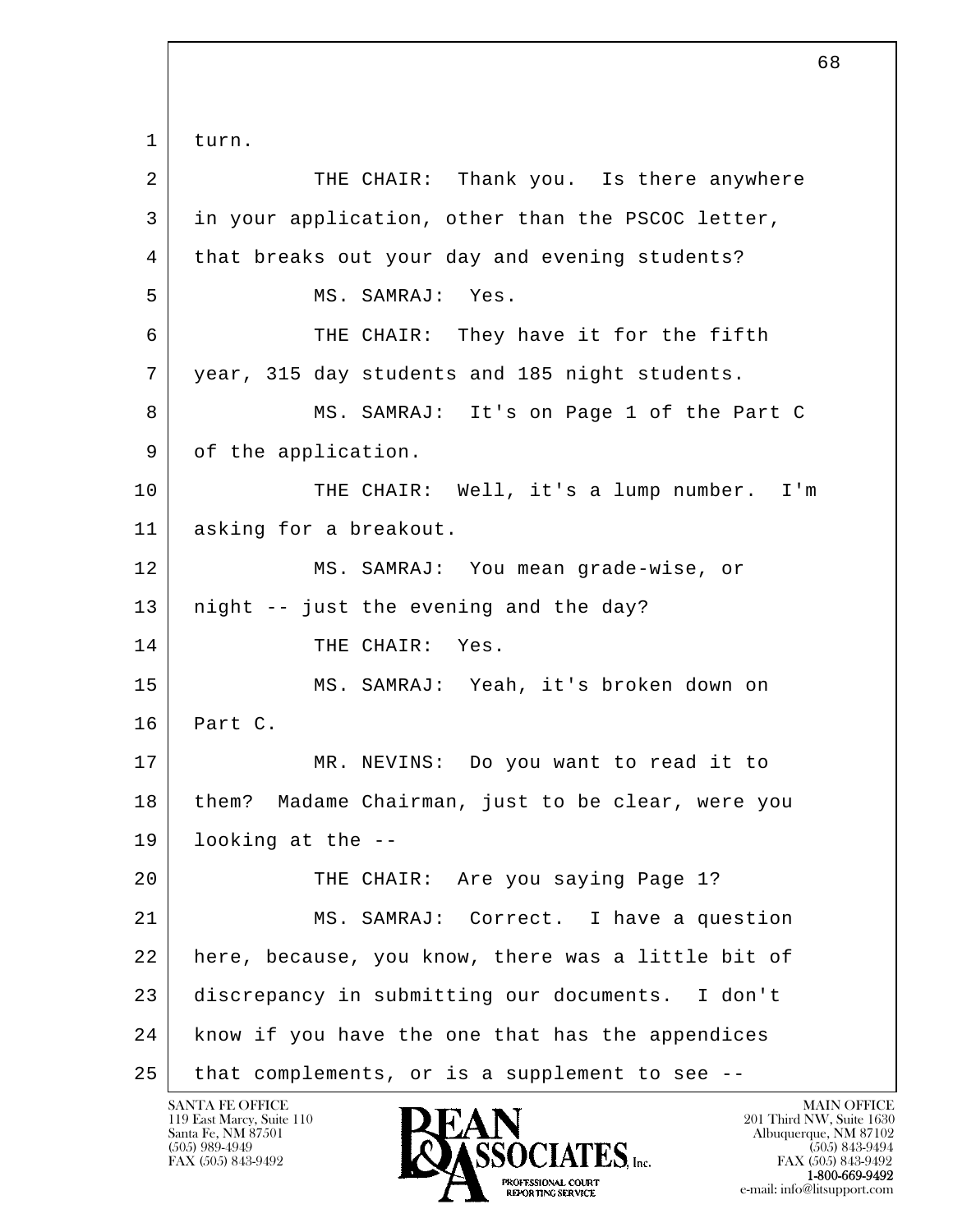l  $\overline{\phantom{a}}$  1 turn. 2 THE CHAIR: Thank you. Is there anywhere 3 in your application, other than the PSCOC letter, 4 that breaks out your day and evening students? 5 MS. SAMRAJ: Yes. 6 THE CHAIR: They have it for the fifth 7 year, 315 day students and 185 night students. 8 MS. SAMRAJ: It's on Paqe 1 of the Part C 9 of the application. 10 THE CHAIR: Well, it's a lump number. I'm 11 asking for a breakout. 12 MS. SAMRAJ: You mean grade-wise, or 13 | night -- just the evening and the day? 14 THE CHAIR: Yes. 15 MS. SAMRAJ: Yeah, it's broken down on 16 Part C. 17 MR. NEVINS: Do you want to read it to 18 | them? Madame Chairman, just to be clear, were you 19 looking at the -- 20 THE CHAIR: Are you saying Page 1? 21 MS. SAMRAJ: Correct. I have a question 22 here, because, you know, there was a little bit of 23 discrepancy in submitting our documents. I don't 24 know if you have the one that has the appendices 25 that complements, or is a supplement to see --

 $\sim$  68

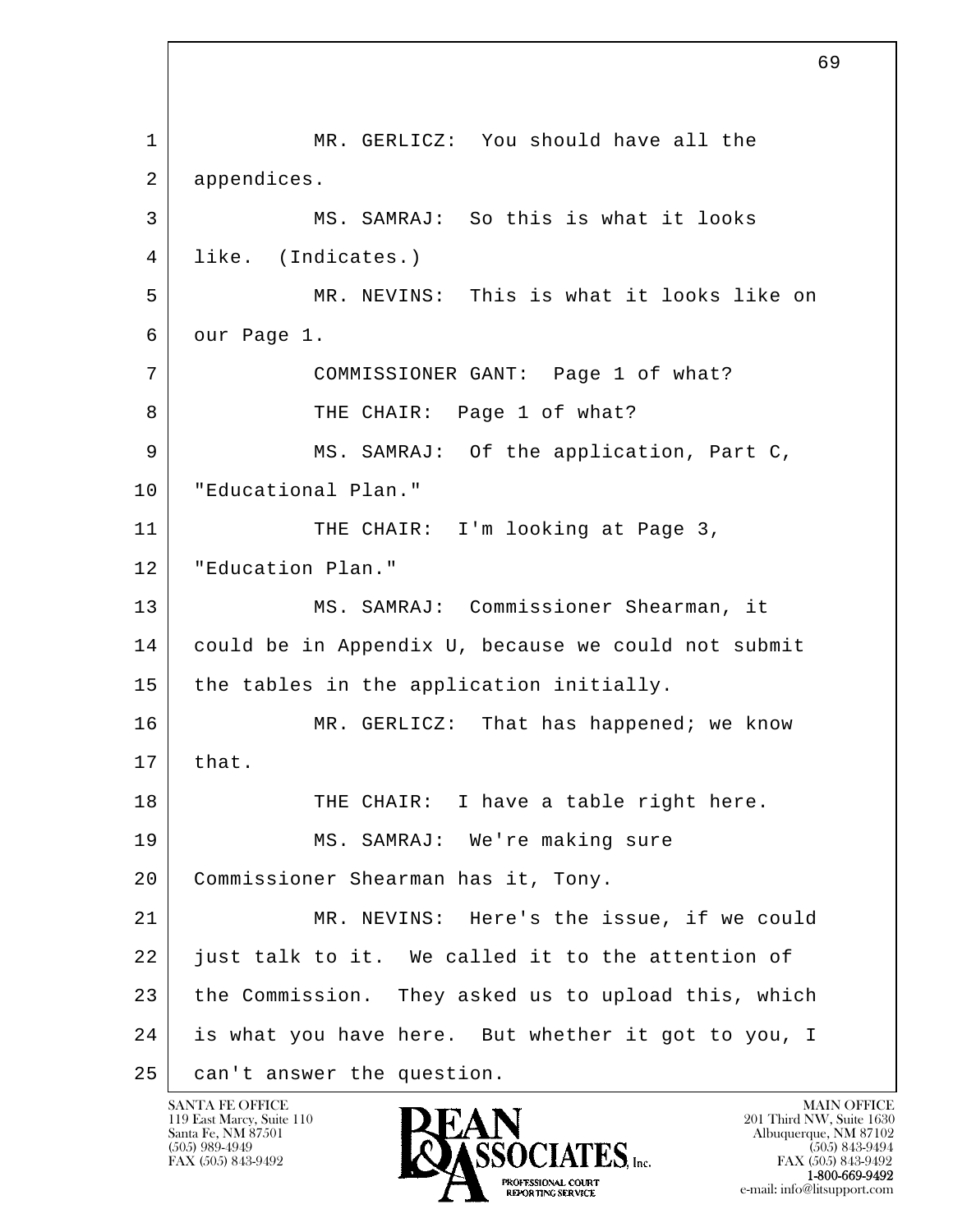l  $\overline{\phantom{a}}$ 1 | MR. GERLICZ: You should have all the 2 appendices. 3 MS. SAMRAJ: So this is what it looks 4 like. (Indicates.) 5 MR. NEVINS: This is what it looks like on 6 our Page 1. 7 COMMISSIONER GANT: Page 1 of what? 8 | THE CHAIR: Page 1 of what? 9 MS. SAMRAJ: Of the application, Part C, 10 "Educational Plan." 11 THE CHAIR: I'm looking at Page 3, 12 | "Education Plan." 13 MS. SAMRAJ: Commissioner Shearman, it 14 could be in Appendix U, because we could not submit 15 the tables in the application initially. 16 MR. GERLICZ: That has happened; we know  $17$  that. 18 THE CHAIR: I have a table right here. 19 MS. SAMRAJ: We're making sure 20 Commissioner Shearman has it, Tony. 21 MR. NEVINS: Here's the issue, if we could 22 just talk to it. We called it to the attention of 23 the Commission. They asked us to upload this, which 24 is what you have here. But whether it got to you, I 25 | can't answer the question.

119 East Marcy, Suite 110<br>Santa Fe, NM 87501

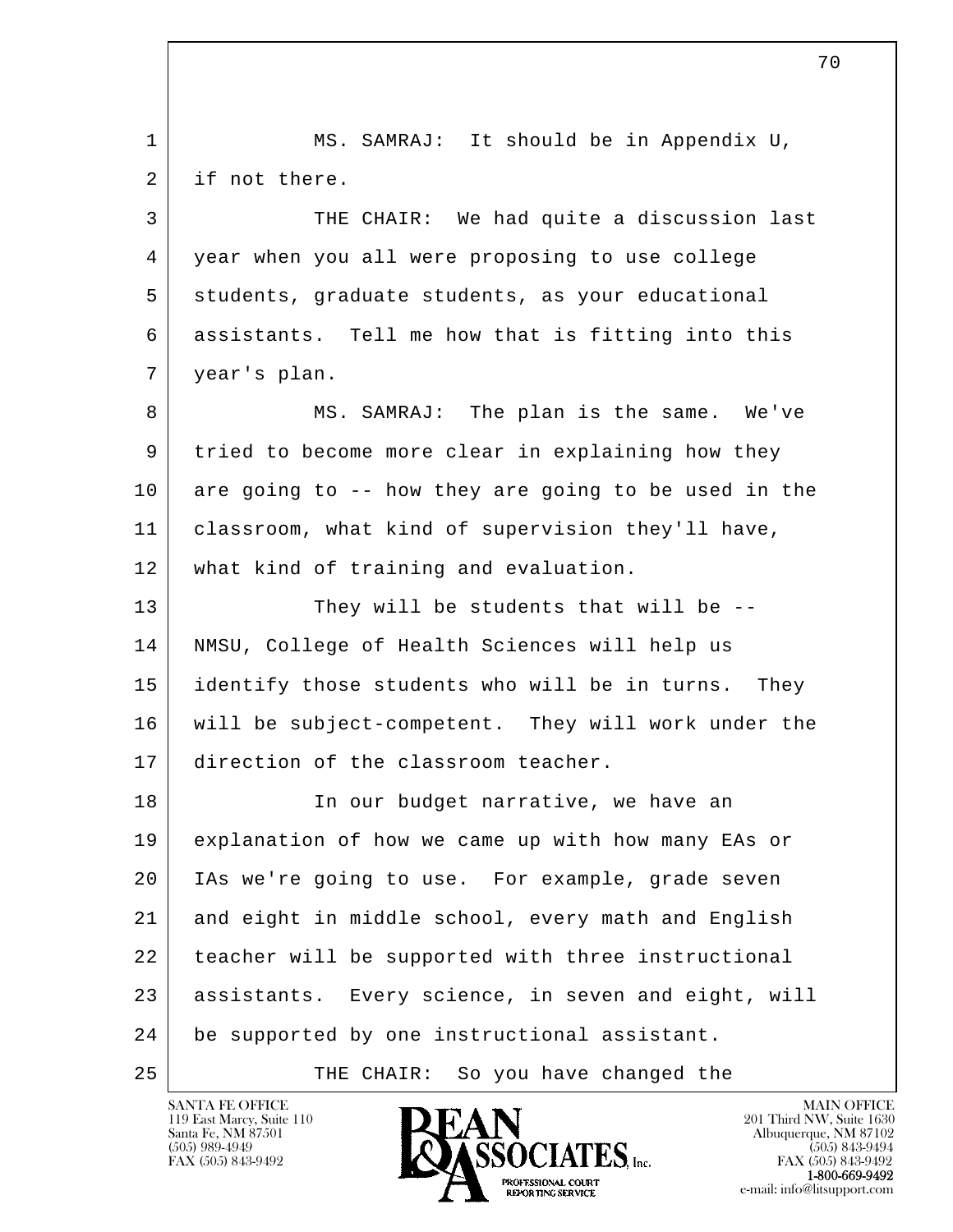l  $\overline{\phantom{a}}$  1 MS. SAMRAJ: It should be in Appendix U, 2 if not there. 3 THE CHAIR: We had quite a discussion last 4 year when you all were proposing to use college 5 students, graduate students, as your educational 6 assistants. Tell me how that is fitting into this 7 year's plan. 8 MS. SAMRAJ: The plan is the same. We've 9 tried to become more clear in explaining how they 10 are going to -- how they are going to be used in the 11 classroom, what kind of supervision they'll have, 12 what kind of training and evaluation. 13 They will be students that will be -- 14 NMSU, College of Health Sciences will help us 15 identify those students who will be in turns. They 16 will be subject-competent. They will work under the 17 direction of the classroom teacher. 18 In our budget narrative, we have an 19 explanation of how we came up with how many EAs or 20 IAs we're going to use. For example, grade seven 21 and eight in middle school, every math and English 22 | teacher will be supported with three instructional 23 assistants. Every science, in seven and eight, will 24 be supported by one instructional assistant. 25 | THE CHAIR: So you have changed the

119 East Marcy, Suite 110<br>Santa Fe, NM 87501

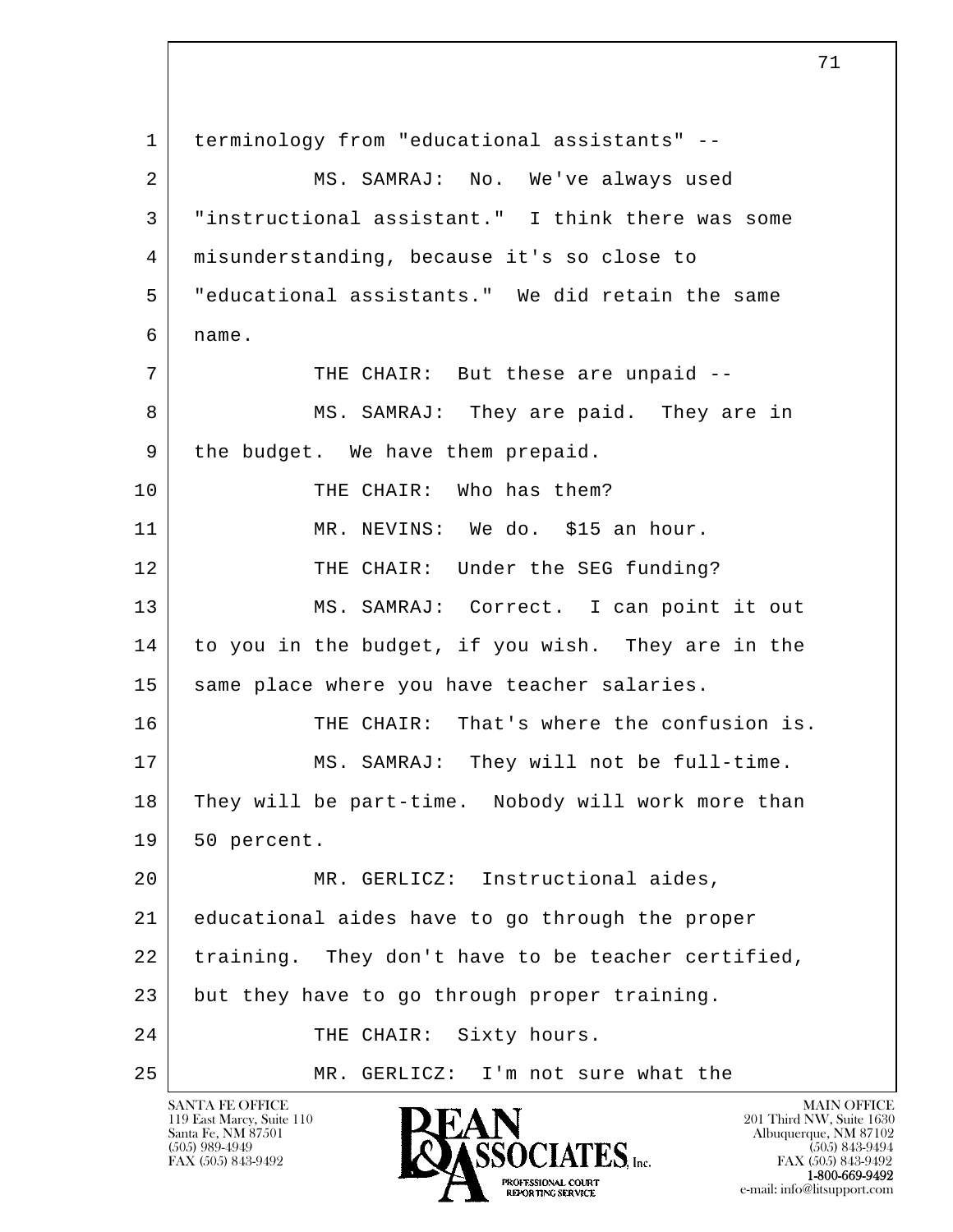l  $\overline{\phantom{a}}$  1 terminology from "educational assistants" -- 2 MS. SAMRAJ: No. We've always used 3 "instructional assistant." I think there was some 4 misunderstanding, because it's so close to 5 "educational assistants." We did retain the same  $6$  name. 7 THE CHAIR: But these are unpaid --8 MS. SAMRAJ: They are paid. They are in 9 the budget. We have them prepaid. 10 | THE CHAIR: Who has them? 11 MR. NEVINS: We do. \$15 an hour. 12 THE CHAIR: Under the SEG funding? 13 MS. SAMRAJ: Correct. I can point it out 14 to you in the budget, if you wish. They are in the 15 same place where you have teacher salaries. 16 THE CHAIR: That's where the confusion is. 17 | MS. SAMRAJ: They will not be full-time. 18 They will be part-time. Nobody will work more than 19 50 percent. 20 MR. GERLICZ: Instructional aides, 21 educational aides have to go through the proper 22 | training. They don't have to be teacher certified, 23 but they have to go through proper training. 24 THE CHAIR: Sixty hours. 25 MR. GERLICZ: I'm not sure what the

119 East Marcy, Suite 110<br>Santa Fe, NM 87501

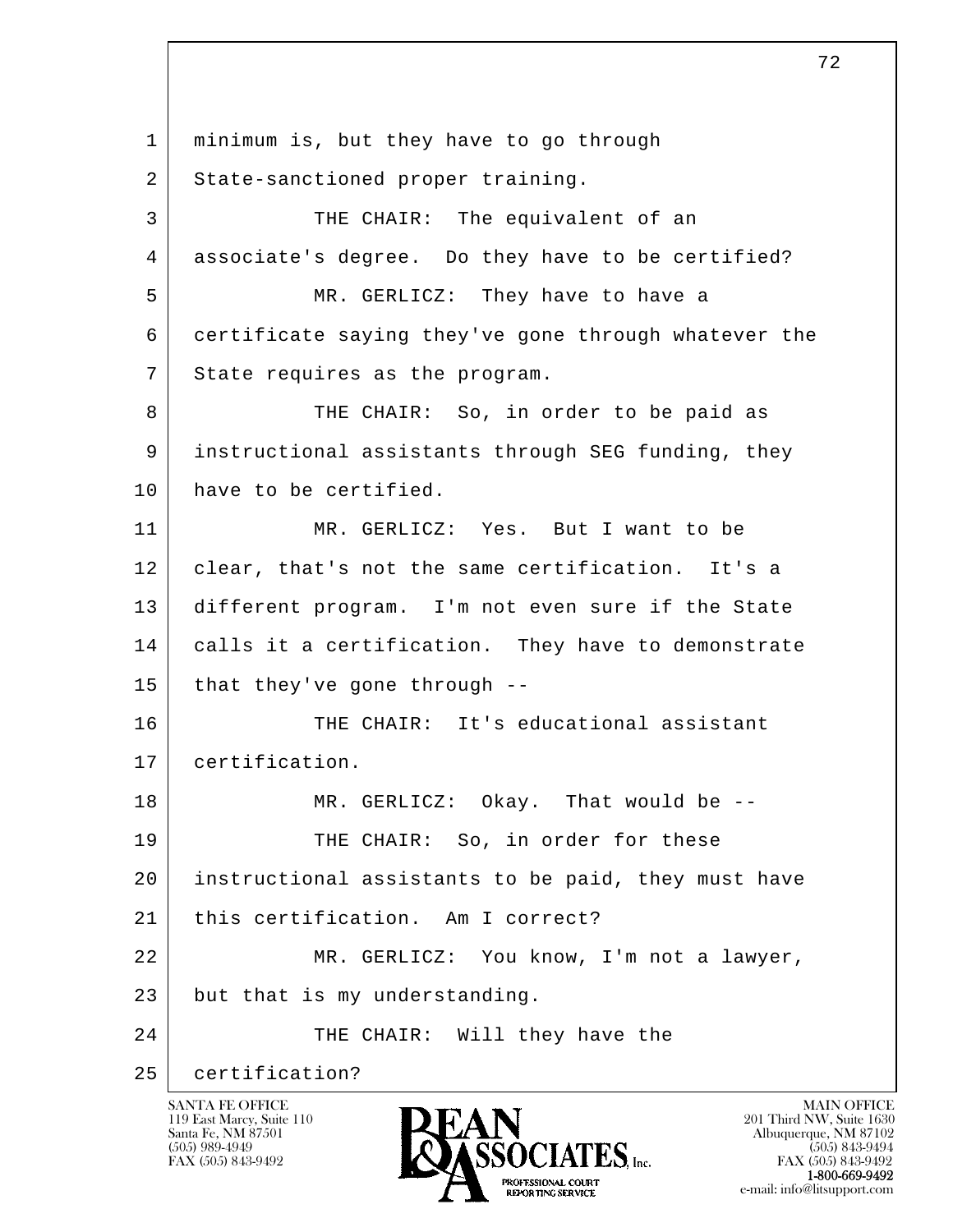l  $\overline{\phantom{a}}$  1 minimum is, but they have to go through 2 State-sanctioned proper training. 3 THE CHAIR: The equivalent of an 4 associate's degree. Do they have to be certified? 5 MR. GERLICZ: They have to have a 6 certificate saying they've gone through whatever the 7 State requires as the program. 8 THE CHAIR: So, in order to be paid as 9 instructional assistants through SEG funding, they 10 have to be certified. 11 MR. GERLICZ: Yes. But I want to be 12 clear, that's not the same certification. It's a 13 different program. I'm not even sure if the State 14 calls it a certification. They have to demonstrate  $15$  that they've gone through  $-$ 16 THE CHAIR: It's educational assistant 17 certification. 18 MR. GERLICZ: Okay. That would be --19 THE CHAIR: So, in order for these 20 instructional assistants to be paid, they must have 21 | this certification. Am I correct? 22 | MR. GERLICZ: You know, I'm not a lawyer, 23 but that is my understanding. 24 THE CHAIR: Will they have the 25 certification?

119 East Marcy, Suite 110<br>Santa Fe, NM 87501

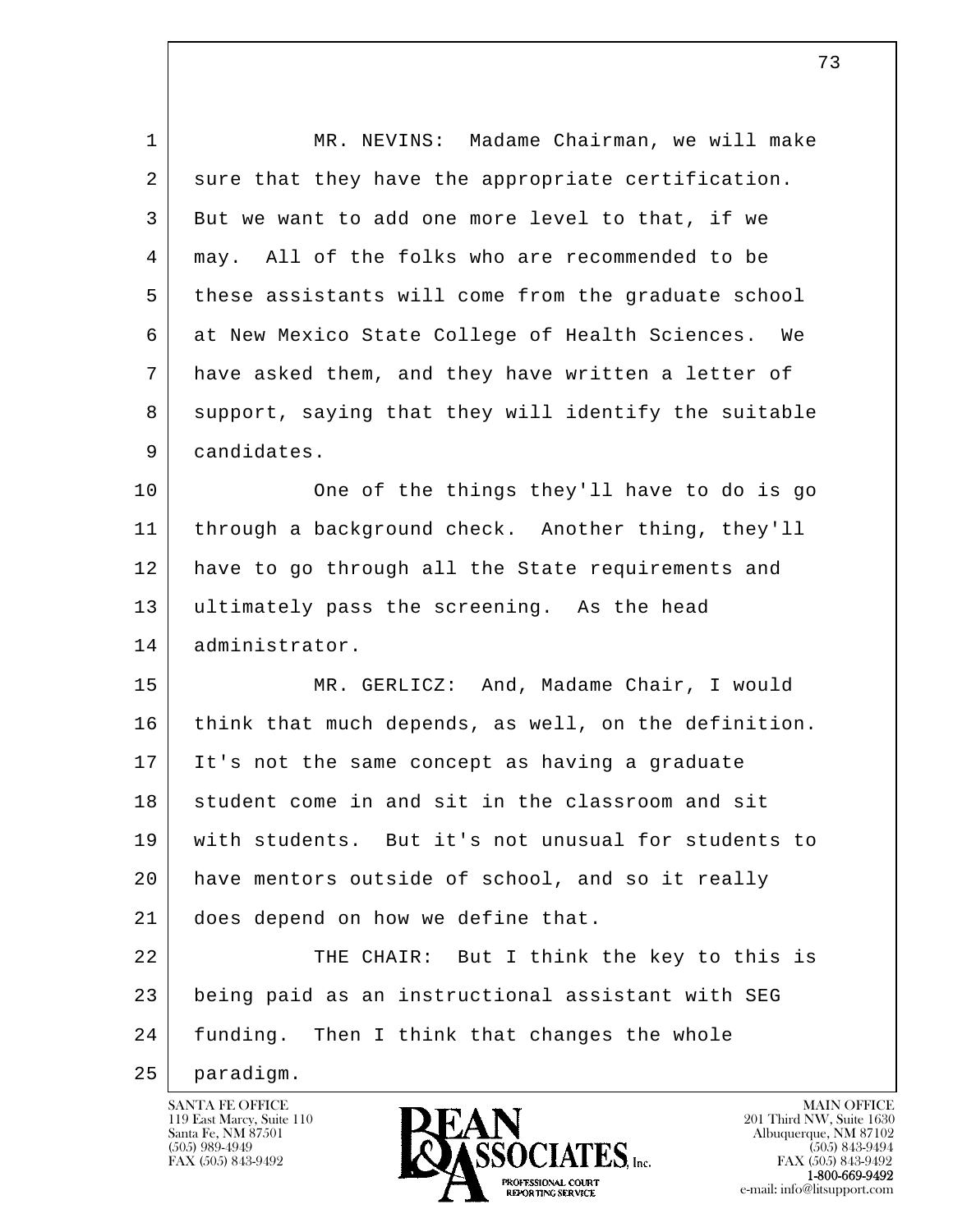| $\mathbf 1$ | MR. NEVINS: Madame Chairman, we will make            |
|-------------|------------------------------------------------------|
| 2           | sure that they have the appropriate certification.   |
| 3           | But we want to add one more level to that, if we     |
| 4           | may. All of the folks who are recommended to be      |
| 5           | these assistants will come from the graduate school  |
| 6           | at New Mexico State College of Health Sciences. We   |
| 7           | have asked them, and they have written a letter of   |
| 8           | support, saying that they will identify the suitable |
| 9           | candidates.                                          |
| 10          | One of the things they'll have to do is go           |
| 11          | through a background check. Another thing, they'll   |
| 12          | have to go through all the State requirements and    |
| 13          | ultimately pass the screening. As the head           |
| 14          | administrator.                                       |
| 15          | MR. GERLICZ: And, Madame Chair, I would              |
| 16          | think that much depends, as well, on the definition. |
| 17          | It's not the same concept as having a graduate       |
| 18          | student come in and sit in the classroom and sit     |
| 19          | with students. But it's not unusual for students to  |
| 20          | have mentors outside of school, and so it really     |
| 21          | does depend on how we define that.                   |
| 22          | THE CHAIR: But I think the key to this is            |
| 23          | being paid as an instructional assistant with SEG    |
| 24          | funding. Then I think that changes the whole         |
| 25          | paradigm.                                            |

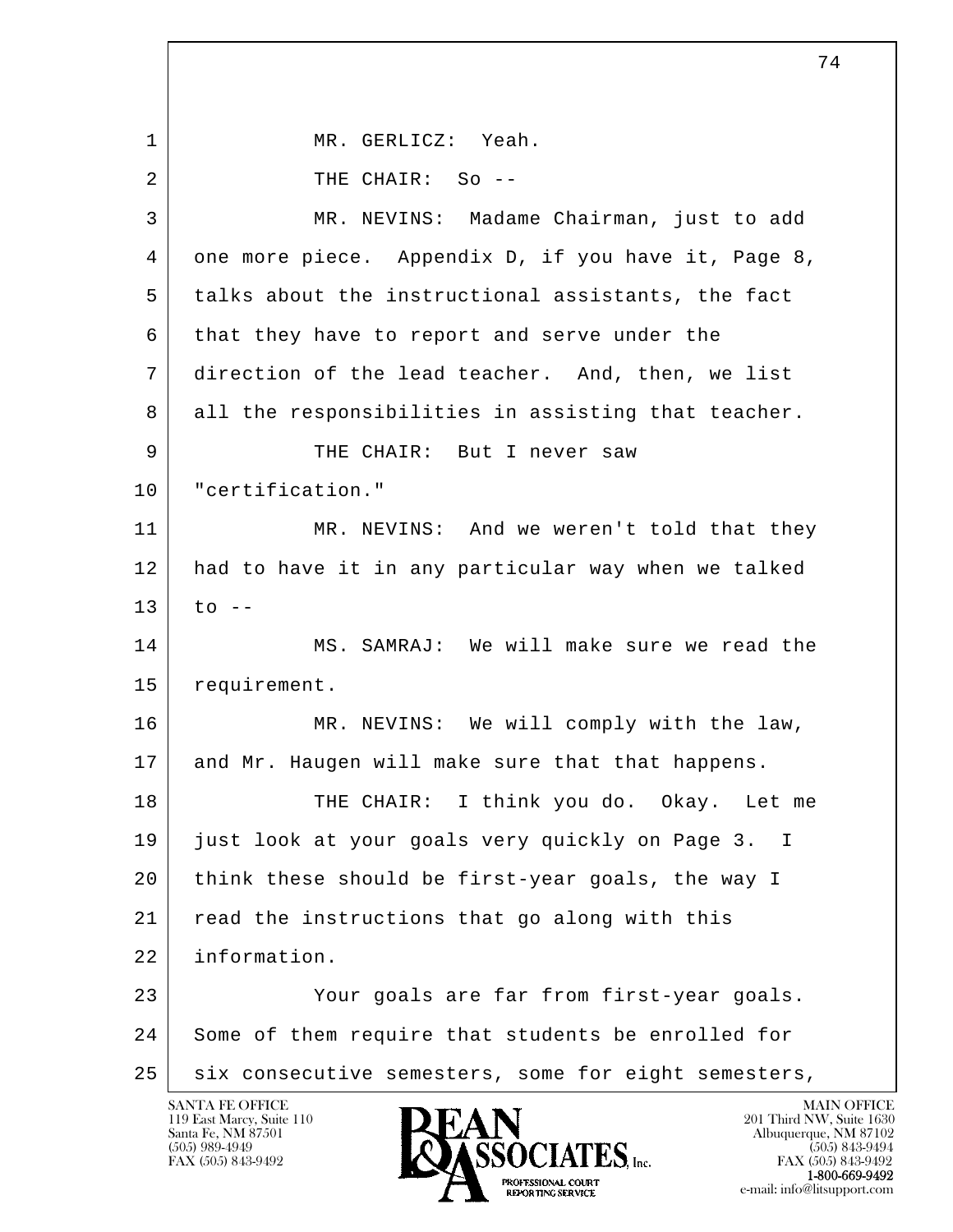l  $\overline{\phantom{a}}$ SANTA FE OFFICE MAIN OFFICE MAIN OFFICE MAIN OFFICE MAIN OFFICE 1 MR. GERLICZ: Yeah. 2 THE CHAIR: So -- 3 MR. NEVINS: Madame Chairman, just to add 4 one more piece. Appendix D, if you have it, Page 8, 5 talks about the instructional assistants, the fact 6 that they have to report and serve under the 7 direction of the lead teacher. And, then, we list 8 all the responsibilities in assisting that teacher. 9 THE CHAIR: But I never saw 10 "certification." 11 MR. NEVINS: And we weren't told that they 12 had to have it in any particular way when we talked  $13$  to  $-$ 14 MS. SAMRAJ: We will make sure we read the 15 requirement. 16 MR. NEVINS: We will comply with the law, 17 and Mr. Haugen will make sure that that happens. 18 THE CHAIR: I think you do. Okay. Let me 19 just look at your goals very quickly on Page 3. I 20 think these should be first-year goals, the way I 21 read the instructions that go along with this 22 information. 23 Your goals are far from first-year goals. 24 Some of them require that students be enrolled for 25 | six consecutive semesters, some for eight semesters,

119 East Marcy, Suite 110<br>Santa Fe, NM 87501

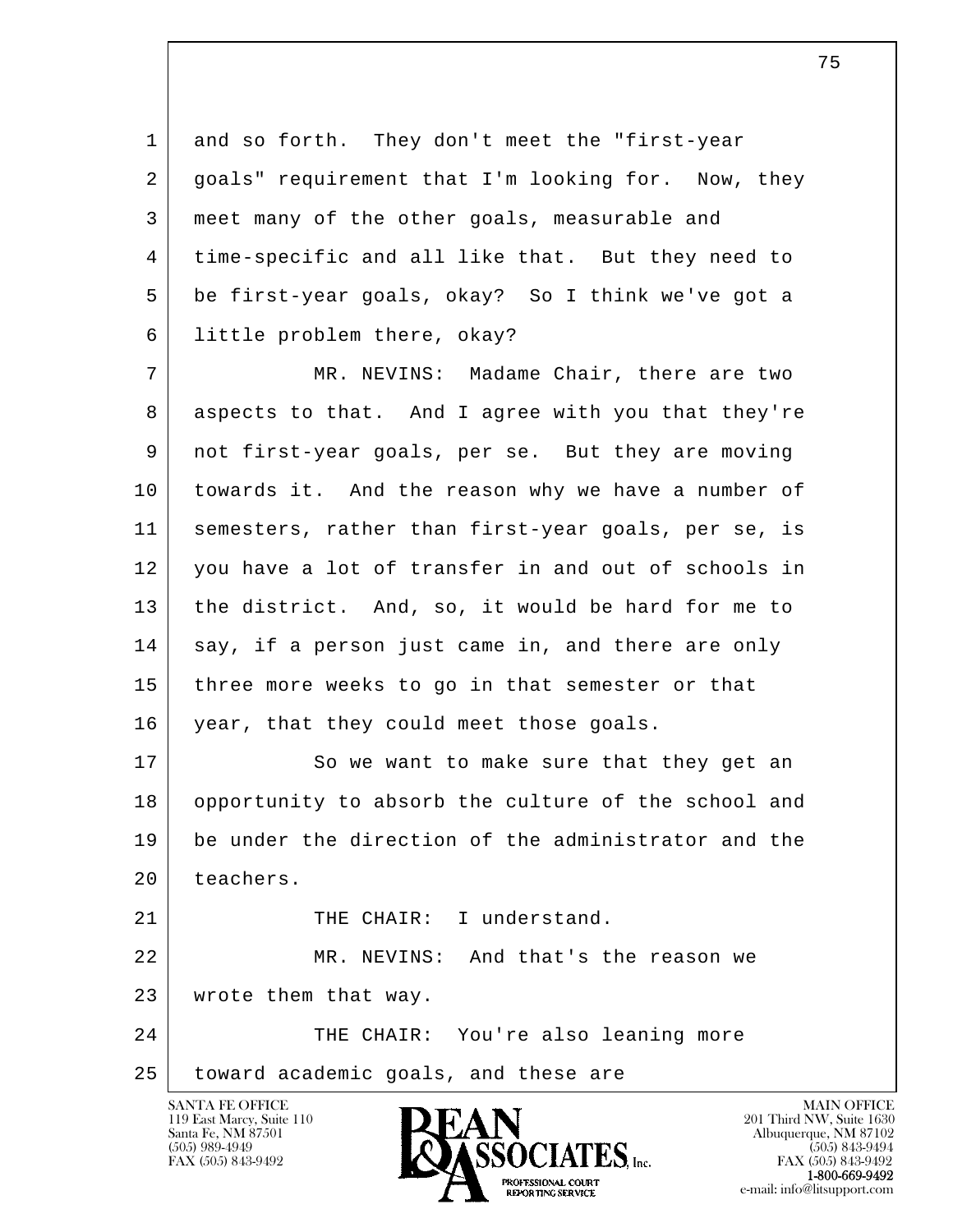1 and so forth. They don't meet the "first-year 2 | goals" requirement that I'm looking for. Now, they 3 meet many of the other goals, measurable and 4 time-specific and all like that. But they need to 5 be first-year goals, okay? So I think we've got a 6 little problem there, okay?

 7 MR. NEVINS: Madame Chair, there are two 8 aspects to that. And I agree with you that they're 9 not first-year goals, per se. But they are moving 10 towards it. And the reason why we have a number of 11 semesters, rather than first-year goals, per se, is 12 you have a lot of transfer in and out of schools in 13 the district. And, so, it would be hard for me to 14 say, if a person just came in, and there are only 15 three more weeks to go in that semester or that 16 | year, that they could meet those goals.

17 So we want to make sure that they get an 18 opportunity to absorb the culture of the school and 19 be under the direction of the administrator and the 20 teachers.

l 21 THE CHAIR: I understand. 22 MR. NEVINS: And that's the reason we 23 | wrote them that way.

 $\overline{\phantom{a}}$ 24 THE CHAIR: You're also leaning more 25 | toward academic goals, and these are

119 East Marcy, Suite 110<br>Santa Fe, NM 87501



FAX (505) 843-9492<br>**1-800-669-9492**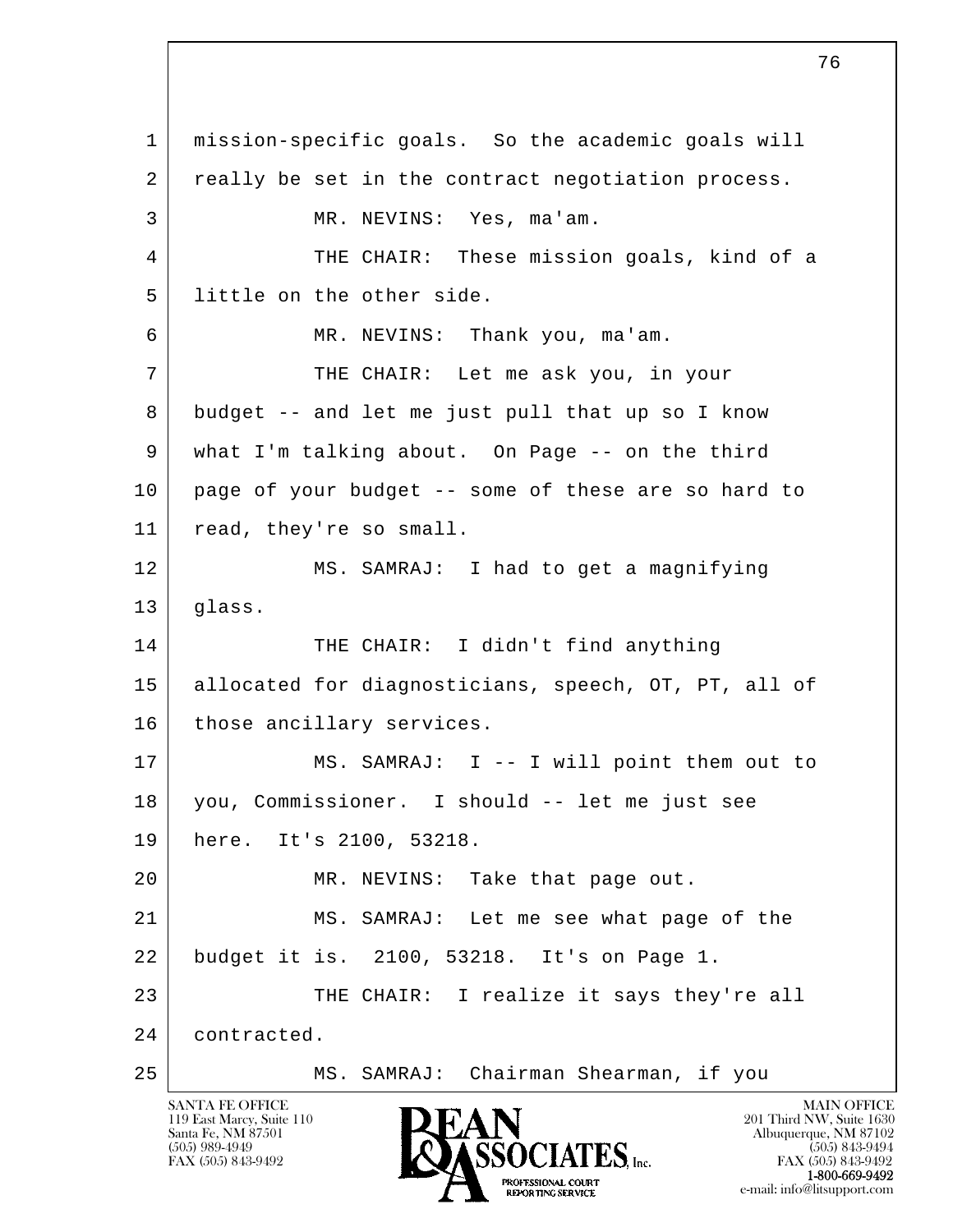l  $\overline{\phantom{a}}$  1 mission-specific goals. So the academic goals will 2 really be set in the contract negotiation process. 3 MR. NEVINS: Yes, ma'am. 4 THE CHAIR: These mission goals, kind of a 5 | little on the other side. 6 MR. NEVINS: Thank you, ma'am. 7 THE CHAIR: Let me ask you, in your 8 budget -- and let me just pull that up so I know 9 what I'm talking about. On Page -- on the third 10 page of your budget -- some of these are so hard to 11 read, they're so small. 12 MS. SAMRAJ: I had to get a magnifying 13 glass. 14 THE CHAIR: I didn't find anything 15 allocated for diagnosticians, speech, OT, PT, all of 16 | those ancillary services. 17 | MS. SAMRAJ: I -- I will point them out to 18 you, Commissioner. I should -- let me just see 19 here. It's 2100, 53218. 20 MR. NEVINS: Take that page out. 21 MS. SAMRAJ: Let me see what page of the 22 budget it is. 2100, 53218. It's on Page 1. 23 THE CHAIR: I realize it says they're all 24 contracted. 25 MS. SAMRAJ: Chairman Shearman, if you

119 East Marcy, Suite 110<br>Santa Fe, NM 87501

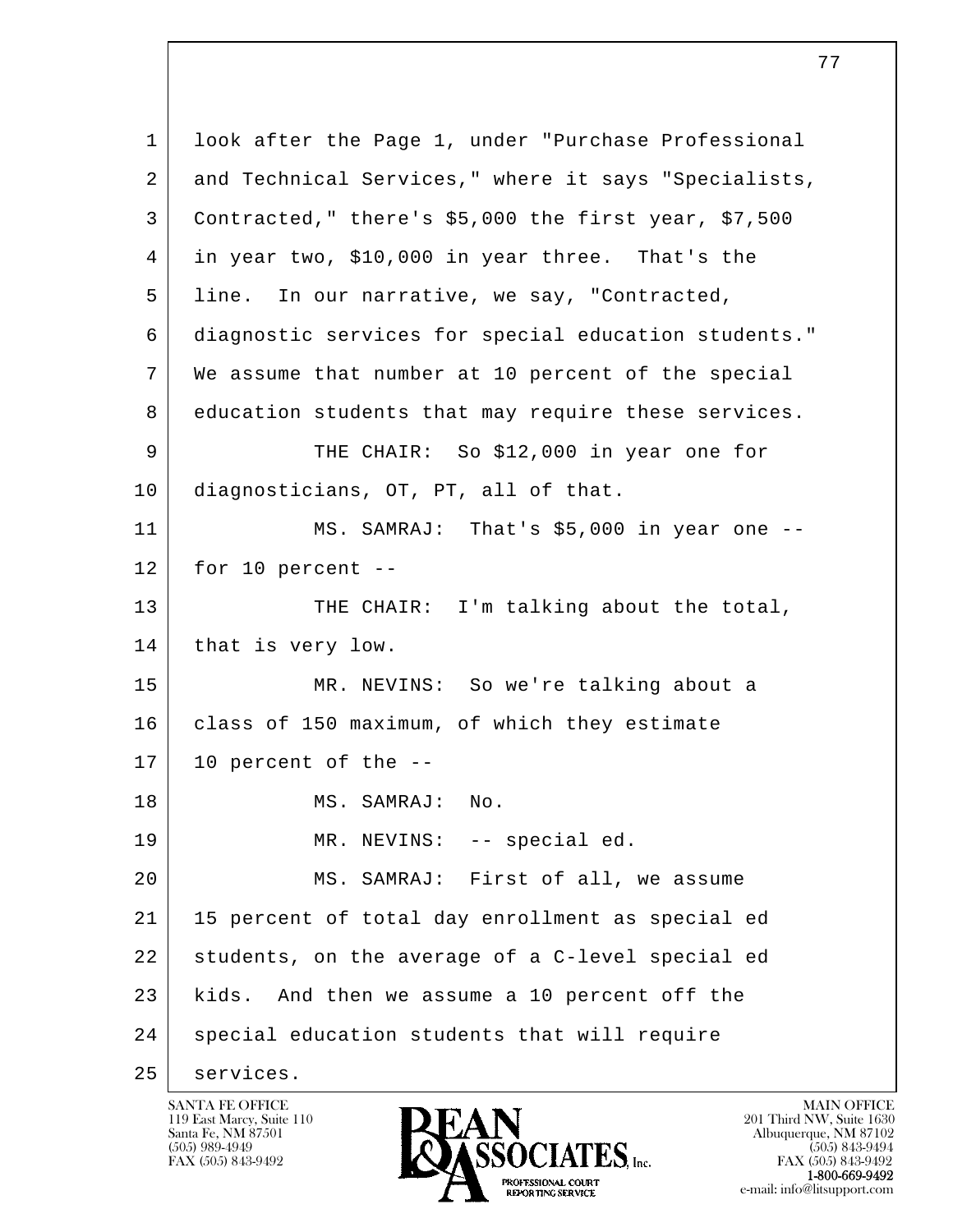l  $\overline{\phantom{a}}$  1 look after the Page 1, under "Purchase Professional 2 and Technical Services," where it says "Specialists, 3 Contracted," there's \$5,000 the first year, \$7,500 4 in year two, \$10,000 in year three. That's the 5 line. In our narrative, we say, "Contracted, 6 diagnostic services for special education students." 7 We assume that number at 10 percent of the special 8 education students that may require these services. 9 THE CHAIR: So \$12,000 in year one for 10 diagnosticians, OT, PT, all of that. 11 | MS. SAMRAJ: That's \$5,000 in year one -- $12$  for 10 percent  $-$ 13 THE CHAIR: I'm talking about the total, 14 | that is very low. 15 MR. NEVINS: So we're talking about a 16 class of 150 maximum, of which they estimate  $17$  10 percent of the  $-$ 18 MS. SAMRAJ: No. 19 MR. NEVINS: -- special ed. 20 MS. SAMRAJ: First of all, we assume 21 15 percent of total day enrollment as special ed 22 students, on the average of a C-level special ed 23 kids. And then we assume a 10 percent off the 24 special education students that will require 25 services.

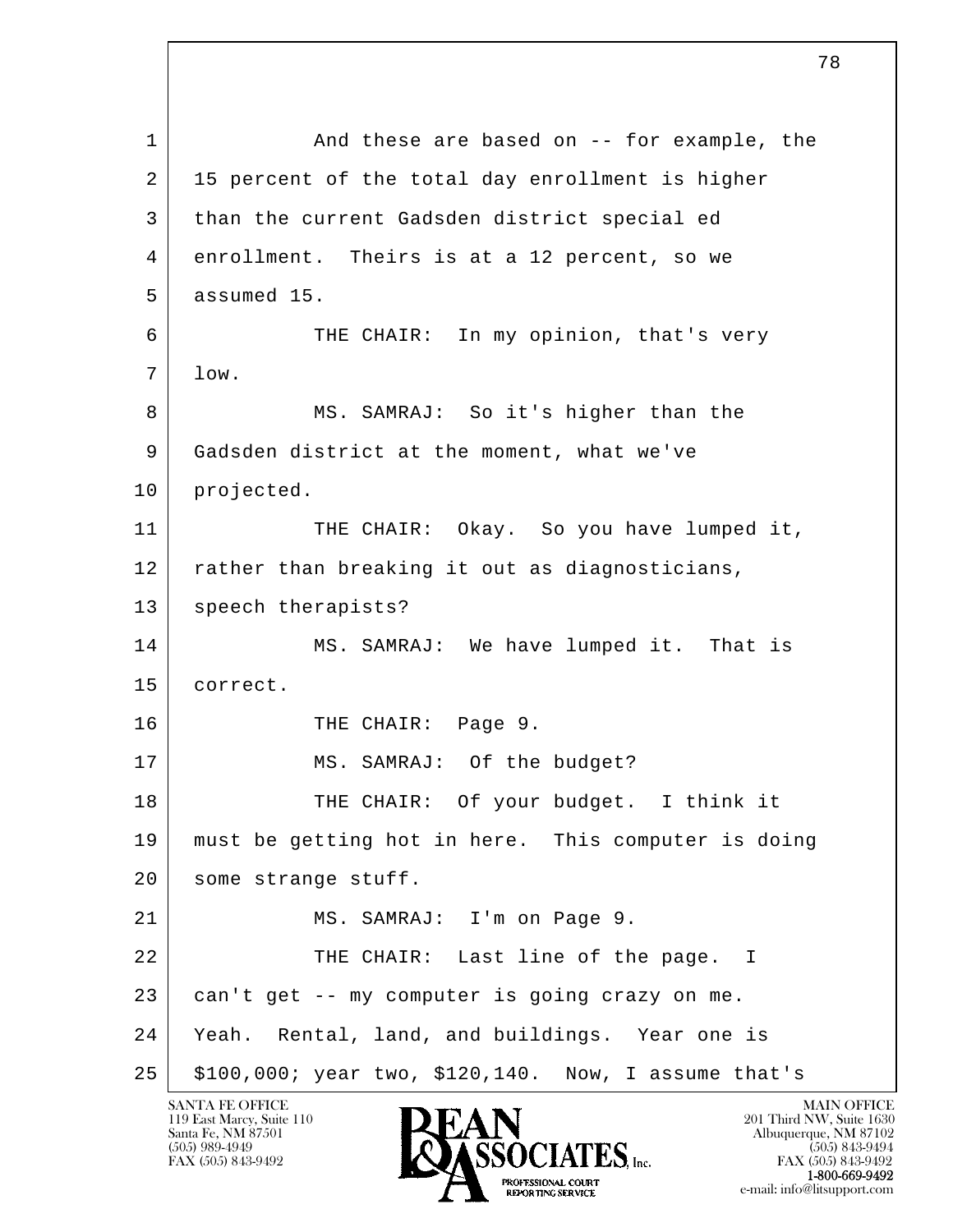l  $\overline{\phantom{a}}$ 1 and these are based on -- for example, the 2 | 15 percent of the total day enrollment is higher 3 than the current Gadsden district special ed 4 enrollment. Theirs is at a 12 percent, so we 5 assumed 15. 6 THE CHAIR: In my opinion, that's very 7 low. 8 MS. SAMRAJ: So it's higher than the 9 Gadsden district at the moment, what we've 10 | projected. 11 THE CHAIR: Okay. So you have lumped it, 12 rather than breaking it out as diagnosticians, 13 | speech therapists? 14 MS. SAMRAJ: We have lumped it. That is 15 correct. 16 THE CHAIR: Page 9. 17 MS. SAMRAJ: Of the budget? 18 THE CHAIR: Of your budget. I think it 19 must be getting hot in here. This computer is doing 20 | some strange stuff. 21 MS. SAMRAJ: I'm on Page 9. 22 THE CHAIR: Last line of the page. I 23 can't get -- my computer is going crazy on me. 24 Yeah. Rental, land, and buildings. Year one is 25 \$100,000; year two, \$120,140. Now, I assume that's

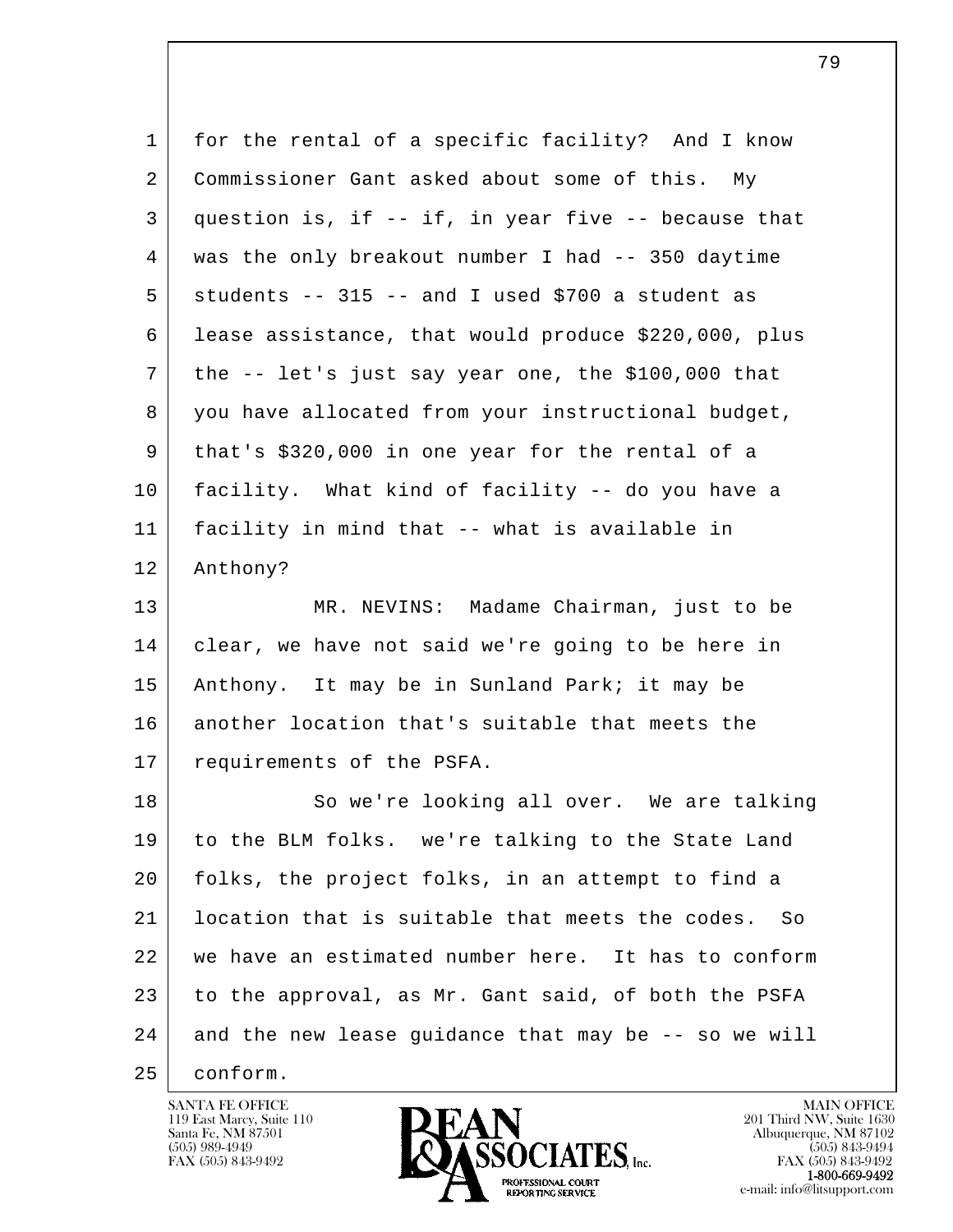| $\mathbf 1$ | for the rental of a specific facility? And I know       |
|-------------|---------------------------------------------------------|
| 2           | Commissioner Gant asked about some of this. My          |
| 3           | question is, if -- if, in year five -- because that     |
| 4           | was the only breakout number I had -- 350 daytime       |
| 5           | students -- 315 -- and I used \$700 a student as        |
| 6           | lease assistance, that would produce \$220,000, plus    |
| 7           | the -- let's just say year one, the \$100,000 that      |
| 8           | you have allocated from your instructional budget,      |
| 9           | that's \$320,000 in one year for the rental of a        |
| 10          | facility. What kind of facility -- do you have a        |
| 11          | facility in mind that -- what is available in           |
| 12          | Anthony?                                                |
| 13          | MR. NEVINS: Madame Chairman, just to be                 |
| 14          | clear, we have not said we're going to be here in       |
| 15          | Anthony. It may be in Sunland Park; it may be           |
| 16          | another location that's suitable that meets the         |
| 17          | requirements of the PSFA.                               |
| 18          | So we're looking all over. We are talking               |
| 19          | to the BLM folks. we're talking to the State Land       |
| 20          | folks, the project folks, in an attempt to find a       |
| 21          | location that is suitable that meets the codes.<br>- So |
| 22          | we have an estimated number here. It has to conform     |
| 23          | to the approval, as Mr. Gant said, of both the PSFA     |
| 24          | and the new lease guidance that may be -- so we will    |
| 25          | conform.                                                |

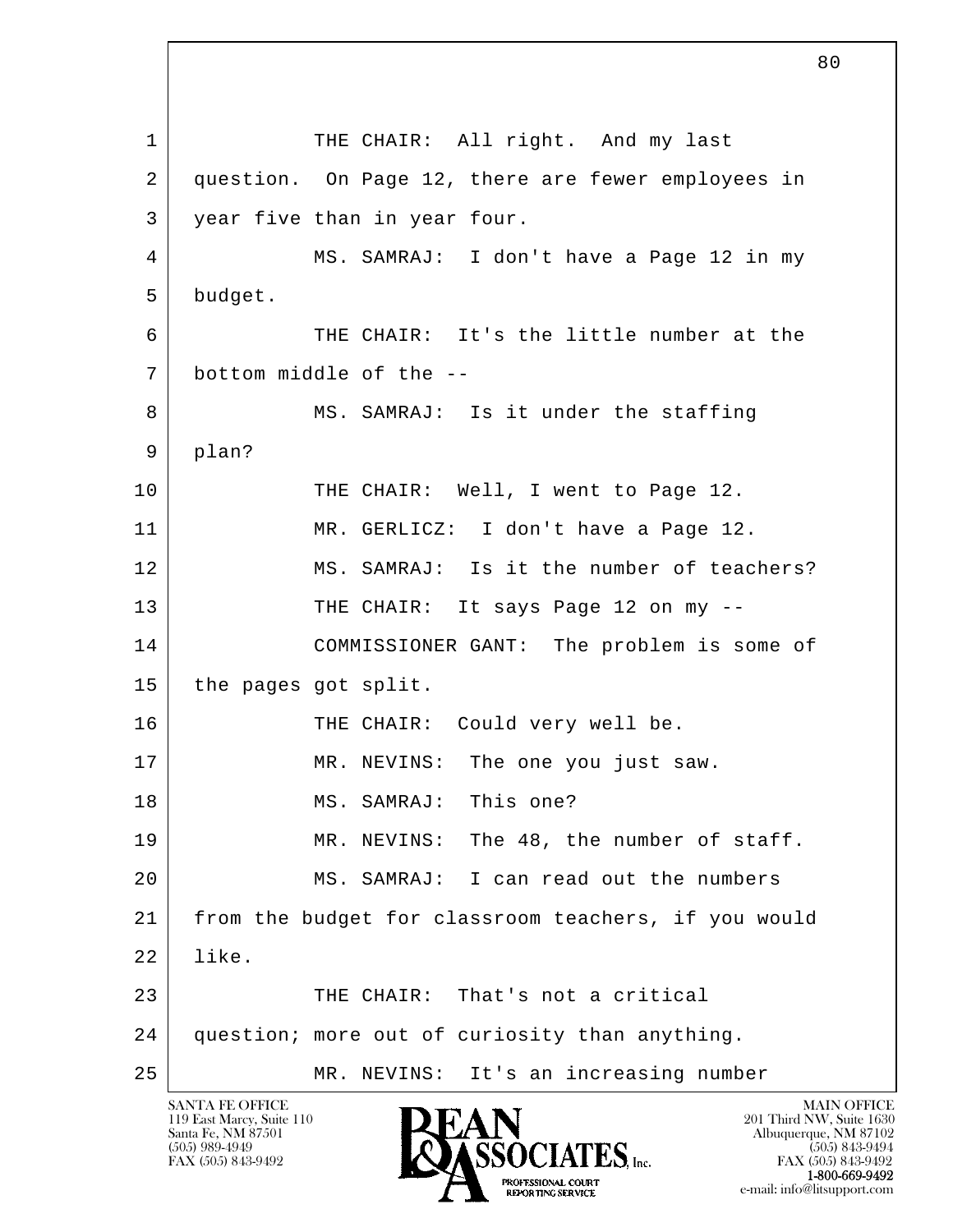l  $\overline{\phantom{a}}$ 1 THE CHAIR: All right. And my last 2 question. On Page 12, there are fewer employees in 3 year five than in year four. 4 MS. SAMRAJ: I don't have a Page 12 in my 5 budget. 6 THE CHAIR: It's the little number at the 7 bottom middle of the -- 8 MS. SAMRAJ: Is it under the staffing 9 plan? 10 THE CHAIR: Well, I went to Page 12. 11 MR. GERLICZ: I don't have a Page 12. 12 | MS. SAMRAJ: Is it the number of teachers? 13 THE CHAIR: It says Page 12 on my -- 14 COMMISSIONER GANT: The problem is some of 15 the pages got split. 16 THE CHAIR: Could very well be. 17 MR. NEVINS: The one you just saw. 18 MS. SAMRAJ: This one? 19 MR. NEVINS: The 48, the number of staff. 20 MS. SAMRAJ: I can read out the numbers 21 from the budget for classroom teachers, if you would 22 like. 23 THE CHAIR: That's not a critical 24 question; more out of curiosity than anything. 25 | MR. NEVINS: It's an increasing number

119 East Marcy, Suite 110<br>Santa Fe, NM 87501



FAX (505) 843-9492 FAX (505) 843-9492 1-800-669-9492 e-mail: info@litsupport.com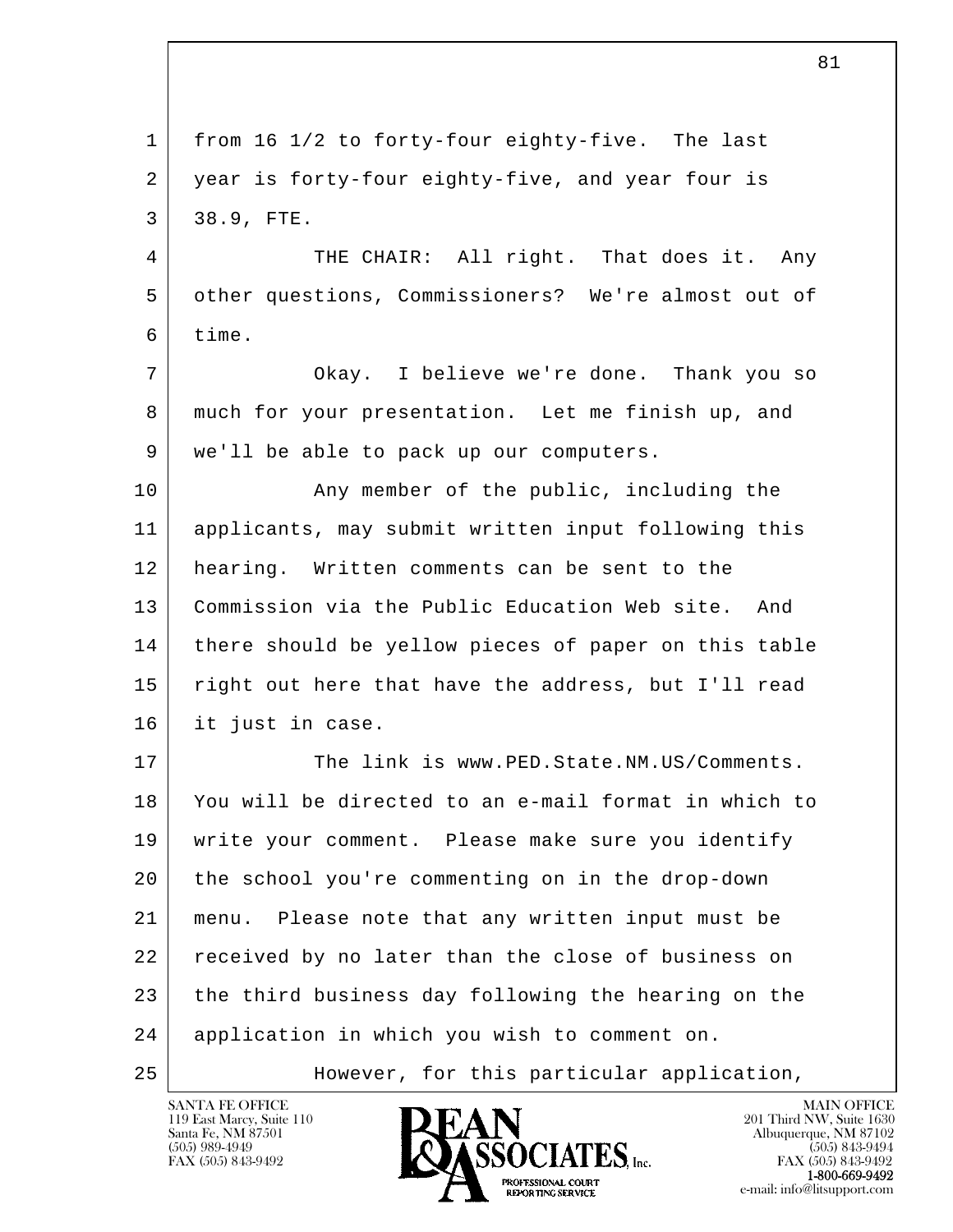| $\mathbf 1$ | from 16 1/2 to forty-four eighty-five. The last      |
|-------------|------------------------------------------------------|
| 2           | year is forty-four eighty-five, and year four is     |
| 3           | 38.9, FTE.                                           |
| 4           | THE CHAIR: All right. That does it. Any              |
| 5           | other questions, Commissioners? We're almost out of  |
| 6           | time.                                                |
| 7           | Okay. I believe we're done. Thank you so             |
| 8           | much for your presentation. Let me finish up, and    |
| 9           | we'll be able to pack up our computers.              |
| 10          | Any member of the public, including the              |
| 11          | applicants, may submit written input following this  |
| 12          | hearing. Written comments can be sent to the         |
| 13          | Commission via the Public Education Web site.<br>And |
| 14          | there should be yellow pieces of paper on this table |
| 15          | right out here that have the address, but I'll read  |
| 16          | it just in case.                                     |
| 17          | The link is www.PED.State.NM.US/Comments.            |
| 18          | You will be directed to an e-mail format in which to |
| 19          | write your comment. Please make sure you identify    |
| 20          | the school you're commenting on in the drop-down     |
| 21          | Please note that any written input must be<br>menu.  |
| 22          | received by no later than the close of business on   |
| 23          | the third business day following the hearing on the  |
| 24          | application in which you wish to comment on.         |
| 25          | However, for this particular application,            |

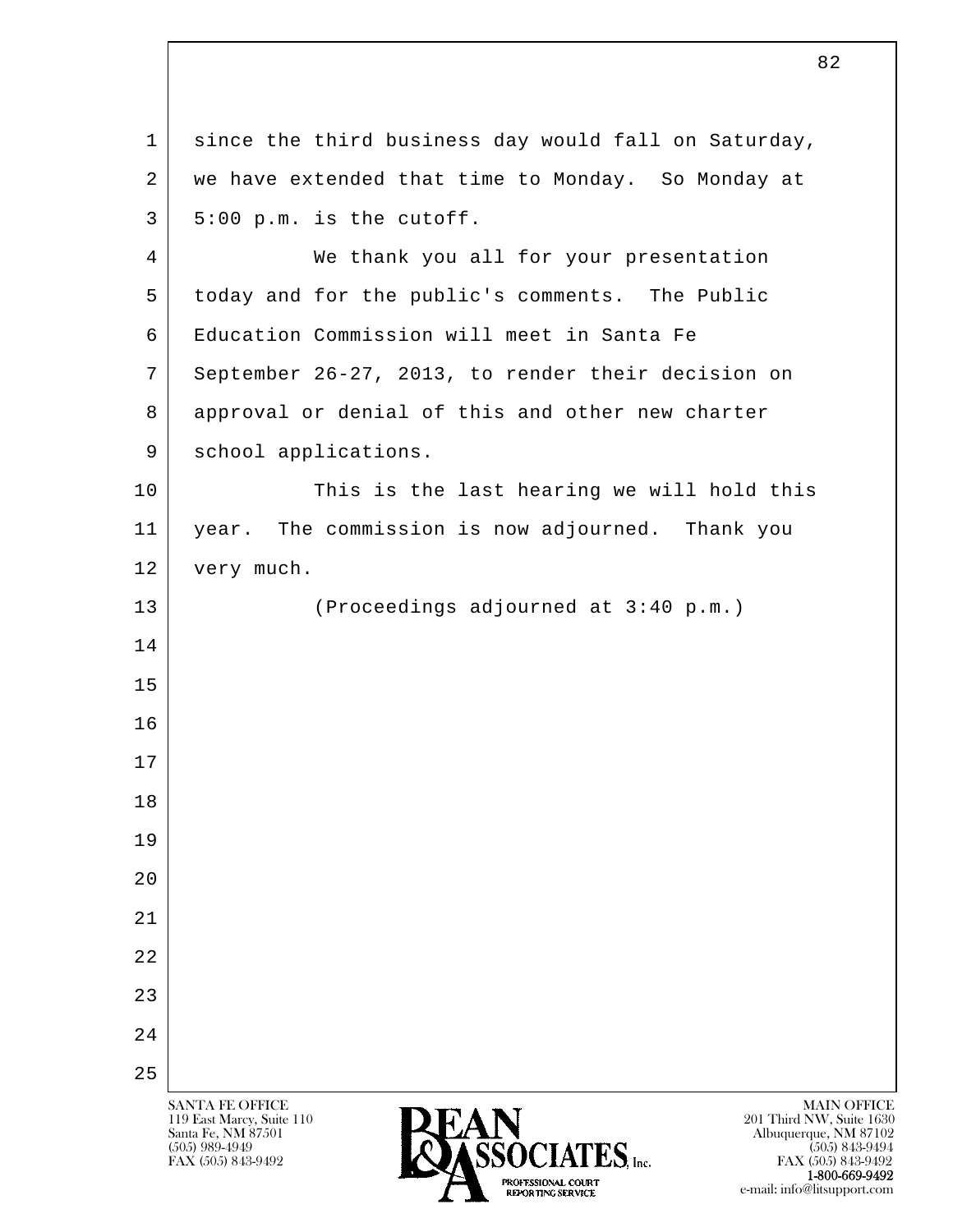l  $\overline{\phantom{a}}$ SANTA FE OFFICE MAIN OFFICE MAIN OFFICE MAIN OFFICE MAIN OFFICE 119 East Marcy, Suite 110<br>Santa Fe, NM 87501 Santa Fe, NM 87501 Albuquerque, NM 87102  $\overline{\text{SSOCIATES}}_{\text{Lnc}}$  (505) 989-4949 (505) 843-9492 (505) 843-9492 (505) 843-9492 FAX (505) 843-9492 FAX (505) 843-9492 POTESSIONAL COURT  $\frac{1-800-669-9492}{1-800-669-9492}$ <br>
REPORTING SERVICE 1 since the third business day would fall on Saturday, 2 | we have extended that time to Monday. So Monday at  $3$  | 5:00 p.m. is the cutoff. 4 We thank you all for your presentation 5 today and for the public's comments. The Public 6 Education Commission will meet in Santa Fe 7 September 26-27, 2013, to render their decision on 8 approval or denial of this and other new charter 9 | school applications. 10 This is the last hearing we will hold this 11 | year. The commission is now adjourned. Thank you 12 very much. 13 (Proceedings adjourned at 3:40 p.m.) 14 15 16 17 18 19 20 21 22 23 24 25

82

e-mail: info@litsupport.com